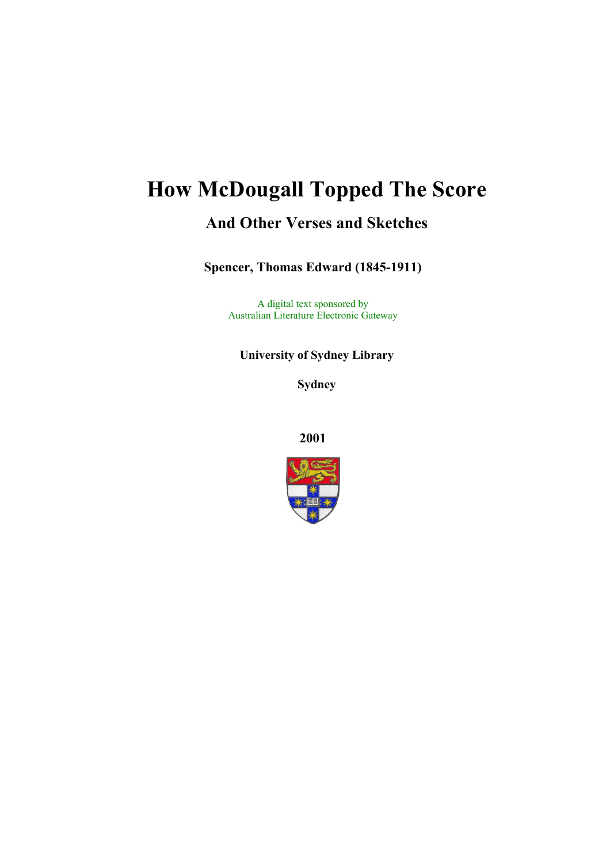# **How McDougall Topped The Score**

# **And Other Verses and Sketches**

**Spencer, Thomas Edward (1845-1911)**

A digital text sponsored by Australian Literature Electronic Gateway

#### **University of Sydney Library**

**Sydney** 

**2001**

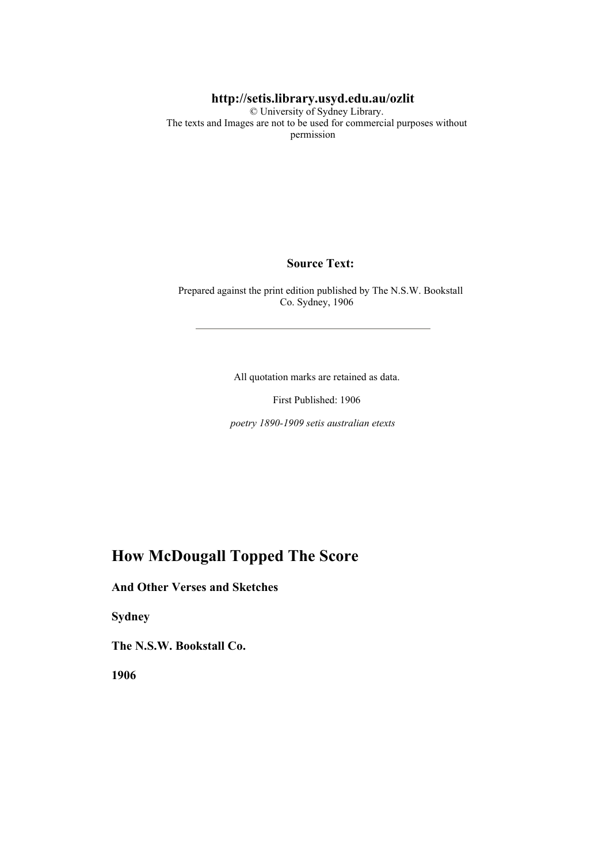#### **http://setis.library.usyd.edu.au/ozlit**

 © University of Sydney Library. The texts and Images are not to be used for commercial purposes without permission

#### **Source Text:**

 Prepared against the print edition published by The N.S.W. Bookstall Co. Sydney, 1906

All quotation marks are retained as data.

First Published: 1906

*poetry 1890-1909 setis australian etexts*

### **How McDougall Topped The Score**

**And Other Verses and Sketches** 

**Sydney** 

**The N.S.W. Bookstall Co.** 

**1906**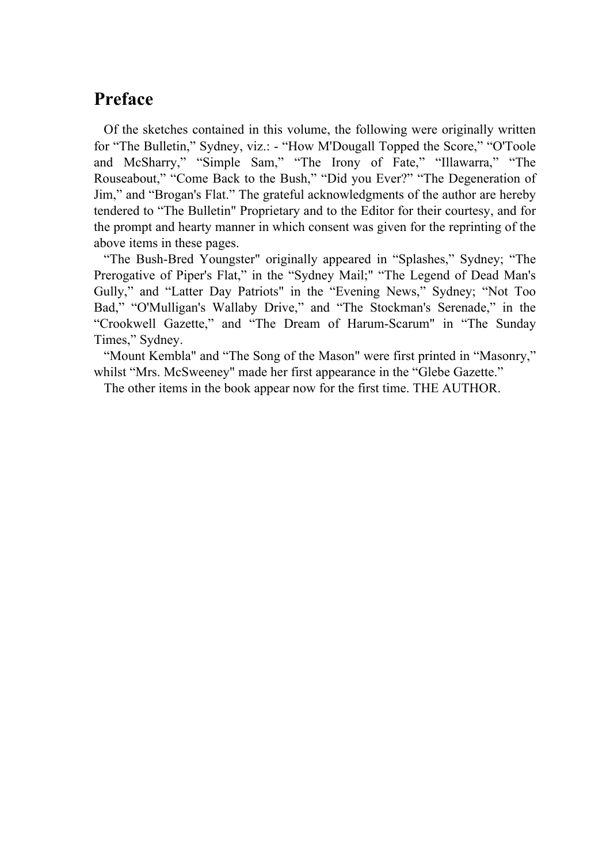# **Preface**

 Of the sketches contained in this volume, the following were originally written for "The Bulletin," Sydney, viz.: - "How M'Dougall Topped the Score," "O'Toole and McSharry," "Simple Sam," "The Irony of Fate," "Illawarra," "The Rouseabout," "Come Back to the Bush," "Did you Ever?" "The Degeneration of Jim," and "Brogan's Flat." The grateful acknowledgments of the author are hereby tendered to "The Bulletin" Proprietary and to the Editor for their courtesy, and for the prompt and hearty manner in which consent was given for the reprinting of the above items in these pages.

 "The Bush-Bred Youngster" originally appeared in "Splashes," Sydney; "The Prerogative of Piper's Flat," in the "Sydney Mail;" "The Legend of Dead Man's Gully," and "Latter Day Patriots" in the "Evening News," Sydney; "Not Too Bad," "O'Mulligan's Wallaby Drive," and "The Stockman's Serenade," in the "Crookwell Gazette," and "The Dream of Harum-Scarum" in "The Sunday Times," Sydney.

 "Mount Kembla" and "The Song of the Mason" were first printed in "Masonry," whilst "Mrs. McSweeney" made her first appearance in the "Glebe Gazette."

The other items in the book appear now for the first time. THE AUTHOR.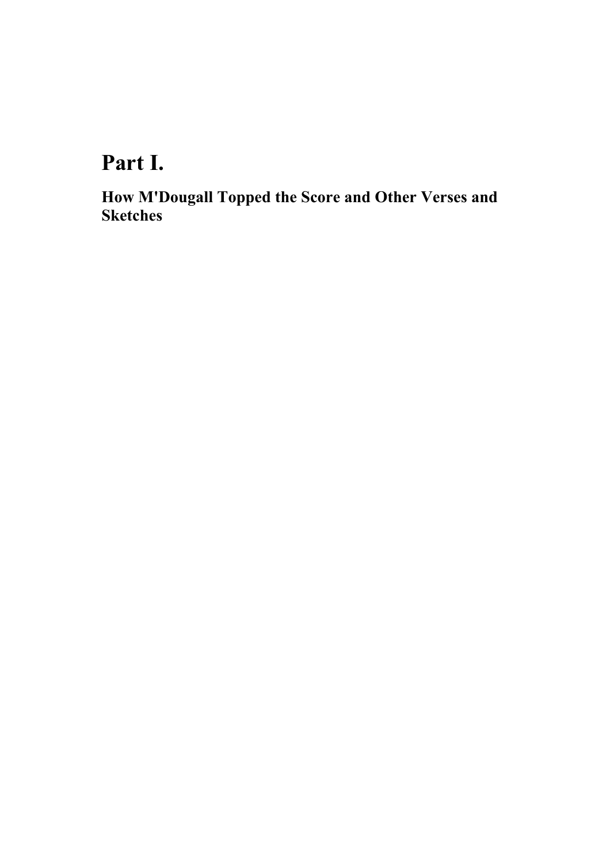# **Part I.**

**How M'Dougall Topped the Score and Other Verses and Sketches**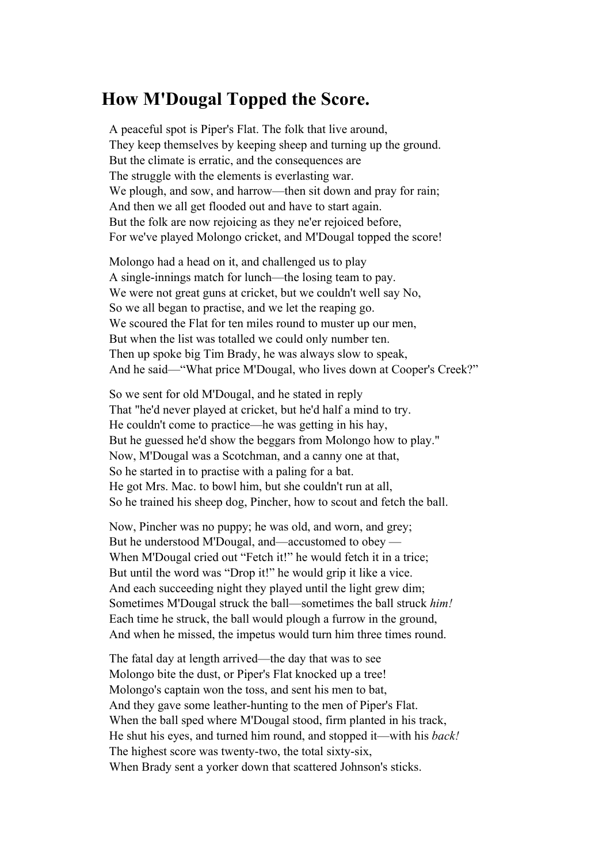### **How M'Dougal Topped the Score.**

A peaceful spot is Piper's Flat. The folk that live around, They keep themselves by keeping sheep and turning up the ground. But the climate is erratic, and the consequences are The struggle with the elements is everlasting war. We plough, and sow, and harrow—then sit down and pray for rain; And then we all get flooded out and have to start again. But the folk are now rejoicing as they ne'er rejoiced before, For we've played Molongo cricket, and M'Dougal topped the score!

Molongo had a head on it, and challenged us to play A single-innings match for lunch—the losing team to pay. We were not great guns at cricket, but we couldn't well say No, So we all began to practise, and we let the reaping go. We scoured the Flat for ten miles round to muster up our men, But when the list was totalled we could only number ten. Then up spoke big Tim Brady, he was always slow to speak, And he said—"What price M'Dougal, who lives down at Cooper's Creek?"

So we sent for old M'Dougal, and he stated in reply That "he'd never played at cricket, but he'd half a mind to try. He couldn't come to practice—he was getting in his hay, But he guessed he'd show the beggars from Molongo how to play." Now, M'Dougal was a Scotchman, and a canny one at that, So he started in to practise with a paling for a bat. He got Mrs. Mac. to bowl him, but she couldn't run at all, So he trained his sheep dog, Pincher, how to scout and fetch the ball.

Now, Pincher was no puppy; he was old, and worn, and grey; But he understood M'Dougal, and—accustomed to obey — When M'Dougal cried out "Fetch it!" he would fetch it in a trice; But until the word was "Drop it!" he would grip it like a vice. And each succeeding night they played until the light grew dim; Sometimes M'Dougal struck the ball—sometimes the ball struck *him!* Each time he struck, the ball would plough a furrow in the ground, And when he missed, the impetus would turn him three times round.

The fatal day at length arrived—the day that was to see Molongo bite the dust, or Piper's Flat knocked up a tree! Molongo's captain won the toss, and sent his men to bat, And they gave some leather-hunting to the men of Piper's Flat. When the ball sped where M'Dougal stood, firm planted in his track, He shut his eyes, and turned him round, and stopped it—with his *back!* The highest score was twenty-two, the total sixty-six, When Brady sent a yorker down that scattered Johnson's sticks.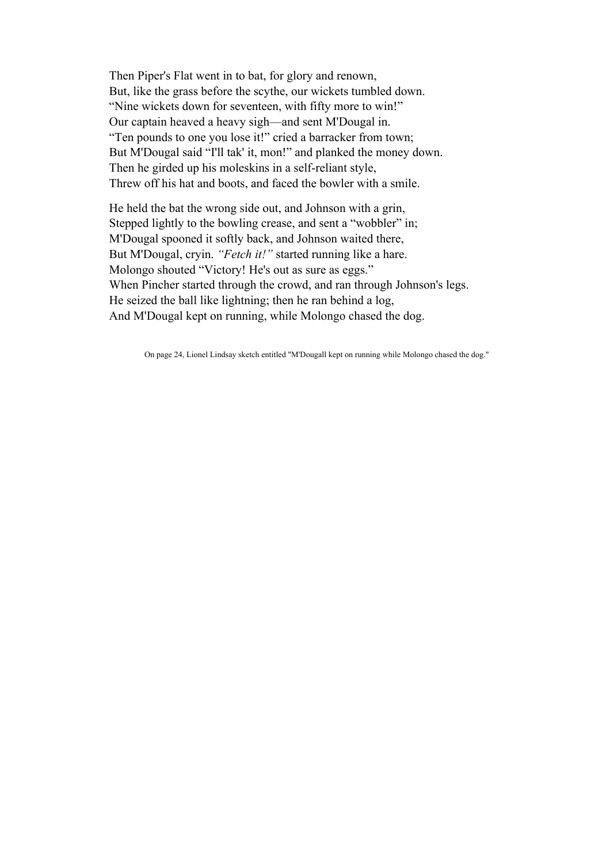Then Piper's Flat went in to bat, for glory and renown, But, like the grass before the scythe, our wickets tumbled down. "Nine wickets down for seventeen, with fifty more to win!" Our captain heaved a heavy sigh—and sent M'Dougal in. "Ten pounds to one you lose it!" cried a barracker from town; But M'Dougal said "I'll tak' it, mon!" and planked the money down. Then he girded up his moleskins in a self-reliant style, Threw off his hat and boots, and faced the bowler with a smile.

He held the bat the wrong side out, and Johnson with a grin, Stepped lightly to the bowling crease, and sent a "wobbler" in; M'Dougal spooned it softly back, and Johnson waited there, But M'Dougal, cryin. *"Fetch it!"* started running like a hare. Molongo shouted "Victory! He's out as sure as eggs." When Pincher started through the crowd, and ran through Johnson's legs. He seized the ball like lightning; then he ran behind a log, And M'Dougal kept on running, while Molongo chased the dog.

On page 24, Lionel Lindsay sketch entitled "M'Dougall kept on running while Molongo chased the dog."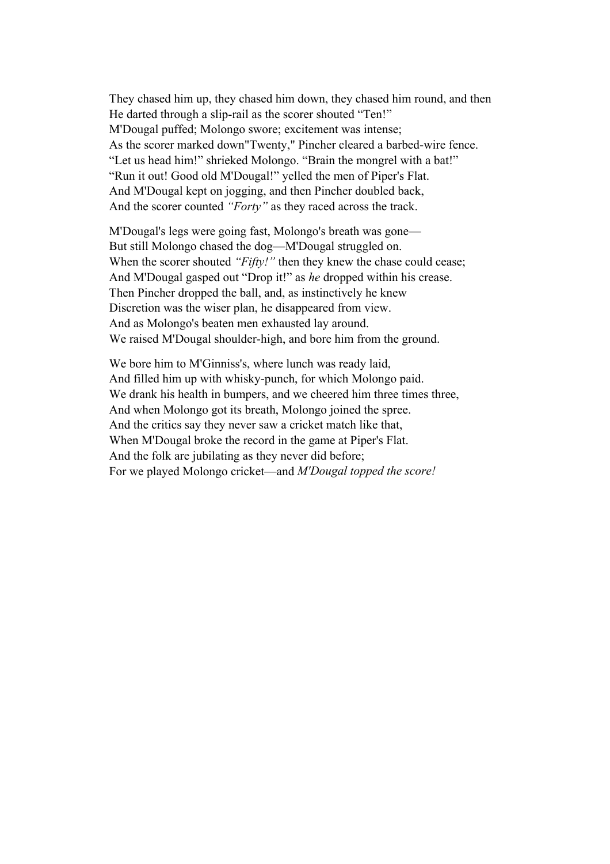They chased him up, they chased him down, they chased him round, and then He darted through a slip-rail as the scorer shouted "Ten!" M'Dougal puffed; Molongo swore; excitement was intense; As the scorer marked down"Twenty," Pincher cleared a barbed-wire fence. "Let us head him!" shrieked Molongo. "Brain the mongrel with a bat!" "Run it out! Good old M'Dougal!" yelled the men of Piper's Flat. And M'Dougal kept on jogging, and then Pincher doubled back, And the scorer counted *"Forty"* as they raced across the track.

M'Dougal's legs were going fast, Molongo's breath was gone— But still Molongo chased the dog—M'Dougal struggled on. When the scorer shouted *"Fifty!"* then they knew the chase could cease; And M'Dougal gasped out "Drop it!" as *he* dropped within his crease. Then Pincher dropped the ball, and, as instinctively he knew Discretion was the wiser plan, he disappeared from view. And as Molongo's beaten men exhausted lay around. We raised M'Dougal shoulder-high, and bore him from the ground.

We bore him to M'Ginniss's, where lunch was ready laid, And filled him up with whisky-punch, for which Molongo paid. We drank his health in bumpers, and we cheered him three times three, And when Molongo got its breath, Molongo joined the spree. And the critics say they never saw a cricket match like that, When M'Dougal broke the record in the game at Piper's Flat. And the folk are jubilating as they never did before; For we played Molongo cricket—and *M'Dougal topped the score!*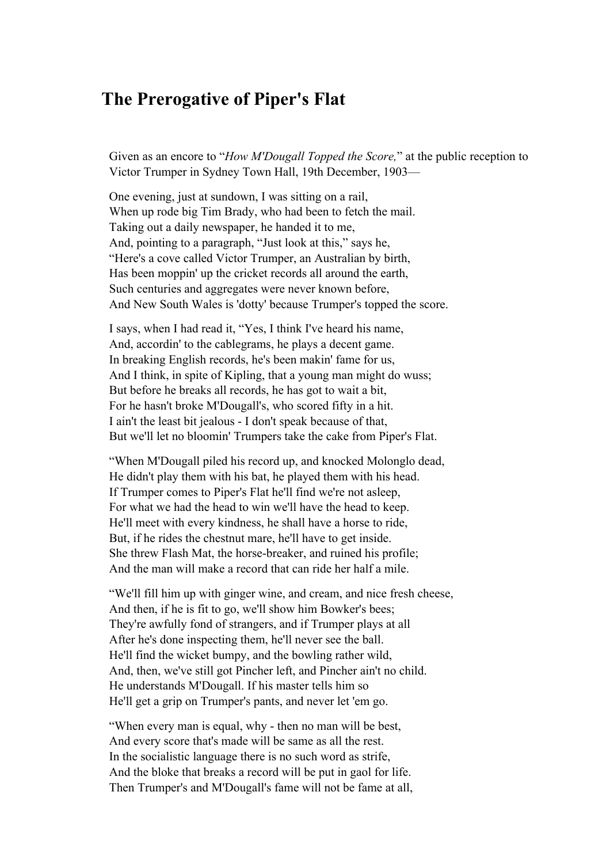### **The Prerogative of Piper's Flat**

Given as an encore to "*How M'Dougall Topped the Score,*" at the public reception to Victor Trumper in Sydney Town Hall, 19th December, 1903—

One evening, just at sundown, I was sitting on a rail, When up rode big Tim Brady, who had been to fetch the mail. Taking out a daily newspaper, he handed it to me, And, pointing to a paragraph, "Just look at this," says he, "Here's a cove called Victor Trumper, an Australian by birth, Has been moppin' up the cricket records all around the earth, Such centuries and aggregates were never known before, And New South Wales is 'dotty' because Trumper's topped the score.

I says, when I had read it, "Yes, I think I've heard his name, And, accordin' to the cablegrams, he plays a decent game. In breaking English records, he's been makin' fame for us, And I think, in spite of Kipling, that a young man might do wuss; But before he breaks all records, he has got to wait a bit, For he hasn't broke M'Dougall's, who scored fifty in a hit. I ain't the least bit jealous - I don't speak because of that, But we'll let no bloomin' Trumpers take the cake from Piper's Flat.

"When M'Dougall piled his record up, and knocked Molonglo dead, He didn't play them with his bat, he played them with his head. If Trumper comes to Piper's Flat he'll find we're not asleep, For what we had the head to win we'll have the head to keep. He'll meet with every kindness, he shall have a horse to ride, But, if he rides the chestnut mare, he'll have to get inside. She threw Flash Mat, the horse-breaker, and ruined his profile; And the man will make a record that can ride her half a mile.

"We'll fill him up with ginger wine, and cream, and nice fresh cheese, And then, if he is fit to go, we'll show him Bowker's bees; They're awfully fond of strangers, and if Trumper plays at all After he's done inspecting them, he'll never see the ball. He'll find the wicket bumpy, and the bowling rather wild, And, then, we've still got Pincher left, and Pincher ain't no child. He understands M'Dougall. If his master tells him so He'll get a grip on Trumper's pants, and never let 'em go.

"When every man is equal, why - then no man will be best, And every score that's made will be same as all the rest. In the socialistic language there is no such word as strife, And the bloke that breaks a record will be put in gaol for life. Then Trumper's and M'Dougall's fame will not be fame at all,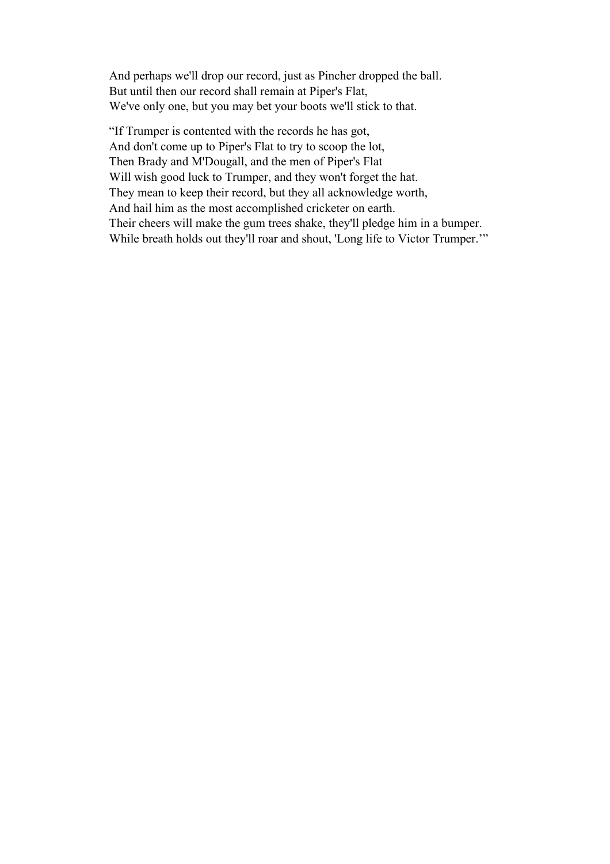And perhaps we'll drop our record, just as Pincher dropped the ball. But until then our record shall remain at Piper's Flat, We've only one, but you may bet your boots we'll stick to that.

"If Trumper is contented with the records he has got, And don't come up to Piper's Flat to try to scoop the lot, Then Brady and M'Dougall, and the men of Piper's Flat Will wish good luck to Trumper, and they won't forget the hat. They mean to keep their record, but they all acknowledge worth, And hail him as the most accomplished cricketer on earth. Their cheers will make the gum trees shake, they'll pledge him in a bumper. While breath holds out they'll roar and shout, 'Long life to Victor Trumper.'"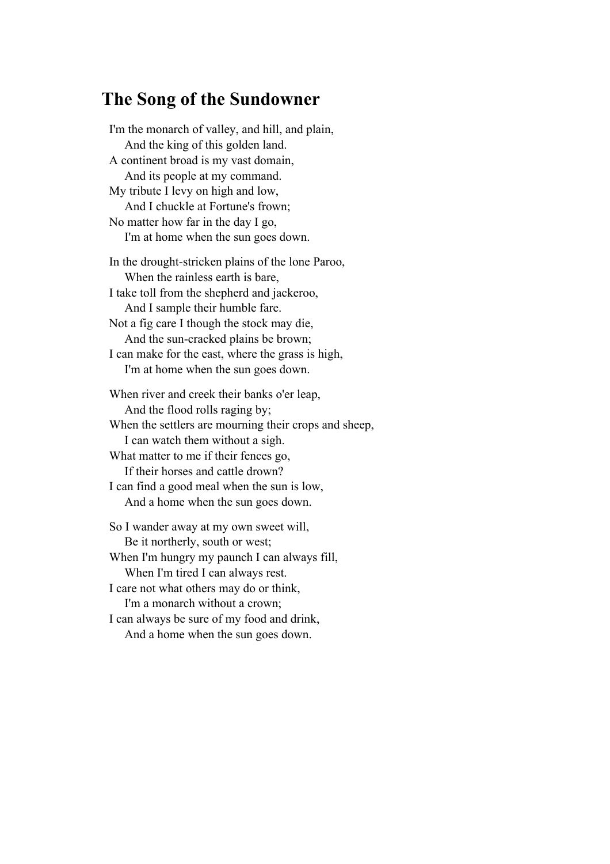### **The Song of the Sundowner**

I'm the monarch of valley, and hill, and plain, And the king of this golden land. A continent broad is my vast domain, And its people at my command. My tribute I levy on high and low, And I chuckle at Fortune's frown; No matter how far in the day I go, I'm at home when the sun goes down. In the drought-stricken plains of the lone Paroo, When the rainless earth is bare, I take toll from the shepherd and jackeroo, And I sample their humble fare. Not a fig care I though the stock may die, And the sun-cracked plains be brown; I can make for the east, where the grass is high, I'm at home when the sun goes down. When river and creek their banks o'er leap, And the flood rolls raging by; When the settlers are mourning their crops and sheep, I can watch them without a sigh. What matter to me if their fences go, If their horses and cattle drown? I can find a good meal when the sun is low, And a home when the sun goes down. So I wander away at my own sweet will, Be it northerly, south or west; When I'm hungry my paunch I can always fill, When I'm tired I can always rest. I care not what others may do or think, I'm a monarch without a crown; I can always be sure of my food and drink, And a home when the sun goes down.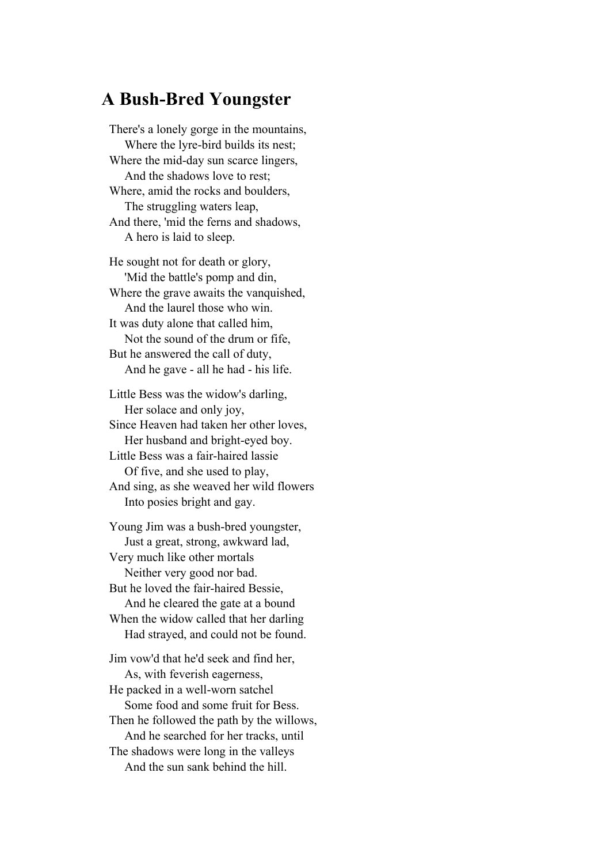### **A Bush-Bred Youngster**

There's a lonely gorge in the mountains, Where the lyre-bird builds its nest; Where the mid-day sun scarce lingers, And the shadows love to rest; Where, amid the rocks and boulders, The struggling waters leap, And there, 'mid the ferns and shadows, A hero is laid to sleep.

He sought not for death or glory, 'Mid the battle's pomp and din, Where the grave awaits the vanquished, And the laurel those who win. It was duty alone that called him, Not the sound of the drum or fife, But he answered the call of duty, And he gave - all he had - his life.

Little Bess was the widow's darling, Her solace and only joy, Since Heaven had taken her other loves, Her husband and bright-eyed boy. Little Bess was a fair-haired lassie Of five, and she used to play, And sing, as she weaved her wild flowers Into posies bright and gay.

Young Jim was a bush-bred youngster, Just a great, strong, awkward lad, Very much like other mortals Neither very good nor bad. But he loved the fair-haired Bessie, And he cleared the gate at a bound When the widow called that her darling Had strayed, and could not be found.

Jim vow'd that he'd seek and find her, As, with feverish eagerness, He packed in a well-worn satchel Some food and some fruit for Bess. Then he followed the path by the willows, And he searched for her tracks, until The shadows were long in the valleys And the sun sank behind the hill.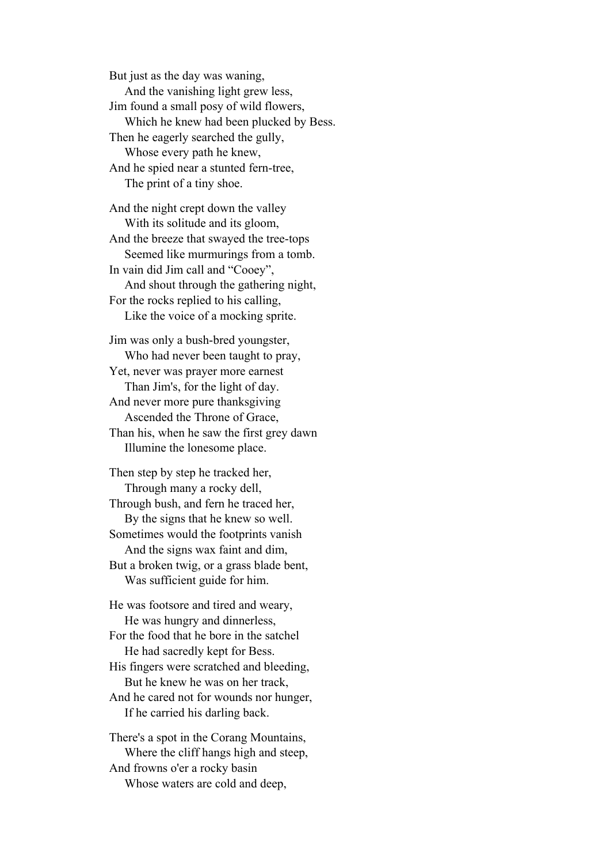But just as the day was waning, And the vanishing light grew less, Jim found a small posy of wild flowers, Which he knew had been plucked by Bess. Then he eagerly searched the gully, Whose every path he knew, And he spied near a stunted fern-tree, The print of a tiny shoe.

And the night crept down the valley With its solitude and its gloom, And the breeze that swayed the tree-tops Seemed like murmurings from a tomb. In vain did Jim call and "Cooey", And shout through the gathering night, For the rocks replied to his calling, Like the voice of a mocking sprite.

Jim was only a bush-bred youngster, Who had never been taught to pray, Yet, never was prayer more earnest Than Jim's, for the light of day. And never more pure thanksgiving Ascended the Throne of Grace, Than his, when he saw the first grey dawn Illumine the lonesome place.

Then step by step he tracked her, Through many a rocky dell, Through bush, and fern he traced her, By the signs that he knew so well. Sometimes would the footprints vanish And the signs wax faint and dim, But a broken twig, or a grass blade bent, Was sufficient guide for him.

He was footsore and tired and weary, He was hungry and dinnerless, For the food that he bore in the satchel He had sacredly kept for Bess. His fingers were scratched and bleeding, But he knew he was on her track, And he cared not for wounds nor hunger, If he carried his darling back.

There's a spot in the Corang Mountains, Where the cliff hangs high and steep, And frowns o'er a rocky basin Whose waters are cold and deep,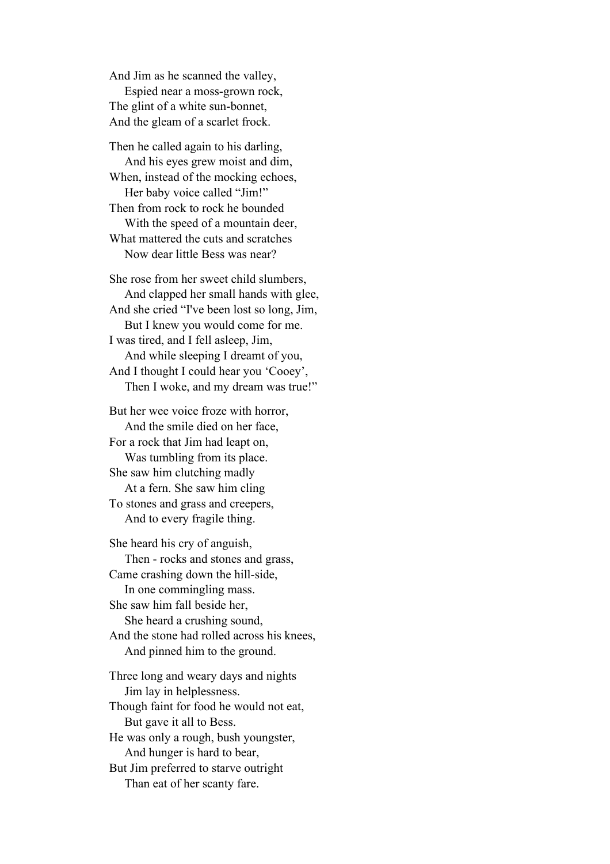And Jim as he scanned the valley, Espied near a moss-grown rock, The glint of a white sun-bonnet, And the gleam of a scarlet frock.

Then he called again to his darling, And his eyes grew moist and dim, When, instead of the mocking echoes, Her baby voice called "Jim!" Then from rock to rock he bounded With the speed of a mountain deer, What mattered the cuts and scratches Now dear little Bess was near?

She rose from her sweet child slumbers, And clapped her small hands with glee, And she cried "I've been lost so long, Jim, But I knew you would come for me. I was tired, and I fell asleep, Jim, And while sleeping I dreamt of you, And I thought I could hear you 'Cooey', Then I woke, and my dream was true!"

But her wee voice froze with horror, And the smile died on her face, For a rock that Jim had leapt on, Was tumbling from its place. She saw him clutching madly At a fern. She saw him cling To stones and grass and creepers, And to every fragile thing.

She heard his cry of anguish, Then - rocks and stones and grass, Came crashing down the hill-side, In one commingling mass. She saw him fall beside her, She heard a crushing sound, And the stone had rolled across his knees, And pinned him to the ground.

Three long and weary days and nights Jim lay in helplessness. Though faint for food he would not eat, But gave it all to Bess. He was only a rough, bush youngster, And hunger is hard to bear,

But Jim preferred to starve outright Than eat of her scanty fare.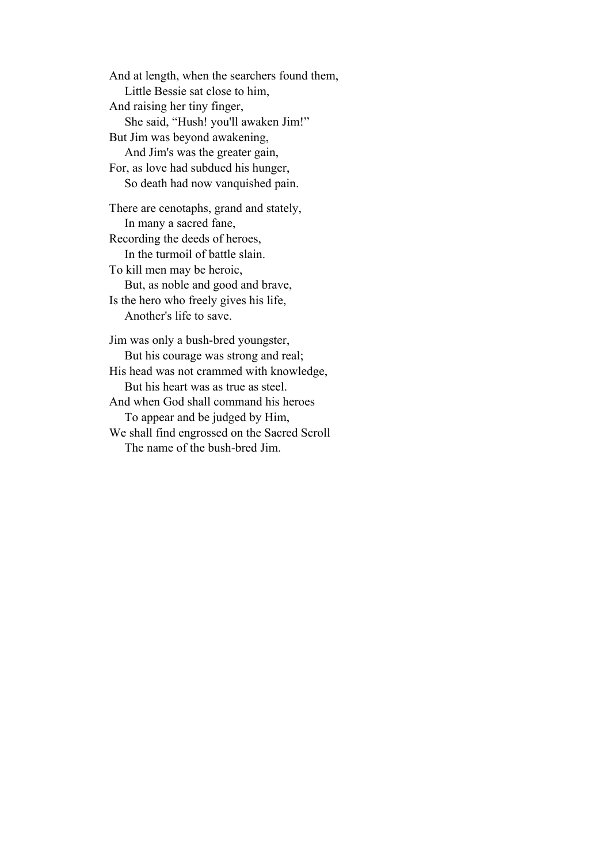And at length, when the searchers found them, Little Bessie sat close to him, And raising her tiny finger, She said, "Hush! you'll awaken Jim!" But Jim was beyond awakening, And Jim's was the greater gain, For, as love had subdued his hunger, So death had now vanquished pain. There are cenotaphs, grand and stately, In many a sacred fane, Recording the deeds of heroes, In the turmoil of battle slain. To kill men may be heroic, But, as noble and good and brave, Is the hero who freely gives his life, Another's life to save.

Jim was only a bush-bred youngster, But his courage was strong and real; His head was not crammed with knowledge, But his heart was as true as steel. And when God shall command his heroes To appear and be judged by Him, We shall find engrossed on the Sacred Scroll The name of the bush-bred Jim.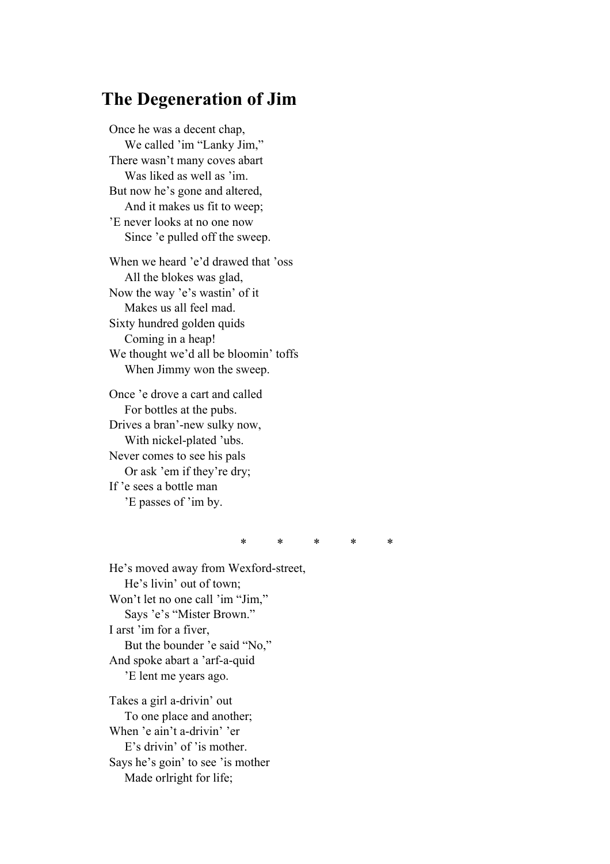### **The Degeneration of Jim**

Once he was a decent chap, We called 'im "Lanky Jim," There wasn't many coves abart Was liked as well as 'im. But now he's gone and altered, And it makes us fit to weep; 'E never looks at no one now Since 'e pulled off the sweep.

When we heard 'e'd drawed that 'oss All the blokes was glad, Now the way 'e's wastin' of it Makes us all feel mad. Sixty hundred golden quids Coming in a heap! We thought we'd all be bloomin' toffs When Jimmy won the sweep.

Once 'e drove a cart and called For bottles at the pubs. Drives a bran'-new sulky now, With nickel-plated 'ubs. Never comes to see his pals Or ask 'em if they're dry; If 'e sees a bottle man 'E passes of 'im by.

\* \* \* \* \*

He's moved away from Wexford-street, He's livin' out of town; Won't let no one call 'im "Jim," Says 'e's "Mister Brown." I arst 'im for a fiver, But the bounder 'e said "No," And spoke abart a 'arf-a-quid 'E lent me years ago.

Takes a girl a-drivin' out To one place and another; When 'e ain't a-drivin' 'er E's drivin' of 'is mother. Says he's goin' to see 'is mother Made orlright for life;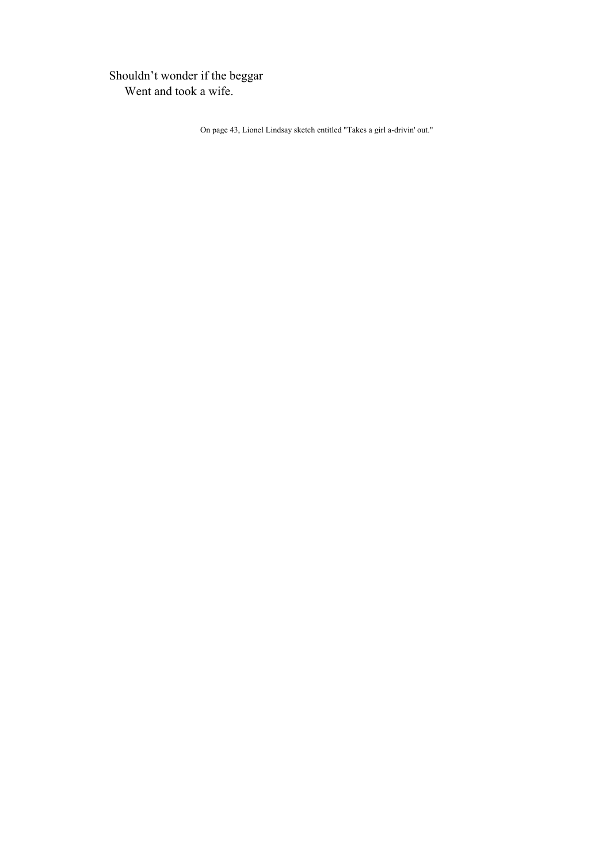Shouldn't wonder if the beggar Went and took a wife.

On page 43, Lionel Lindsay sketch entitled "Takes a girl a-drivin' out."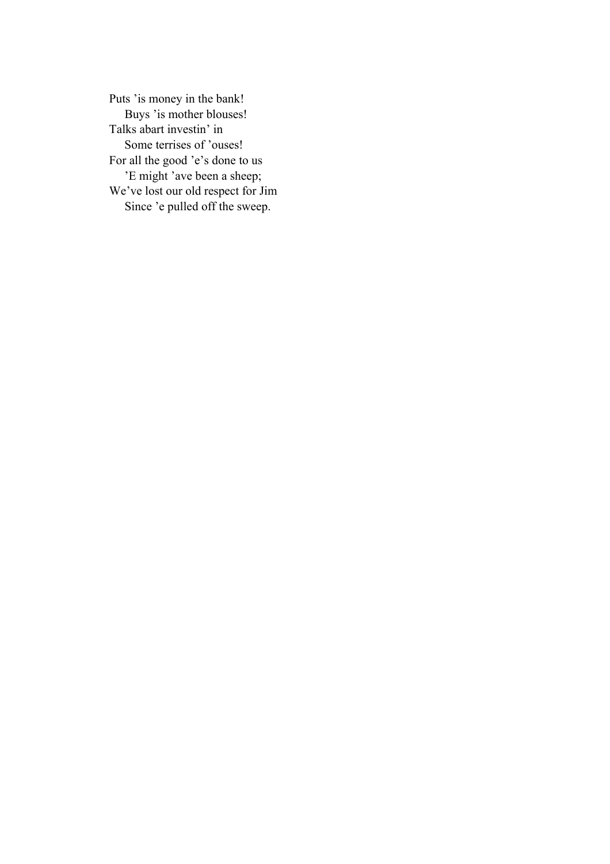Puts 'is money in the bank! Buys 'is mother blouses! Talks abart investin' in Some terrises of 'ouses! For all the good 'e's done to us 'E might 'ave been a sheep; We've lost our old respect for Jim Since 'e pulled off the sweep.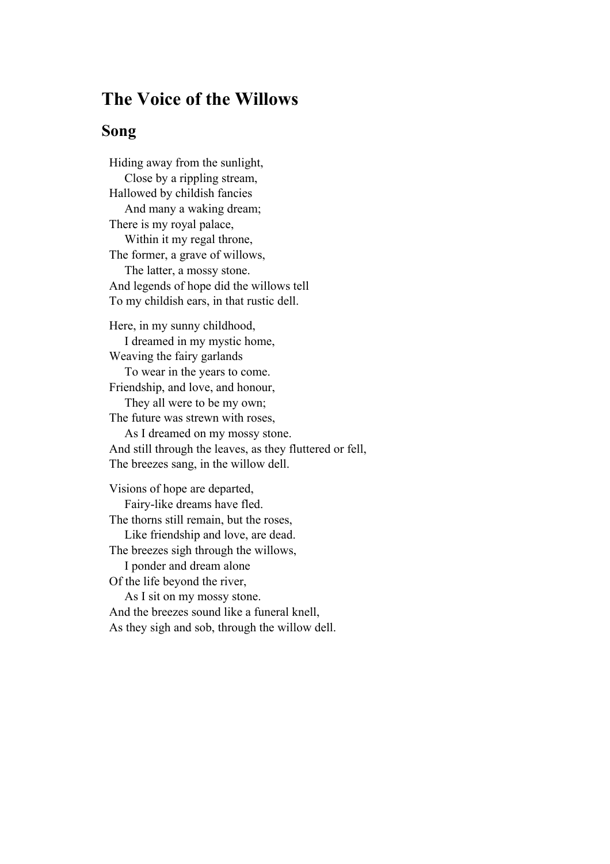### **The Voice of the Willows**

#### **Song**

Hiding away from the sunlight, Close by a rippling stream, Hallowed by childish fancies And many a waking dream; There is my royal palace, Within it my regal throne, The former, a grave of willows, The latter, a mossy stone. And legends of hope did the willows tell To my childish ears, in that rustic dell. Here, in my sunny childhood, I dreamed in my mystic home, Weaving the fairy garlands To wear in the years to come. Friendship, and love, and honour, They all were to be my own; The future was strewn with roses, As I dreamed on my mossy stone. And still through the leaves, as they fluttered or fell, The breezes sang, in the willow dell. Visions of hope are departed, Fairy-like dreams have fled. The thorns still remain, but the roses, Like friendship and love, are dead. The breezes sigh through the willows, I ponder and dream alone Of the life beyond the river, As I sit on my mossy stone.

And the breezes sound like a funeral knell, As they sigh and sob, through the willow dell.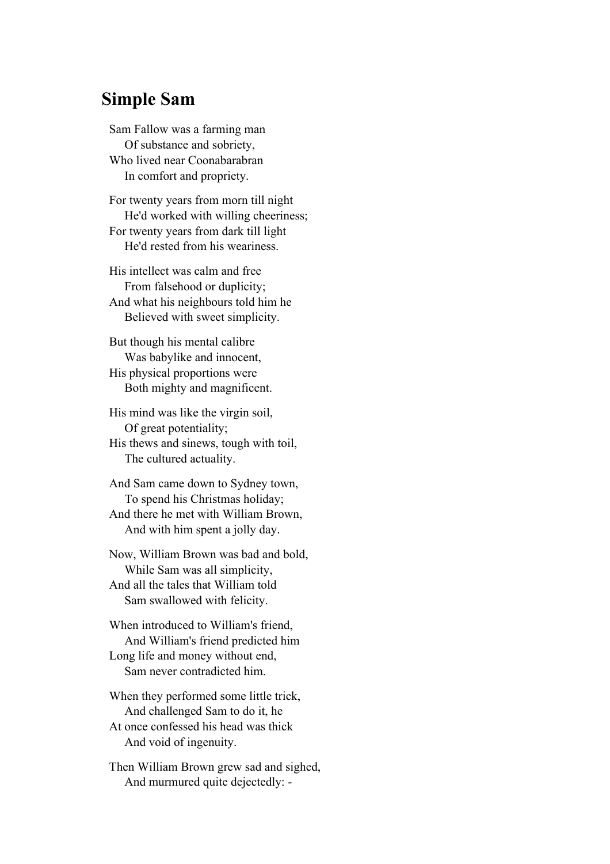### **Simple Sam**

Sam Fallow was a farming man Of substance and sobriety, Who lived near Coonabarabran In comfort and propriety.

For twenty years from morn till night He'd worked with willing cheeriness; For twenty years from dark till light He'd rested from his weariness.

His intellect was calm and free From falsehood or duplicity; And what his neighbours told him he Believed with sweet simplicity.

But though his mental calibre Was babylike and innocent, His physical proportions were Both mighty and magnificent.

His mind was like the virgin soil, Of great potentiality; His thews and sinews, tough with toil, The cultured actuality.

And Sam came down to Sydney town, To spend his Christmas holiday; And there he met with William Brown, And with him spent a jolly day.

Now, William Brown was bad and bold, While Sam was all simplicity, And all the tales that William told Sam swallowed with felicity.

When introduced to William's friend, And William's friend predicted him Long life and money without end, Sam never contradicted him.

When they performed some little trick, And challenged Sam to do it, he At once confessed his head was thick And void of ingenuity.

Then William Brown grew sad and sighed, And murmured quite dejectedly: -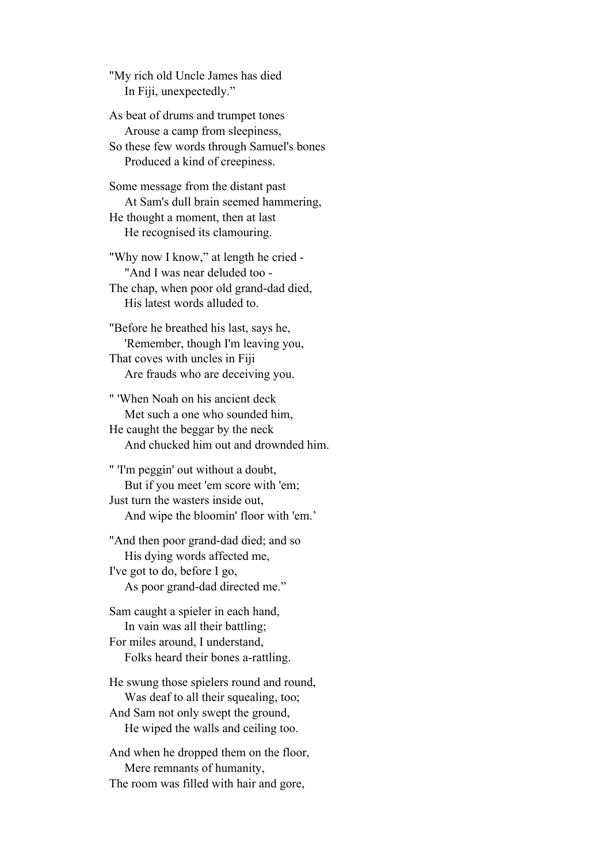"My rich old Uncle James has died In Fiji, unexpectedly."

As beat of drums and trumpet tones Arouse a camp from sleepiness, So these few words through Samuel's bones Produced a kind of creepiness.

Some message from the distant past At Sam's dull brain seemed hammering, He thought a moment, then at last He recognised its clamouring.

"Why now I know," at length he cried - "And I was near deluded too - The chap, when poor old grand-dad died, His latest words alluded to.

"Before he breathed his last, says he, 'Remember, though I'm leaving you, That coves with uncles in Fiji

Are frauds who are deceiving you.

" 'When Noah on his ancient deck Met such a one who sounded him, He caught the beggar by the neck And chucked him out and drownded him.

" 'I'm peggin' out without a doubt, But if you meet 'em score with 'em; Just turn the wasters inside out, And wipe the bloomin' floor with 'em.'

"And then poor grand-dad died; and so His dying words affected me, I've got to do, before I go, As poor grand-dad directed me."

Sam caught a spieler in each hand, In vain was all their battling; For miles around, I understand, Folks heard their bones a-rattling.

He swung those spielers round and round, Was deaf to all their squealing, too; And Sam not only swept the ground, He wiped the walls and ceiling too.

And when he dropped them on the floor, Mere remnants of humanity, The room was filled with hair and gore,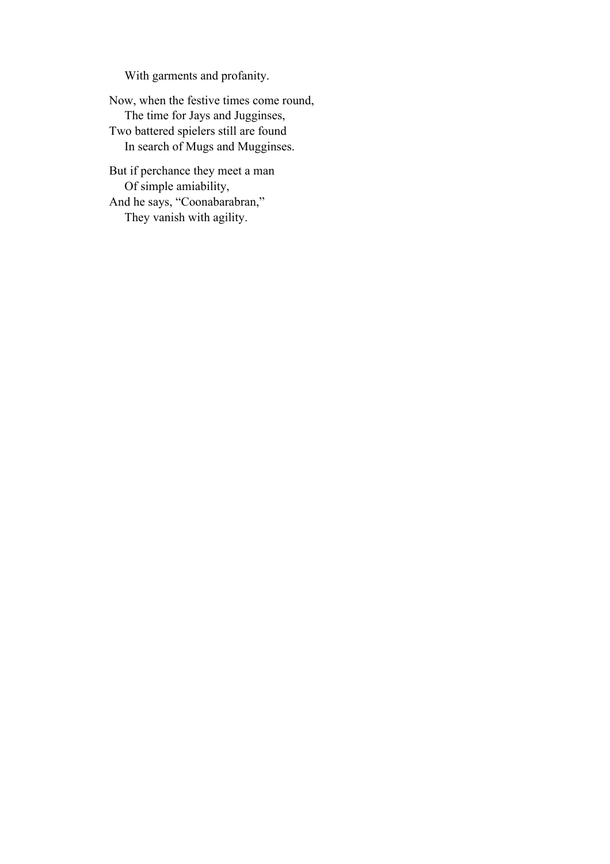With garments and profanity.

Now, when the festive times come round, The time for Jays and Jugginses, Two battered spielers still are found In search of Mugs and Mugginses.

But if perchance they meet a man Of simple amiability, And he says, "Coonabarabran," They vanish with agility.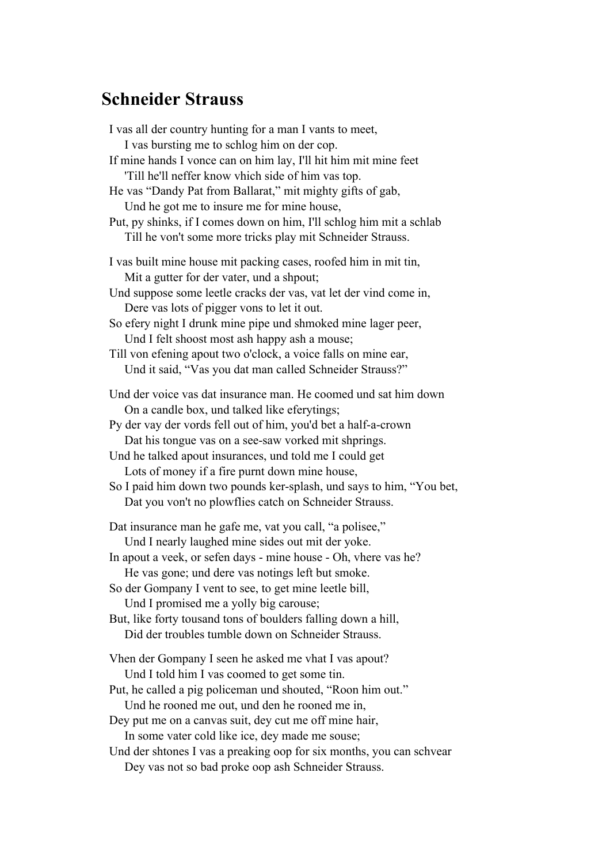# **Schneider Strauss**

| I vas all der country hunting for a man I vants to meet,<br>I vas bursting me to schlog him on der cop.<br>If mine hands I vonce can on him lay, I'll hit him mit mine feet<br>'Till he'll neffer know vhich side of him vas top.<br>He vas "Dandy Pat from Ballarat," mit mighty gifts of gab,<br>Und he got me to insure me for mine house,<br>Put, py shinks, if I comes down on him, I'll schlog him mit a schlab<br>Till he von't some more tricks play mit Schneider Strauss.      |
|------------------------------------------------------------------------------------------------------------------------------------------------------------------------------------------------------------------------------------------------------------------------------------------------------------------------------------------------------------------------------------------------------------------------------------------------------------------------------------------|
| I vas built mine house mit packing cases, roofed him in mit tin,<br>Mit a gutter for der vater, und a shpout;<br>Und suppose some leetle cracks der vas, vat let der vind come in,<br>Dere vas lots of pigger vons to let it out.<br>So efery night I drunk mine pipe und shmoked mine lager peer,<br>Und I felt shoost most ash happy ash a mouse;<br>Till von efening apout two o'clock, a voice falls on mine ear,<br>Und it said, "Vas you dat man called Schneider Strauss?"        |
| Und der voice vas dat insurance man. He coomed und sat him down<br>On a candle box, und talked like eferytings;<br>Py der vay der vords fell out of him, you'd bet a half-a-crown<br>Dat his tongue vas on a see-saw vorked mit shprings.<br>Und he talked apout insurances, und told me I could get<br>Lots of money if a fire purnt down mine house,<br>So I paid him down two pounds ker-splash, und says to him, "You bet,<br>Dat you von't no plowflies catch on Schneider Strauss. |
| Dat insurance man he gafe me, vat you call, "a polisee,"<br>Und I nearly laughed mine sides out mit der yoke.<br>In apout a veek, or sefen days - mine house - Oh, vhere vas he?<br>He vas gone; und dere vas notings left but smoke.<br>So der Gompany I vent to see, to get mine leetle bill,<br>Und I promised me a yolly big carouse;<br>But, like forty tousand tons of boulders falling down a hill,<br>Did der troubles tumble down on Schneider Strauss.                         |
| Vhen der Gompany I seen he asked me vhat I vas apout?<br>Und I told him I vas coomed to get some tin.<br>Put, he called a pig policeman und shouted, "Roon him out."<br>Und he rooned me out, und den he rooned me in,<br>Dey put me on a canvas suit, dey cut me off mine hair,<br>In some vater cold like ice, dey made me souse;<br>Und der shtones I vas a preaking oop for six months, you can schvear<br>Dey vas not so bad proke oop ash Schneider Strauss.                       |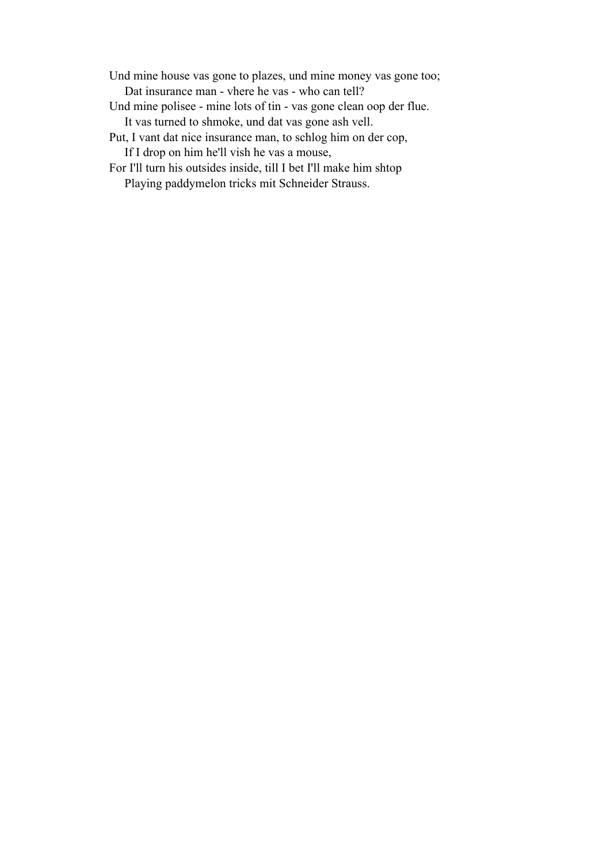Und mine house vas gone to plazes, und mine money vas gone too; Dat insurance man - vhere he vas - who can tell?

Und mine polisee - mine lots of tin - vas gone clean oop der flue. It vas turned to shmoke, und dat vas gone ash vell.

Put, I vant dat nice insurance man, to schlog him on der cop,

If I drop on him he'll vish he vas a mouse,

For I'll turn his outsides inside, till I bet I'll make him shtop Playing paddymelon tricks mit Schneider Strauss.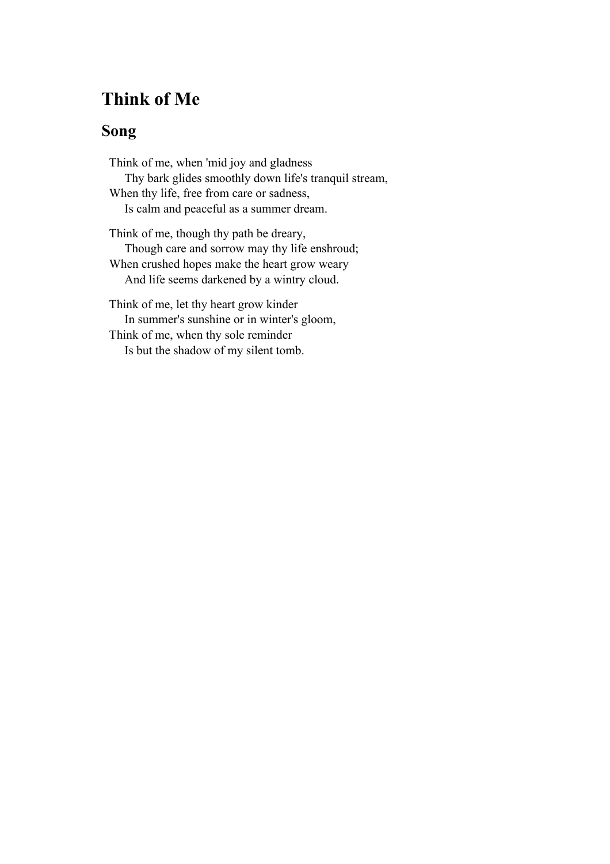# **Think of Me**

### **Song**

Think of me, when 'mid joy and gladness Thy bark glides smoothly down life's tranquil stream, When thy life, free from care or sadness, Is calm and peaceful as a summer dream.

Think of me, though thy path be dreary, Though care and sorrow may thy life enshroud; When crushed hopes make the heart grow weary And life seems darkened by a wintry cloud.

Think of me, let thy heart grow kinder In summer's sunshine or in winter's gloom, Think of me, when thy sole reminder Is but the shadow of my silent tomb.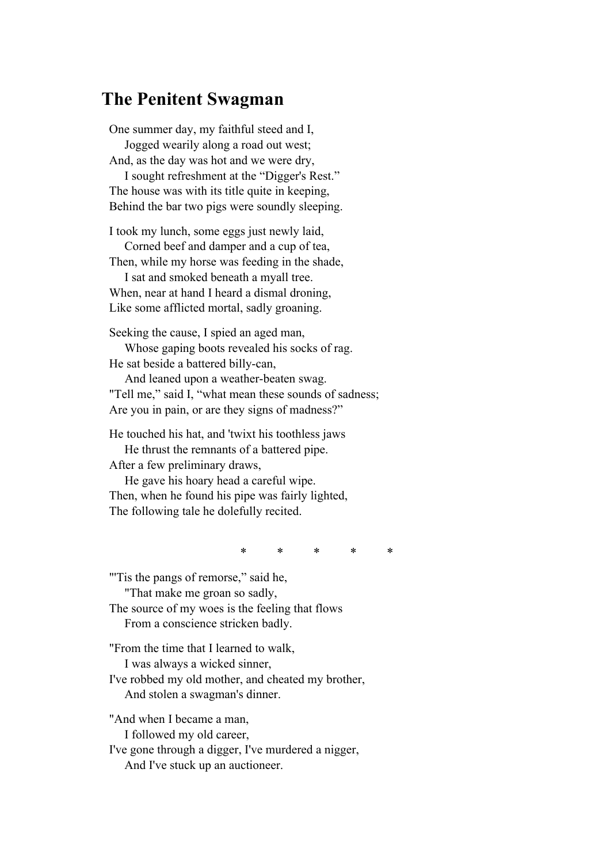### **The Penitent Swagman**

One summer day, my faithful steed and I, Jogged wearily along a road out west; And, as the day was hot and we were dry, I sought refreshment at the "Digger's Rest." The house was with its title quite in keeping, Behind the bar two pigs were soundly sleeping.

I took my lunch, some eggs just newly laid, Corned beef and damper and a cup of tea,

Then, while my horse was feeding in the shade, I sat and smoked beneath a myall tree.

When, near at hand I heard a dismal droning, Like some afflicted mortal, sadly groaning.

Seeking the cause, I spied an aged man,

 Whose gaping boots revealed his socks of rag. He sat beside a battered billy-can,

 And leaned upon a weather-beaten swag. "Tell me," said I, "what mean these sounds of sadness; Are you in pain, or are they signs of madness?"

He touched his hat, and 'twixt his toothless jaws He thrust the remnants of a battered pipe. After a few preliminary draws,

 He gave his hoary head a careful wipe. Then, when he found his pipe was fairly lighted, The following tale he dolefully recited.

\* \* \* \* \*

"Tis the pangs of remorse," said he, "That make me groan so sadly, The source of my woes is the feeling that flows From a conscience stricken badly.

"From the time that I learned to walk,

I was always a wicked sinner,

I've robbed my old mother, and cheated my brother, And stolen a swagman's dinner.

"And when I became a man, I followed my old career, I've gone through a digger, I've murdered a nigger, And I've stuck up an auctioneer.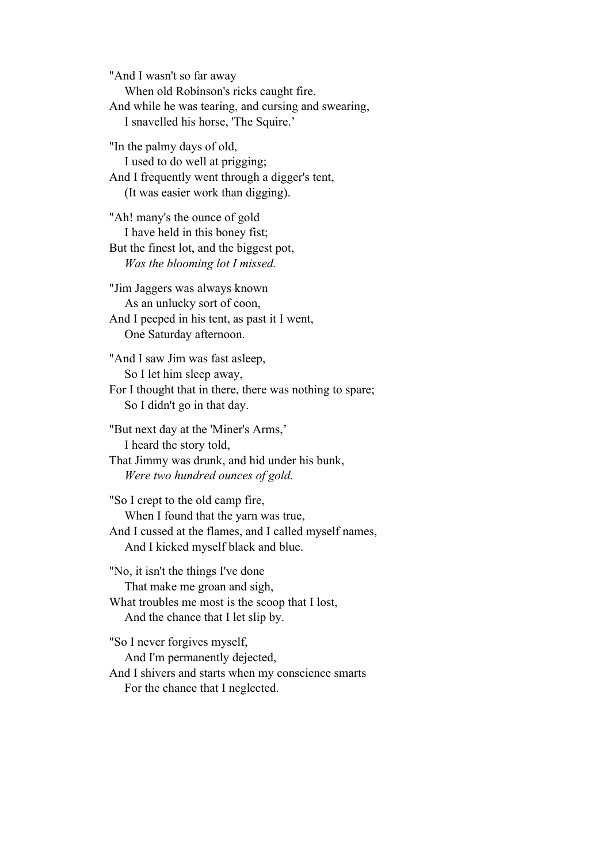"And I wasn't so far away When old Robinson's ricks caught fire. And while he was tearing, and cursing and swearing, I snavelled his horse, 'The Squire.'

"In the palmy days of old, I used to do well at prigging; And I frequently went through a digger's tent, (It was easier work than digging).

"Ah! many's the ounce of gold I have held in this boney fist; But the finest lot, and the biggest pot, *Was the blooming lot I missed.*

"Jim Jaggers was always known As an unlucky sort of coon, And I peeped in his tent, as past it I went, One Saturday afternoon.

"And I saw Jim was fast asleep, So I let him sleep away, For I thought that in there, there was nothing to spare; So I didn't go in that day.

"But next day at the 'Miner's Arms,' I heard the story told, That Jimmy was drunk, and hid under his bunk, *Were two hundred ounces of gold.*

"So I crept to the old camp fire, When I found that the yarn was true, And I cussed at the flames, and I called myself names, And I kicked myself black and blue.

"No, it isn't the things I've done That make me groan and sigh, What troubles me most is the scoop that I lost, And the chance that I let slip by.

"So I never forgives myself, And I'm permanently dejected, And I shivers and starts when my conscience smarts For the chance that I neglected.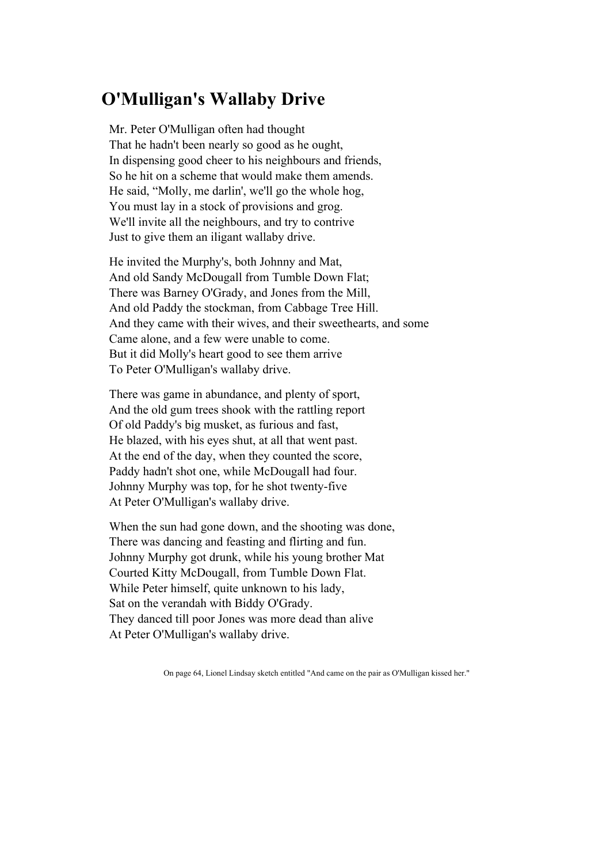## **O'Mulligan's Wallaby Drive**

Mr. Peter O'Mulligan often had thought That he hadn't been nearly so good as he ought, In dispensing good cheer to his neighbours and friends, So he hit on a scheme that would make them amends. He said, "Molly, me darlin', we'll go the whole hog, You must lay in a stock of provisions and grog. We'll invite all the neighbours, and try to contrive Just to give them an iligant wallaby drive.

He invited the Murphy's, both Johnny and Mat, And old Sandy McDougall from Tumble Down Flat; There was Barney O'Grady, and Jones from the Mill, And old Paddy the stockman, from Cabbage Tree Hill. And they came with their wives, and their sweethearts, and some Came alone, and a few were unable to come. But it did Molly's heart good to see them arrive To Peter O'Mulligan's wallaby drive.

There was game in abundance, and plenty of sport, And the old gum trees shook with the rattling report Of old Paddy's big musket, as furious and fast, He blazed, with his eyes shut, at all that went past. At the end of the day, when they counted the score, Paddy hadn't shot one, while McDougall had four. Johnny Murphy was top, for he shot twenty-five At Peter O'Mulligan's wallaby drive.

When the sun had gone down, and the shooting was done, There was dancing and feasting and flirting and fun. Johnny Murphy got drunk, while his young brother Mat Courted Kitty McDougall, from Tumble Down Flat. While Peter himself, quite unknown to his lady, Sat on the verandah with Biddy O'Grady. They danced till poor Jones was more dead than alive At Peter O'Mulligan's wallaby drive.

On page 64, Lionel Lindsay sketch entitled "And came on the pair as O'Mulligan kissed her."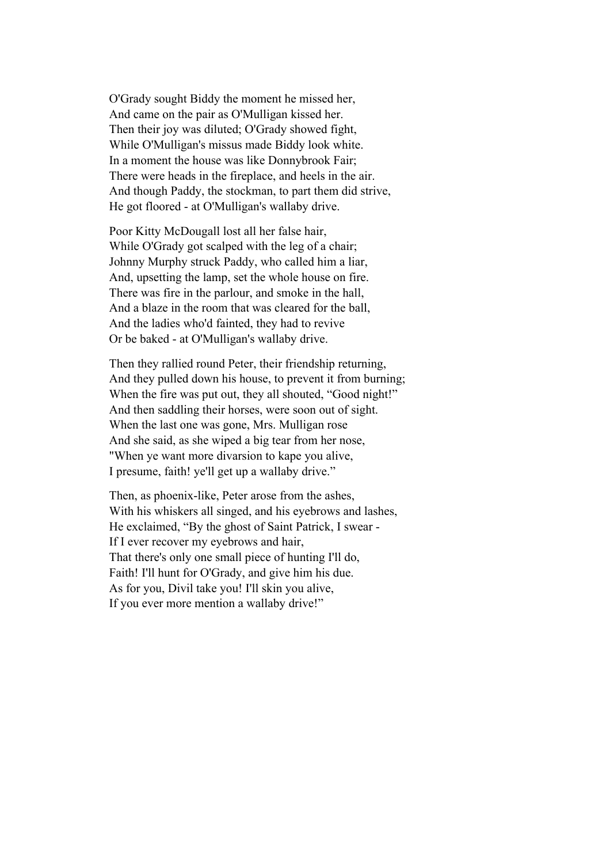O'Grady sought Biddy the moment he missed her, And came on the pair as O'Mulligan kissed her. Then their joy was diluted; O'Grady showed fight, While O'Mulligan's missus made Biddy look white. In a moment the house was like Donnybrook Fair; There were heads in the fireplace, and heels in the air. And though Paddy, the stockman, to part them did strive, He got floored - at O'Mulligan's wallaby drive.

Poor Kitty McDougall lost all her false hair, While O'Grady got scalped with the leg of a chair; Johnny Murphy struck Paddy, who called him a liar, And, upsetting the lamp, set the whole house on fire. There was fire in the parlour, and smoke in the hall, And a blaze in the room that was cleared for the ball, And the ladies who'd fainted, they had to revive Or be baked - at O'Mulligan's wallaby drive.

Then they rallied round Peter, their friendship returning, And they pulled down his house, to prevent it from burning; When the fire was put out, they all shouted, "Good night!" And then saddling their horses, were soon out of sight. When the last one was gone, Mrs. Mulligan rose And she said, as she wiped a big tear from her nose, "When ye want more divarsion to kape you alive, I presume, faith! ye'll get up a wallaby drive."

Then, as phoenix-like, Peter arose from the ashes, With his whiskers all singed, and his eyebrows and lashes, He exclaimed, "By the ghost of Saint Patrick, I swear - If I ever recover my eyebrows and hair, That there's only one small piece of hunting I'll do, Faith! I'll hunt for O'Grady, and give him his due. As for you, Divil take you! I'll skin you alive, If you ever more mention a wallaby drive!"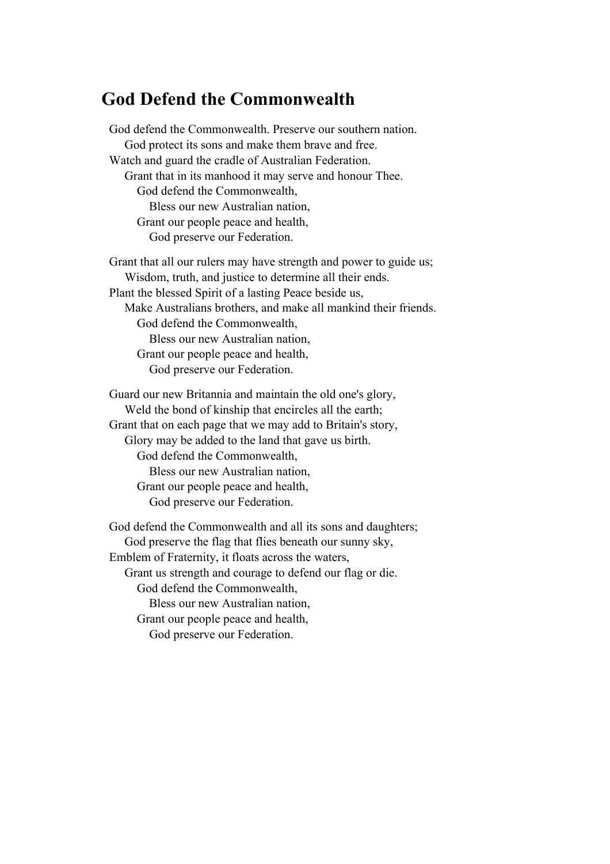## **God Defend the Commonwealth**

God defend the Commonwealth. Preserve our southern nation. God protect its sons and make them brave and free. Watch and guard the cradle of Australian Federation. Grant that in its manhood it may serve and honour Thee. God defend the Commonwealth, Bless our new Australian nation, Grant our people peace and health, God preserve our Federation. Grant that all our rulers may have strength and power to guide us; Wisdom, truth, and justice to determine all their ends. Plant the blessed Spirit of a lasting Peace beside us, Make Australians brothers, and make all mankind their friends. God defend the Commonwealth, Bless our new Australian nation, Grant our people peace and health, God preserve our Federation. Guard our new Britannia and maintain the old one's glory, Weld the bond of kinship that encircles all the earth; Grant that on each page that we may add to Britain's story, Glory may be added to the land that gave us birth. God defend the Commonwealth, Bless our new Australian nation, Grant our people peace and health, God preserve our Federation. God defend the Commonwealth and all its sons and daughters; God preserve the flag that flies beneath our sunny sky, Emblem of Fraternity, it floats across the waters, Grant us strength and courage to defend our flag or die. God defend the Commonwealth, Bless our new Australian nation, Grant our people peace and health, God preserve our Federation.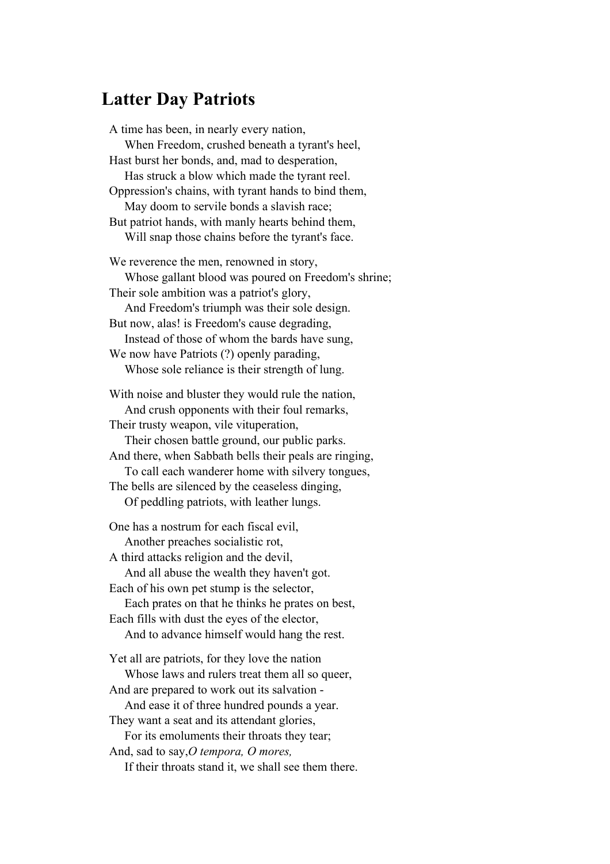### **Latter Day Patriots**

A time has been, in nearly every nation, When Freedom, crushed beneath a tyrant's heel, Hast burst her bonds, and, mad to desperation, Has struck a blow which made the tyrant reel. Oppression's chains, with tyrant hands to bind them, May doom to servile bonds a slavish race; But patriot hands, with manly hearts behind them, Will snap those chains before the tyrant's face. We reverence the men, renowned in story, Whose gallant blood was poured on Freedom's shrine; Their sole ambition was a patriot's glory, And Freedom's triumph was their sole design. But now, alas! is Freedom's cause degrading, Instead of those of whom the bards have sung, We now have Patriots (?) openly parading, Whose sole reliance is their strength of lung. With noise and bluster they would rule the nation, And crush opponents with their foul remarks, Their trusty weapon, vile vituperation, Their chosen battle ground, our public parks. And there, when Sabbath bells their peals are ringing, To call each wanderer home with silvery tongues, The bells are silenced by the ceaseless dinging, Of peddling patriots, with leather lungs. One has a nostrum for each fiscal evil, Another preaches socialistic rot, A third attacks religion and the devil, And all abuse the wealth they haven't got. Each of his own pet stump is the selector, Each prates on that he thinks he prates on best, Each fills with dust the eyes of the elector, And to advance himself would hang the rest. Yet all are patriots, for they love the nation Whose laws and rulers treat them all so queer, And are prepared to work out its salvation - And ease it of three hundred pounds a year. They want a seat and its attendant glories, For its emoluments their throats they tear; And, sad to say,*O tempora, O mores,* If their throats stand it, we shall see them there.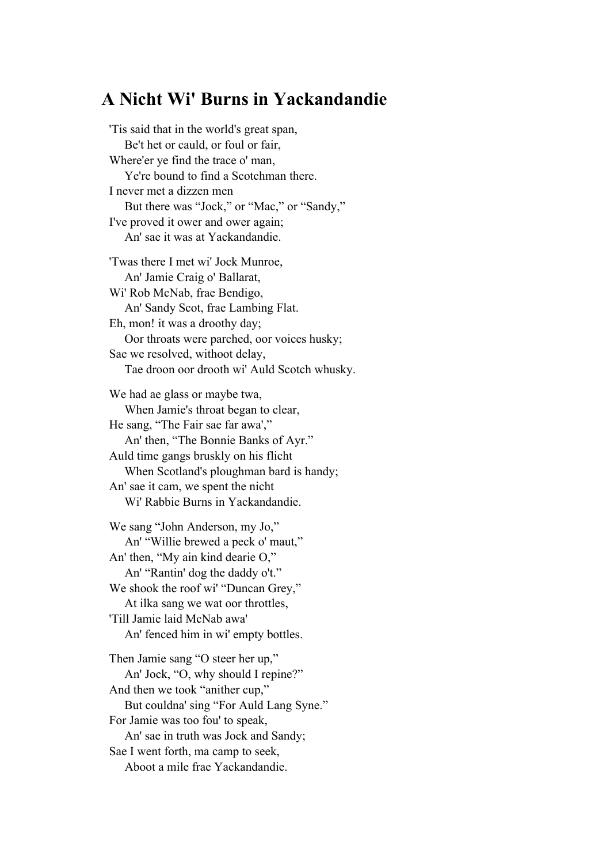### **A Nicht Wi' Burns in Yackandandie**

'Tis said that in the world's great span, Be't het or cauld, or foul or fair, Where'er ye find the trace o' man, Ye're bound to find a Scotchman there. I never met a dizzen men But there was "Jock," or "Mac," or "Sandy," I've proved it ower and ower again; An' sae it was at Yackandandie. 'Twas there I met wi' Jock Munroe, An' Jamie Craig o' Ballarat, Wi' Rob McNab, frae Bendigo, An' Sandy Scot, frae Lambing Flat. Eh, mon! it was a droothy day; Oor throats were parched, oor voices husky; Sae we resolved, withoot delay, Tae droon oor drooth wi' Auld Scotch whusky. We had ae glass or maybe twa, When Jamie's throat began to clear, He sang, "The Fair sae far awa'," An' then, "The Bonnie Banks of Ayr." Auld time gangs bruskly on his flicht When Scotland's ploughman bard is handy; An' sae it cam, we spent the nicht Wi' Rabbie Burns in Yackandandie. We sang "John Anderson, my Jo," An' "Willie brewed a peck o' maut," An' then, "My ain kind dearie O," An' "Rantin' dog the daddy o't." We shook the roof wi' "Duncan Grey," At ilka sang we wat oor throttles, 'Till Jamie laid McNab awa' An' fenced him in wi' empty bottles. Then Jamie sang "O steer her up," An' Jock, "O, why should I repine?" And then we took "anither cup," But couldna' sing "For Auld Lang Syne." For Jamie was too fou' to speak, An' sae in truth was Jock and Sandy; Sae I went forth, ma camp to seek, Aboot a mile frae Yackandandie.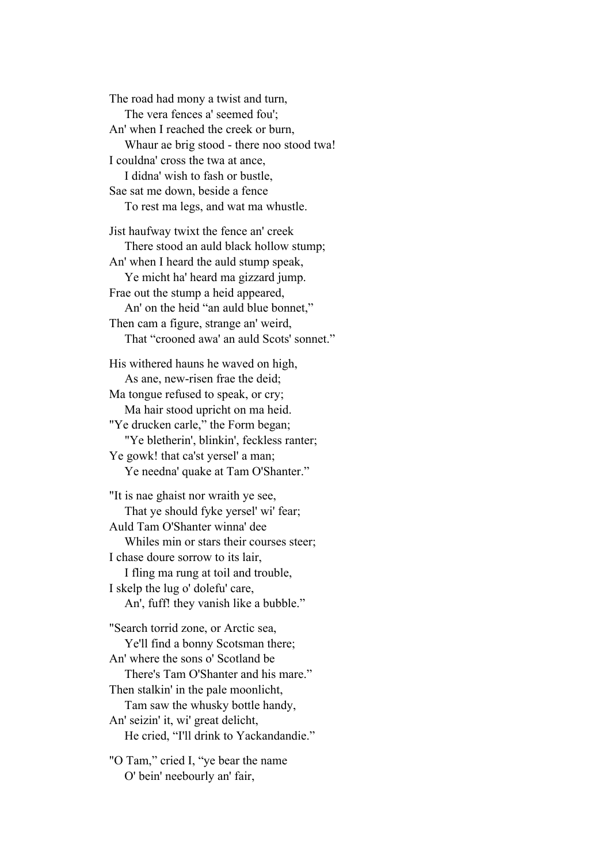The road had mony a twist and turn, The vera fences a' seemed fou'; An' when I reached the creek or burn, Whaur ae brig stood - there noo stood twa! I couldna' cross the twa at ance, I didna' wish to fash or bustle, Sae sat me down, beside a fence To rest ma legs, and wat ma whustle. Jist haufway twixt the fence an' creek

 There stood an auld black hollow stump; An' when I heard the auld stump speak, Ye micht ha' heard ma gizzard jump. Frae out the stump a heid appeared, An' on the heid "an auld blue bonnet," Then cam a figure, strange an' weird, That "crooned awa' an auld Scots' sonnet."

His withered hauns he waved on high, As ane, new-risen frae the deid; Ma tongue refused to speak, or cry; Ma hair stood upricht on ma heid. "Ye drucken carle," the Form began;

 "Ye bletherin', blinkin', feckless ranter; Ye gowk! that ca'st yersel' a man;

Ye needna' quake at Tam O'Shanter."

"It is nae ghaist nor wraith ye see, That ye should fyke yersel' wi' fear; Auld Tam O'Shanter winna' dee Whiles min or stars their courses steer; I chase doure sorrow to its lair, I fling ma rung at toil and trouble, I skelp the lug o' dolefu' care, An', fuff! they vanish like a bubble."

"Search torrid zone, or Arctic sea, Ye'll find a bonny Scotsman there; An' where the sons o' Scotland be There's Tam O'Shanter and his mare." Then stalkin' in the pale moonlicht, Tam saw the whusky bottle handy, An' seizin' it, wi' great delicht, He cried, "I'll drink to Yackandandie." "O Tam," cried I, "ye bear the name

O' bein' neebourly an' fair,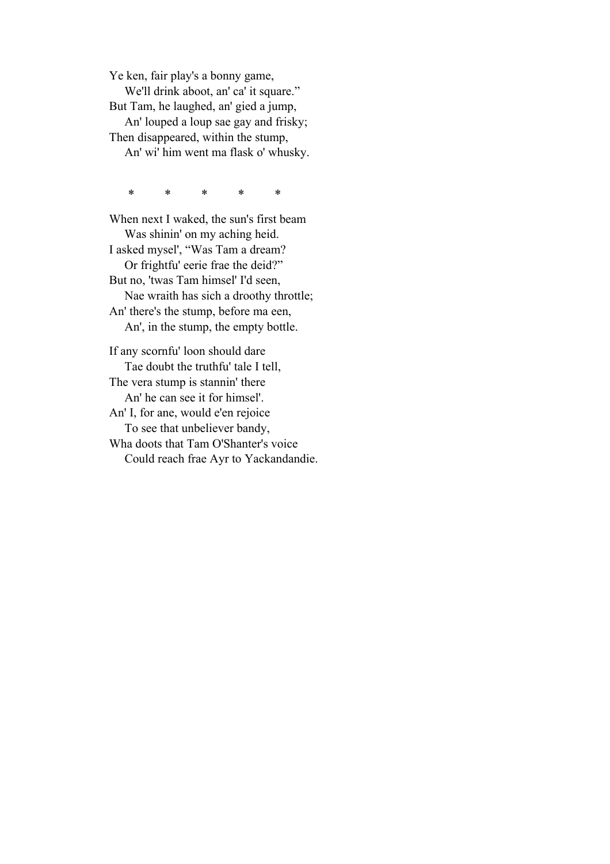Ye ken, fair play's a bonny game,

We'll drink aboot, an' ca' it square." But Tam, he laughed, an' gied a jump,

 An' louped a loup sae gay and frisky; Then disappeared, within the stump,

An' wi' him went ma flask o' whusky.

\* \* \* \* \*

When next I waked, the sun's first beam Was shinin' on my aching heid. I asked mysel', "Was Tam a dream? Or frightfu' eerie frae the deid?" But no, 'twas Tam himsel' I'd seen, Nae wraith has sich a droothy throttle; An' there's the stump, before ma een, An', in the stump, the empty bottle. If any scornfu' loon should dare Tae doubt the truthfu' tale I tell, The vera stump is stannin' there An' he can see it for himsel'. An' I, for ane, would e'en rejoice To see that unbeliever bandy,

Wha doots that Tam O'Shanter's voice Could reach frae Ayr to Yackandandie.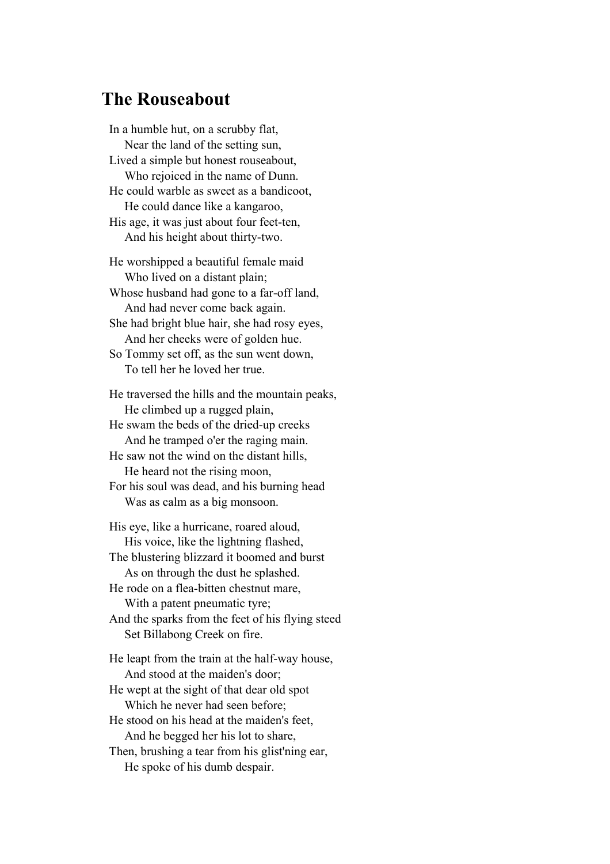### **The Rouseabout**

In a humble hut, on a scrubby flat,

 Near the land of the setting sun, Lived a simple but honest rouseabout, Who rejoiced in the name of Dunn. He could warble as sweet as a bandicoot, He could dance like a kangaroo, His age, it was just about four feet-ten, And his height about thirty-two. He worshipped a beautiful female maid Who lived on a distant plain; Whose husband had gone to a far-off land, And had never come back again. She had bright blue hair, she had rosy eyes, And her cheeks were of golden hue. So Tommy set off, as the sun went down, To tell her he loved her true. He traversed the hills and the mountain peaks, He climbed up a rugged plain, He swam the beds of the dried-up creeks And he tramped o'er the raging main. He saw not the wind on the distant hills, He heard not the rising moon, For his soul was dead, and his burning head Was as calm as a big monsoon. His eye, like a hurricane, roared aloud, His voice, like the lightning flashed, The blustering blizzard it boomed and burst As on through the dust he splashed. He rode on a flea-bitten chestnut mare, With a patent pneumatic tyre; And the sparks from the feet of his flying steed Set Billabong Creek on fire. He leapt from the train at the half-way house, And stood at the maiden's door; He wept at the sight of that dear old spot Which he never had seen before; He stood on his head at the maiden's feet, And he begged her his lot to share, Then, brushing a tear from his glist'ning ear, He spoke of his dumb despair.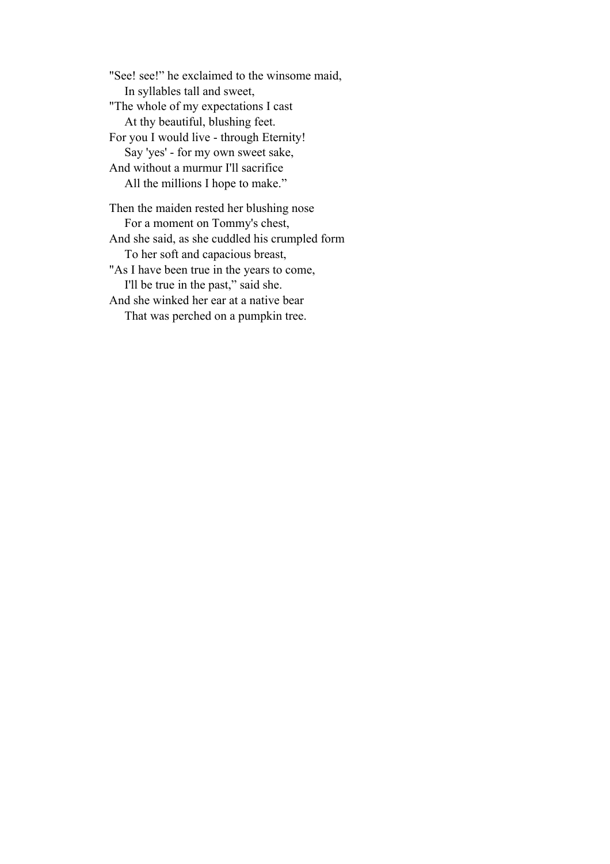"See! see!" he exclaimed to the winsome maid, In syllables tall and sweet, "The whole of my expectations I cast At thy beautiful, blushing feet. For you I would live - through Eternity! Say 'yes' - for my own sweet sake, And without a murmur I'll sacrifice All the millions I hope to make."

Then the maiden rested her blushing nose For a moment on Tommy's chest, And she said, as she cuddled his crumpled form To her soft and capacious breast, "As I have been true in the years to come, I'll be true in the past," said she. And she winked her ear at a native bear That was perched on a pumpkin tree.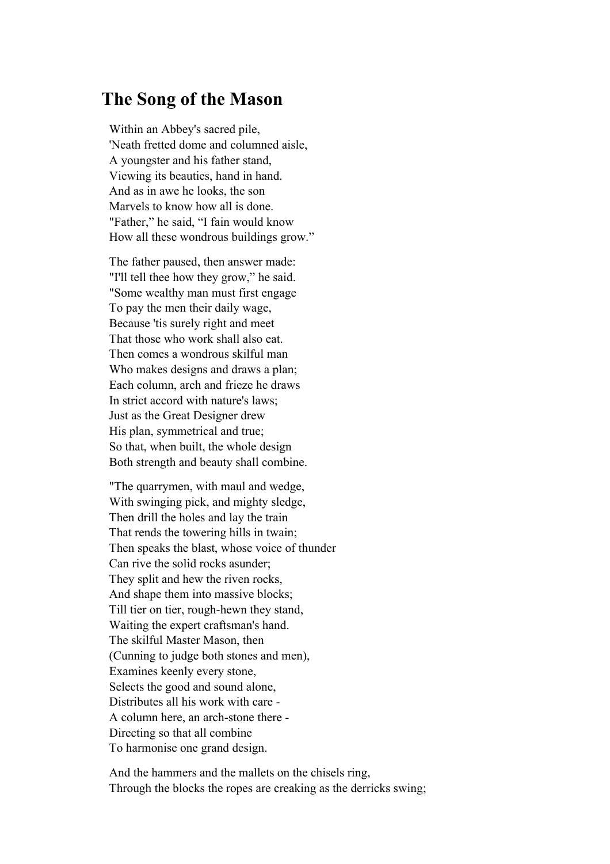### **The Song of the Mason**

Within an Abbey's sacred pile, 'Neath fretted dome and columned aisle, A youngster and his father stand, Viewing its beauties, hand in hand. And as in awe he looks, the son Marvels to know how all is done. "Father," he said, "I fain would know How all these wondrous buildings grow."

The father paused, then answer made: "I'll tell thee how they grow," he said. "Some wealthy man must first engage To pay the men their daily wage, Because 'tis surely right and meet That those who work shall also eat. Then comes a wondrous skilful man Who makes designs and draws a plan; Each column, arch and frieze he draws In strict accord with nature's laws; Just as the Great Designer drew His plan, symmetrical and true; So that, when built, the whole design Both strength and beauty shall combine.

"The quarrymen, with maul and wedge, With swinging pick, and mighty sledge, Then drill the holes and lay the train That rends the towering hills in twain; Then speaks the blast, whose voice of thunder Can rive the solid rocks asunder; They split and hew the riven rocks, And shape them into massive blocks; Till tier on tier, rough-hewn they stand, Waiting the expert craftsman's hand. The skilful Master Mason, then (Cunning to judge both stones and men), Examines keenly every stone, Selects the good and sound alone, Distributes all his work with care - A column here, an arch-stone there - Directing so that all combine To harmonise one grand design.

And the hammers and the mallets on the chisels ring, Through the blocks the ropes are creaking as the derricks swing;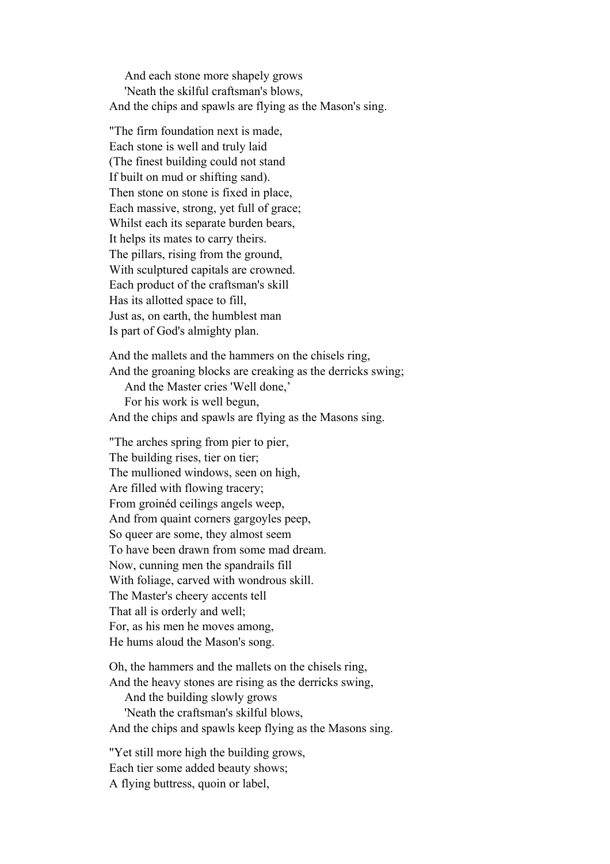And each stone more shapely grows 'Neath the skilful craftsman's blows, And the chips and spawls are flying as the Mason's sing.

"The firm foundation next is made, Each stone is well and truly laid (The finest building could not stand If built on mud or shifting sand). Then stone on stone is fixed in place, Each massive, strong, yet full of grace; Whilst each its separate burden bears, It helps its mates to carry theirs. The pillars, rising from the ground, With sculptured capitals are crowned. Each product of the craftsman's skill Has its allotted space to fill, Just as, on earth, the humblest man Is part of God's almighty plan.

And the mallets and the hammers on the chisels ring, And the groaning blocks are creaking as the derricks swing; And the Master cries 'Well done,' For his work is well begun, And the chips and spawls are flying as the Masons sing.

"The arches spring from pier to pier, The building rises, tier on tier; The mullioned windows, seen on high, Are filled with flowing tracery; From groinéd ceilings angels weep, And from quaint corners gargoyles peep, So queer are some, they almost seem To have been drawn from some mad dream. Now, cunning men the spandrails fill With foliage, carved with wondrous skill. The Master's cheery accents tell That all is orderly and well; For, as his men he moves among, He hums aloud the Mason's song.

Oh, the hammers and the mallets on the chisels ring, And the heavy stones are rising as the derricks swing,

 And the building slowly grows 'Neath the craftsman's skilful blows,

And the chips and spawls keep flying as the Masons sing.

"Yet still more high the building grows, Each tier some added beauty shows; A flying buttress, quoin or label,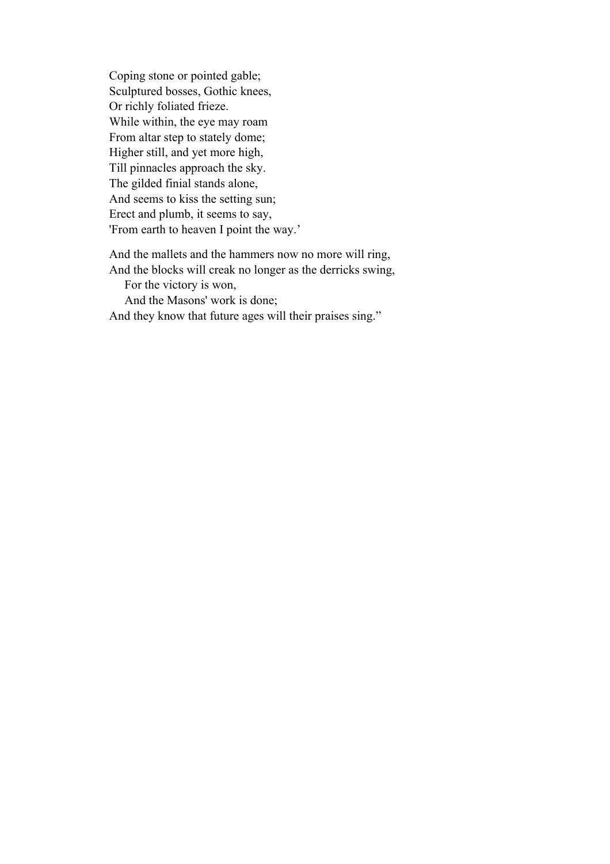Coping stone or pointed gable; Sculptured bosses, Gothic knees, Or richly foliated frieze. While within, the eye may roam From altar step to stately dome; Higher still, and yet more high, Till pinnacles approach the sky. The gilded finial stands alone, And seems to kiss the setting sun; Erect and plumb, it seems to say, 'From earth to heaven I point the way.'

And the mallets and the hammers now no more will ring,

And the blocks will creak no longer as the derricks swing,

For the victory is won,

And the Masons' work is done;

And they know that future ages will their praises sing."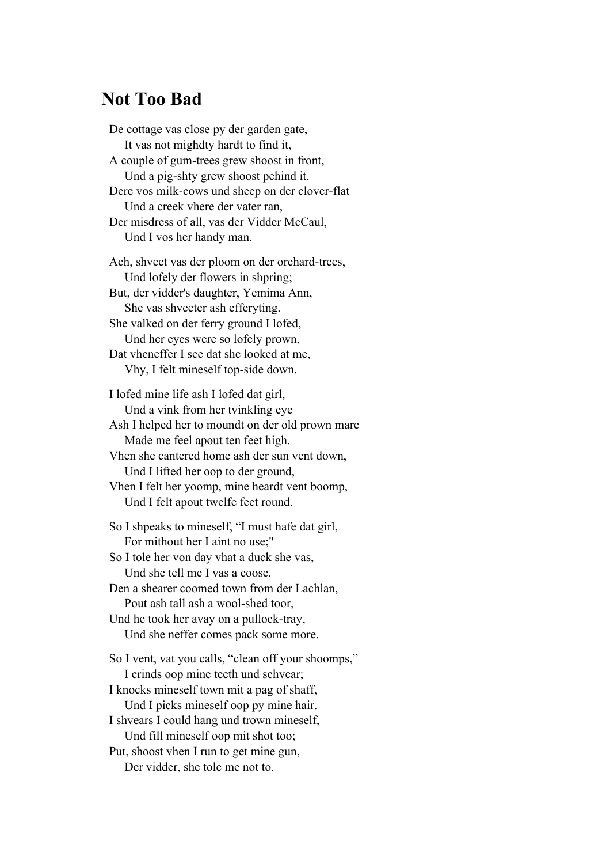## **Not Too Bad**

De cottage vas close py der garden gate, It vas not mighdty hardt to find it, A couple of gum-trees grew shoost in front, Und a pig-shty grew shoost pehind it. Dere vos milk-cows und sheep on der clover-flat Und a creek vhere der vater ran, Der misdress of all, vas der Vidder McCaul, Und I vos her handy man. Ach, shveet vas der ploom on der orchard-trees, Und lofely der flowers in shpring; But, der vidder's daughter, Yemima Ann, She vas shveeter ash efferyting. She valked on der ferry ground I lofed, Und her eyes were so lofely prown, Dat vheneffer I see dat she looked at me, Vhy, I felt mineself top-side down. I lofed mine life ash I lofed dat girl, Und a vink from her tvinkling eye Ash I helped her to moundt on der old prown mare Made me feel apout ten feet high. Vhen she cantered home ash der sun vent down, Und I lifted her oop to der ground, Vhen I felt her yoomp, mine heardt vent boomp, Und I felt apout twelfe feet round. So I shpeaks to mineself, "I must hafe dat girl, For mithout her I aint no use;" So I tole her von day vhat a duck she vas, Und she tell me I vas a coose. Den a shearer coomed town from der Lachlan, Pout ash tall ash a wool-shed toor, Und he took her avay on a pullock-tray, Und she neffer comes pack some more. So I vent, vat you calls, "clean off your shoomps," I crinds oop mine teeth und schvear; I knocks mineself town mit a pag of shaff, Und I picks mineself oop py mine hair. I shvears I could hang und trown mineself, Und fill mineself oop mit shot too; Put, shoost vhen I run to get mine gun, Der vidder, she tole me not to.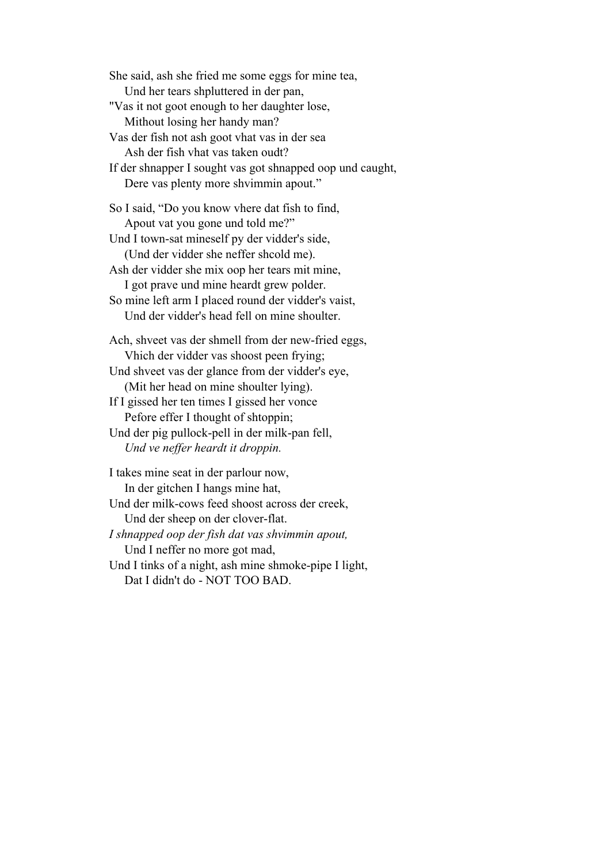She said, ash she fried me some eggs for mine tea, Und her tears shpluttered in der pan, "Vas it not goot enough to her daughter lose, Mithout losing her handy man? Vas der fish not ash goot vhat vas in der sea Ash der fish vhat vas taken oudt? If der shnapper I sought vas got shnapped oop und caught, Dere vas plenty more shvimmin apout." So I said, "Do you know vhere dat fish to find, Apout vat you gone und told me?" Und I town-sat mineself py der vidder's side, (Und der vidder she neffer shcold me). Ash der vidder she mix oop her tears mit mine, I got prave und mine heardt grew polder. So mine left arm I placed round der vidder's vaist, Und der vidder's head fell on mine shoulter. Ach, shveet vas der shmell from der new-fried eggs, Vhich der vidder vas shoost peen frying; Und shveet vas der glance from der vidder's eye, (Mit her head on mine shoulter lying). If I gissed her ten times I gissed her vonce Pefore effer I thought of shtoppin; Und der pig pullock-pell in der milk-pan fell, *Und ve neffer heardt it droppin.* I takes mine seat in der parlour now, In der gitchen I hangs mine hat, Und der milk-cows feed shoost across der creek, Und der sheep on der clover-flat. *I shnapped oop der fish dat vas shvimmin apout,* Und I neffer no more got mad, Und I tinks of a night, ash mine shmoke-pipe I light, Dat I didn't do - NOT TOO BAD.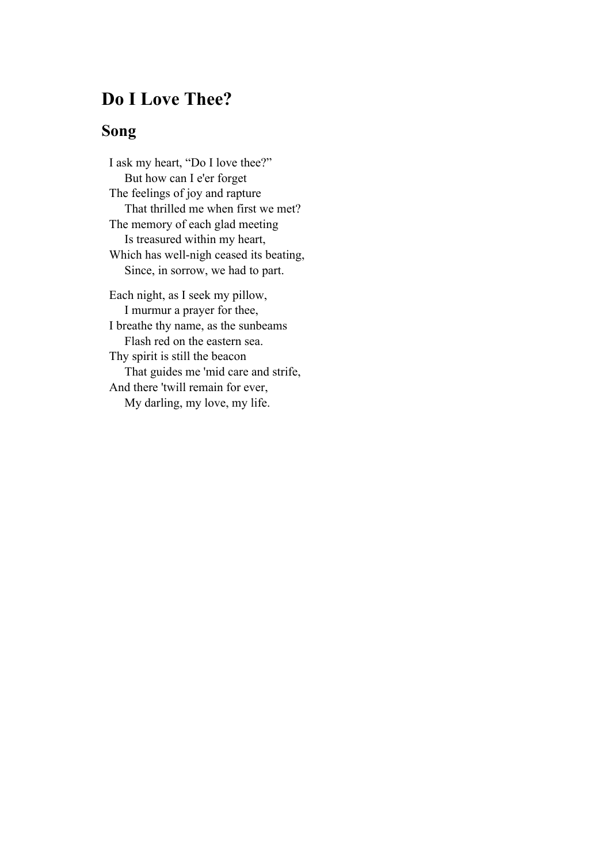# **Do I Love Thee?**

### **Song**

I ask my heart, "Do I love thee?" But how can I e'er forget The feelings of joy and rapture That thrilled me when first we met? The memory of each glad meeting Is treasured within my heart, Which has well-nigh ceased its beating, Since, in sorrow, we had to part. Each night, as I seek my pillow,

 I murmur a prayer for thee, I breathe thy name, as the sunbeams Flash red on the eastern sea. Thy spirit is still the beacon That guides me 'mid care and strife, And there 'twill remain for ever, My darling, my love, my life.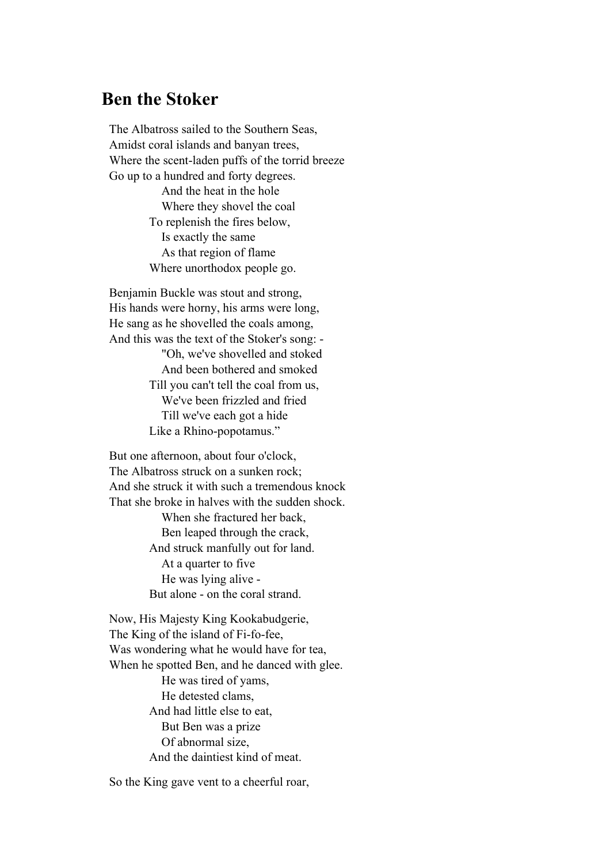### **Ben the Stoker**

The Albatross sailed to the Southern Seas, Amidst coral islands and banyan trees, Where the scent-laden puffs of the torrid breeze Go up to a hundred and forty degrees. And the heat in the hole Where they shovel the coal To replenish the fires below, Is exactly the same As that region of flame Where unorthodox people go.

Benjamin Buckle was stout and strong, His hands were horny, his arms were long, He sang as he shovelled the coals among, And this was the text of the Stoker's song: - "Oh, we've shovelled and stoked And been bothered and smoked Till you can't tell the coal from us, We've been frizzled and fried Till we've each got a hide Like a Rhino-popotamus."

But one afternoon, about four o'clock, The Albatross struck on a sunken rock; And she struck it with such a tremendous knock That she broke in halves with the sudden shock. When she fractured her back, Ben leaped through the crack, And struck manfully out for land. At a quarter to five He was lying alive - But alone - on the coral strand.

Now, His Majesty King Kookabudgerie, The King of the island of Fi-fo-fee, Was wondering what he would have for tea, When he spotted Ben, and he danced with glee. He was tired of yams, He detested clams, And had little else to eat, But Ben was a prize Of abnormal size, And the daintiest kind of meat.

So the King gave vent to a cheerful roar,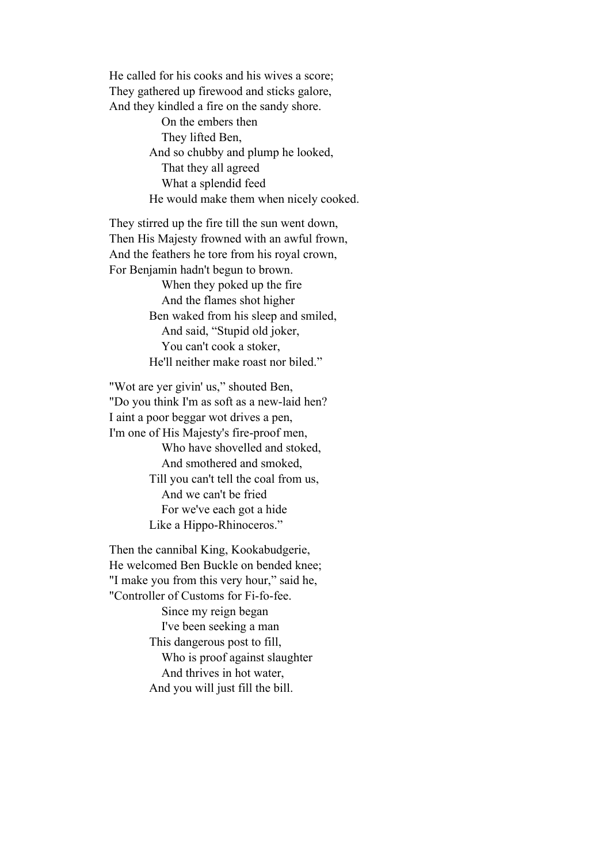He called for his cooks and his wives a score; They gathered up firewood and sticks galore, And they kindled a fire on the sandy shore. On the embers then

 They lifted Ben, And so chubby and plump he looked, That they all agreed What a splendid feed He would make them when nicely cooked.

They stirred up the fire till the sun went down, Then His Majesty frowned with an awful frown, And the feathers he tore from his royal crown, For Benjamin hadn't begun to brown. When they poked up the fire And the flames shot higher

 Ben waked from his sleep and smiled, And said, "Stupid old joker, You can't cook a stoker, He'll neither make roast nor biled."

"Wot are yer givin' us," shouted Ben, "Do you think I'm as soft as a new-laid hen? I aint a poor beggar wot drives a pen, I'm one of His Majesty's fire-proof men, Who have shovelled and stoked, And smothered and smoked, Till you can't tell the coal from us, And we can't be fried For we've each got a hide Like a Hippo-Rhinoceros."

Then the cannibal King, Kookabudgerie, He welcomed Ben Buckle on bended knee; "I make you from this very hour," said he, "Controller of Customs for Fi-fo-fee. Since my reign began I've been seeking a man This dangerous post to fill, Who is proof against slaughter And thrives in hot water, And you will just fill the bill.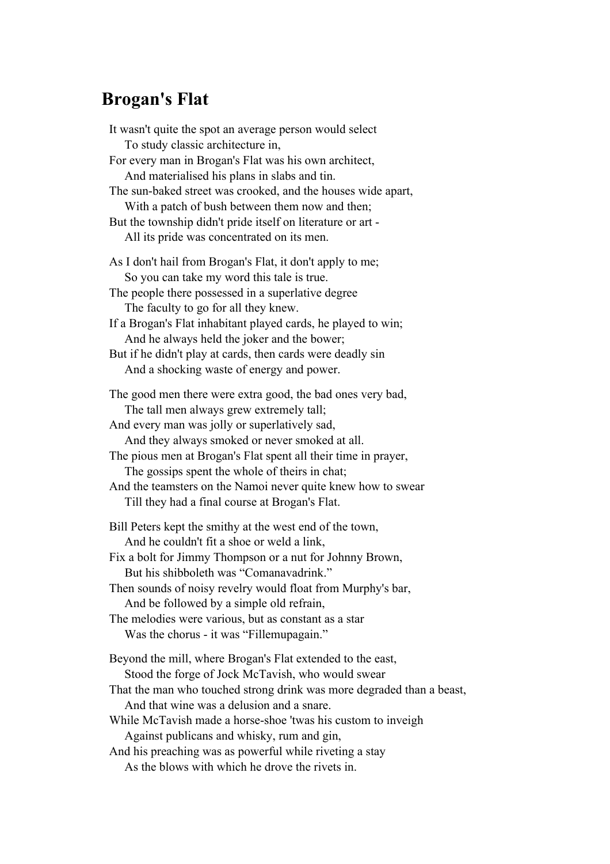# **Brogan's Flat**

It wasn't quite the spot an average person would select To study classic architecture in, For every man in Brogan's Flat was his own architect, And materialised his plans in slabs and tin. The sun-baked street was crooked, and the houses wide apart, With a patch of bush between them now and then; But the township didn't pride itself on literature or art - All its pride was concentrated on its men. As I don't hail from Brogan's Flat, it don't apply to me; So you can take my word this tale is true. The people there possessed in a superlative degree The faculty to go for all they knew. If a Brogan's Flat inhabitant played cards, he played to win; And he always held the joker and the bower; But if he didn't play at cards, then cards were deadly sin And a shocking waste of energy and power. The good men there were extra good, the bad ones very bad, The tall men always grew extremely tall; And every man was jolly or superlatively sad, And they always smoked or never smoked at all. The pious men at Brogan's Flat spent all their time in prayer, The gossips spent the whole of theirs in chat; And the teamsters on the Namoi never quite knew how to swear Till they had a final course at Brogan's Flat. Bill Peters kept the smithy at the west end of the town, And he couldn't fit a shoe or weld a link, Fix a bolt for Jimmy Thompson or a nut for Johnny Brown, But his shibboleth was "Comanavadrink." Then sounds of noisy revelry would float from Murphy's bar, And be followed by a simple old refrain, The melodies were various, but as constant as a star Was the chorus - it was "Fillemupagain." Beyond the mill, where Brogan's Flat extended to the east, Stood the forge of Jock McTavish, who would swear That the man who touched strong drink was more degraded than a beast, And that wine was a delusion and a snare. While McTavish made a horse-shoe 'twas his custom to inveigh Against publicans and whisky, rum and gin, And his preaching was as powerful while riveting a stay As the blows with which he drove the rivets in.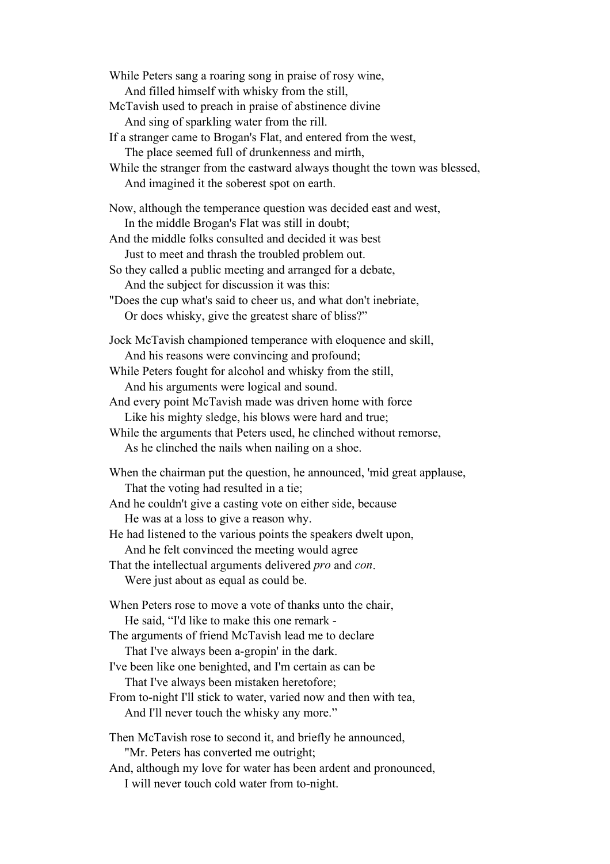While Peters sang a roaring song in praise of rosy wine, And filled himself with whisky from the still, McTavish used to preach in praise of abstinence divine And sing of sparkling water from the rill. If a stranger came to Brogan's Flat, and entered from the west, The place seemed full of drunkenness and mirth, While the stranger from the eastward always thought the town was blessed, And imagined it the soberest spot on earth. Now, although the temperance question was decided east and west, In the middle Brogan's Flat was still in doubt; And the middle folks consulted and decided it was best Just to meet and thrash the troubled problem out. So they called a public meeting and arranged for a debate, And the subject for discussion it was this: "Does the cup what's said to cheer us, and what don't inebriate, Or does whisky, give the greatest share of bliss?" Jock McTavish championed temperance with eloquence and skill, And his reasons were convincing and profound; While Peters fought for alcohol and whisky from the still, And his arguments were logical and sound. And every point McTavish made was driven home with force Like his mighty sledge, his blows were hard and true; While the arguments that Peters used, he clinched without remorse, As he clinched the nails when nailing on a shoe. When the chairman put the question, he announced, 'mid great applause, That the voting had resulted in a tie; And he couldn't give a casting vote on either side, because He was at a loss to give a reason why. He had listened to the various points the speakers dwelt upon, And he felt convinced the meeting would agree That the intellectual arguments delivered *pro* and *con*. Were just about as equal as could be. When Peters rose to move a vote of thanks unto the chair, He said, "I'd like to make this one remark - The arguments of friend McTavish lead me to declare That I've always been a-gropin' in the dark. I've been like one benighted, and I'm certain as can be That I've always been mistaken heretofore; From to-night I'll stick to water, varied now and then with tea, And I'll never touch the whisky any more." Then McTavish rose to second it, and briefly he announced, "Mr. Peters has converted me outright; And, although my love for water has been ardent and pronounced, I will never touch cold water from to-night.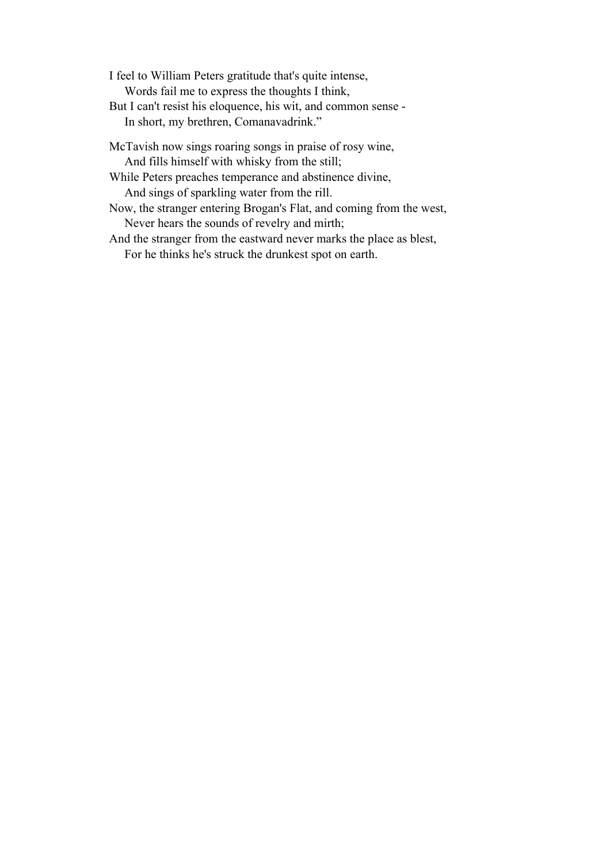I feel to William Peters gratitude that's quite intense, Words fail me to express the thoughts I think, But I can't resist his eloquence, his wit, and common sense -

- In short, my brethren, Comanavadrink."
- McTavish now sings roaring songs in praise of rosy wine, And fills himself with whisky from the still;
- While Peters preaches temperance and abstinence divine, And sings of sparkling water from the rill.
- Now, the stranger entering Brogan's Flat, and coming from the west, Never hears the sounds of revelry and mirth;
- And the stranger from the eastward never marks the place as blest, For he thinks he's struck the drunkest spot on earth.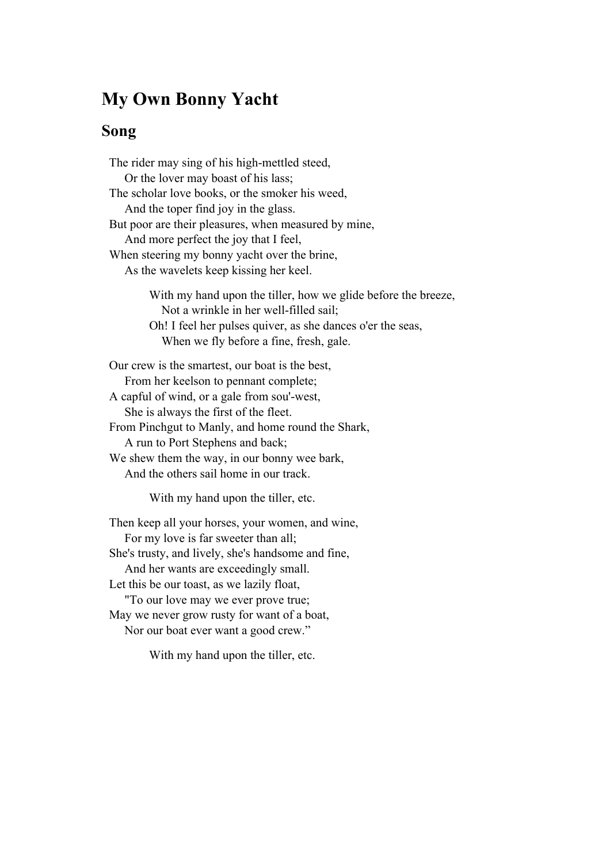## **My Own Bonny Yacht**

#### **Song**

The rider may sing of his high-mettled steed, Or the lover may boast of his lass; The scholar love books, or the smoker his weed, And the toper find joy in the glass. But poor are their pleasures, when measured by mine, And more perfect the joy that I feel, When steering my bonny yacht over the brine, As the wavelets keep kissing her keel. With my hand upon the tiller, how we glide before the breeze, Not a wrinkle in her well-filled sail; Oh! I feel her pulses quiver, as she dances o'er the seas, When we fly before a fine, fresh, gale.

Our crew is the smartest, our boat is the best, From her keelson to pennant complete; A capful of wind, or a gale from sou'-west, She is always the first of the fleet. From Pinchgut to Manly, and home round the Shark, A run to Port Stephens and back; We shew them the way, in our bonny wee bark, And the others sail home in our track.

With my hand upon the tiller, etc.

Then keep all your horses, your women, and wine, For my love is far sweeter than all; She's trusty, and lively, she's handsome and fine, And her wants are exceedingly small.

Let this be our toast, as we lazily float,

 "To our love may we ever prove true; May we never grow rusty for want of a boat, Nor our boat ever want a good crew."

With my hand upon the tiller, etc.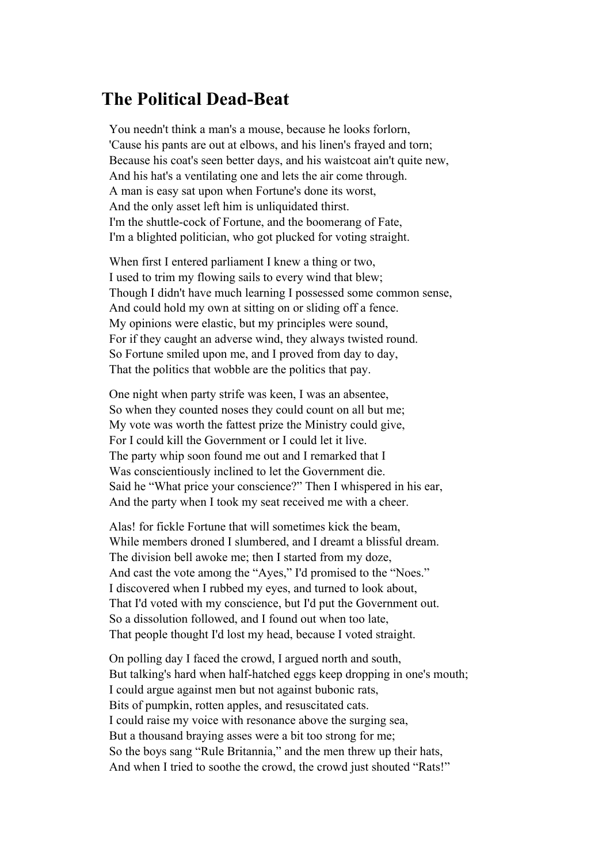## **The Political Dead-Beat**

You needn't think a man's a mouse, because he looks forlorn, 'Cause his pants are out at elbows, and his linen's frayed and torn; Because his coat's seen better days, and his waistcoat ain't quite new, And his hat's a ventilating one and lets the air come through. A man is easy sat upon when Fortune's done its worst, And the only asset left him is unliquidated thirst. I'm the shuttle-cock of Fortune, and the boomerang of Fate, I'm a blighted politician, who got plucked for voting straight.

When first I entered parliament I knew a thing or two, I used to trim my flowing sails to every wind that blew; Though I didn't have much learning I possessed some common sense, And could hold my own at sitting on or sliding off a fence. My opinions were elastic, but my principles were sound, For if they caught an adverse wind, they always twisted round. So Fortune smiled upon me, and I proved from day to day, That the politics that wobble are the politics that pay.

One night when party strife was keen, I was an absentee, So when they counted noses they could count on all but me; My vote was worth the fattest prize the Ministry could give, For I could kill the Government or I could let it live. The party whip soon found me out and I remarked that I Was conscientiously inclined to let the Government die. Said he "What price your conscience?" Then I whispered in his ear, And the party when I took my seat received me with a cheer.

Alas! for fickle Fortune that will sometimes kick the beam, While members droned I slumbered, and I dreamt a blissful dream. The division bell awoke me; then I started from my doze, And cast the vote among the "Ayes," I'd promised to the "Noes." I discovered when I rubbed my eyes, and turned to look about, That I'd voted with my conscience, but I'd put the Government out. So a dissolution followed, and I found out when too late, That people thought I'd lost my head, because I voted straight.

On polling day I faced the crowd, I argued north and south, But talking's hard when half-hatched eggs keep dropping in one's mouth; I could argue against men but not against bubonic rats, Bits of pumpkin, rotten apples, and resuscitated cats. I could raise my voice with resonance above the surging sea, But a thousand braying asses were a bit too strong for me; So the boys sang "Rule Britannia," and the men threw up their hats, And when I tried to soothe the crowd, the crowd just shouted "Rats!"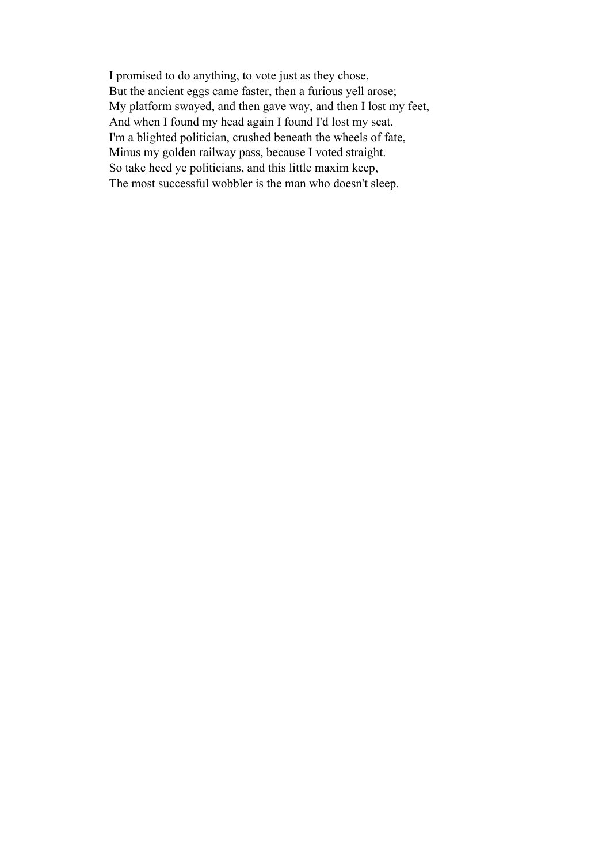I promised to do anything, to vote just as they chose, But the ancient eggs came faster, then a furious yell arose; My platform swayed, and then gave way, and then I lost my feet, And when I found my head again I found I'd lost my seat. I'm a blighted politician, crushed beneath the wheels of fate, Minus my golden railway pass, because I voted straight. So take heed ye politicians, and this little maxim keep, The most successful wobbler is the man who doesn't sleep.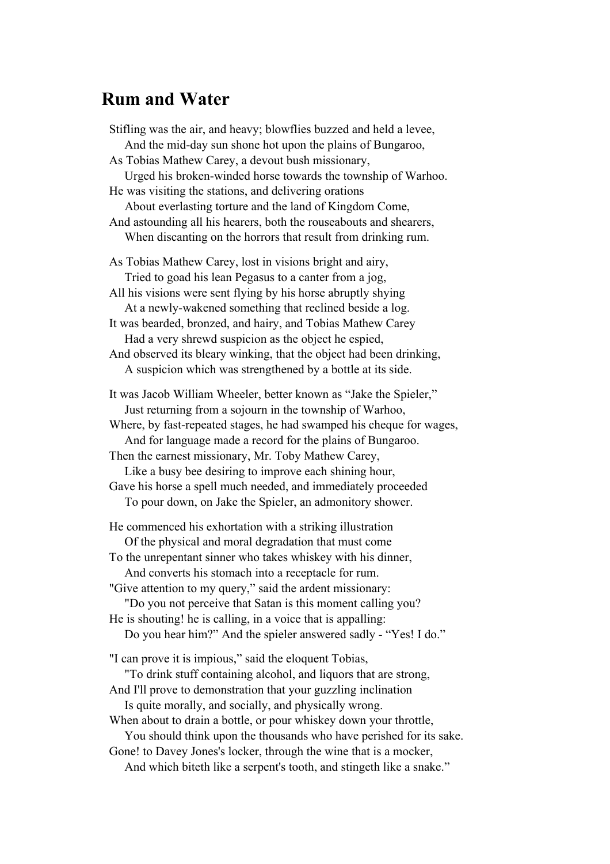### **Rum and Water**

Stifling was the air, and heavy; blowflies buzzed and held a levee, And the mid-day sun shone hot upon the plains of Bungaroo, As Tobias Mathew Carey, a devout bush missionary, Urged his broken-winded horse towards the township of Warhoo. He was visiting the stations, and delivering orations About everlasting torture and the land of Kingdom Come, And astounding all his hearers, both the rouseabouts and shearers, When discanting on the horrors that result from drinking rum. As Tobias Mathew Carey, lost in visions bright and airy, Tried to goad his lean Pegasus to a canter from a jog, All his visions were sent flying by his horse abruptly shying At a newly-wakened something that reclined beside a log. It was bearded, bronzed, and hairy, and Tobias Mathew Carey Had a very shrewd suspicion as the object he espied, And observed its bleary winking, that the object had been drinking, A suspicion which was strengthened by a bottle at its side. It was Jacob William Wheeler, better known as "Jake the Spieler," Just returning from a sojourn in the township of Warhoo, Where, by fast-repeated stages, he had swamped his cheque for wages, And for language made a record for the plains of Bungaroo. Then the earnest missionary, Mr. Toby Mathew Carey, Like a busy bee desiring to improve each shining hour, Gave his horse a spell much needed, and immediately proceeded To pour down, on Jake the Spieler, an admonitory shower. He commenced his exhortation with a striking illustration Of the physical and moral degradation that must come To the unrepentant sinner who takes whiskey with his dinner, And converts his stomach into a receptacle for rum. "Give attention to my query," said the ardent missionary: "Do you not perceive that Satan is this moment calling you? He is shouting! he is calling, in a voice that is appalling: Do you hear him?" And the spieler answered sadly - "Yes! I do." "I can prove it is impious," said the eloquent Tobias, "To drink stuff containing alcohol, and liquors that are strong, And I'll prove to demonstration that your guzzling inclination Is quite morally, and socially, and physically wrong. When about to drain a bottle, or pour whiskey down your throttle, You should think upon the thousands who have perished for its sake. Gone! to Davey Jones's locker, through the wine that is a mocker, And which biteth like a serpent's tooth, and stingeth like a snake."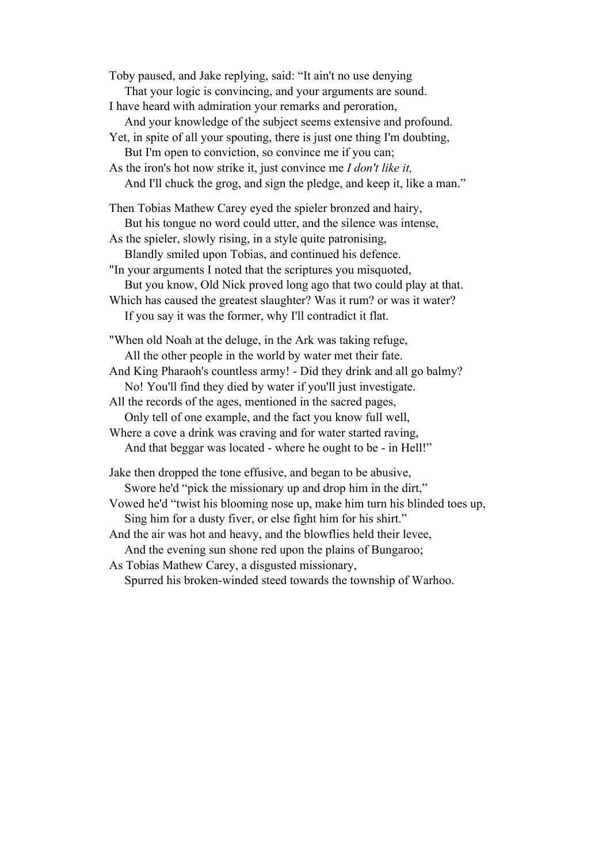Toby paused, and Jake replying, said: "It ain't no use denying That your logic is convincing, and your arguments are sound. I have heard with admiration your remarks and peroration, And your knowledge of the subject seems extensive and profound. Yet, in spite of all your spouting, there is just one thing I'm doubting, But I'm open to conviction, so convince me if you can; As the iron's hot now strike it, just convince me *I don't like it,* And I'll chuck the grog, and sign the pledge, and keep it, like a man." Then Tobias Mathew Carey eyed the spieler bronzed and hairy, But his tongue no word could utter, and the silence was intense, As the spieler, slowly rising, in a style quite patronising, Blandly smiled upon Tobias, and continued his defence. "In your arguments I noted that the scriptures you misquoted, But you know, Old Nick proved long ago that two could play at that. Which has caused the greatest slaughter? Was it rum? or was it water? If you say it was the former, why I'll contradict it flat. "When old Noah at the deluge, in the Ark was taking refuge, All the other people in the world by water met their fate. And King Pharaoh's countless army! - Did they drink and all go balmy? No! You'll find they died by water if you'll just investigate. All the records of the ages, mentioned in the sacred pages, Only tell of one example, and the fact you know full well, Where a cove a drink was craving and for water started raving, And that beggar was located - where he ought to be - in Hell!" Jake then dropped the tone effusive, and began to be abusive, Swore he'd "pick the missionary up and drop him in the dirt," Vowed he'd "twist his blooming nose up, make him turn his blinded toes up, Sing him for a dusty fiver, or else fight him for his shirt."

And the air was hot and heavy, and the blowflies held their levee,

And the evening sun shone red upon the plains of Bungaroo;

As Tobias Mathew Carey, a disgusted missionary,

Spurred his broken-winded steed towards the township of Warhoo.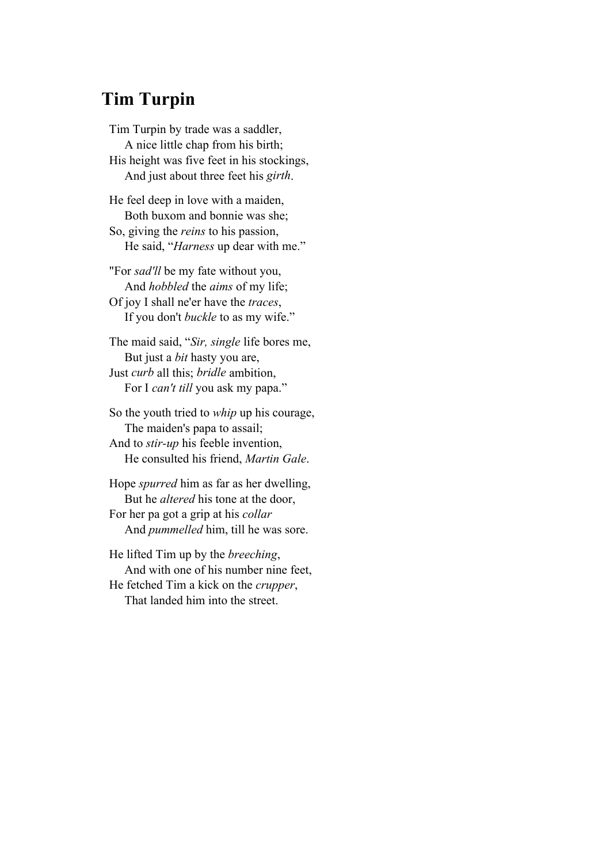# **Tim Turpin**

Tim Turpin by trade was a saddler, A nice little chap from his birth; His height was five feet in his stockings, And just about three feet his *girth*.

He feel deep in love with a maiden, Both buxom and bonnie was she; So, giving the *reins* to his passion, He said, "*Harness* up dear with me."

"For *sad'll* be my fate without you, And *hobbled* the *aims* of my life; Of joy I shall ne'er have the *traces*, If you don't *buckle* to as my wife."

The maid said, "*Sir, single* life bores me, But just a *bit* hasty you are, Just *curb* all this; *bridle* ambition, For I *can't till* you ask my papa."

So the youth tried to *whip* up his courage, The maiden's papa to assail; And to *stir-up* his feeble invention, He consulted his friend, *Martin Gale*.

Hope *spurred* him as far as her dwelling, But he *altered* his tone at the door, For her pa got a grip at his *collar* And *pummelled* him, till he was sore.

He lifted Tim up by the *breeching*, And with one of his number nine feet, He fetched Tim a kick on the *crupper*, That landed him into the street.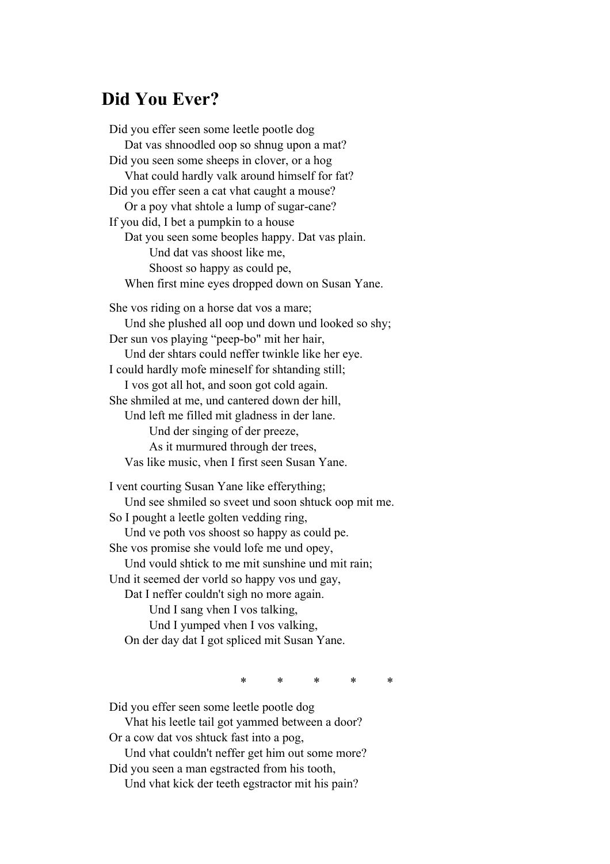### **Did You Ever?**

Did you effer seen some leetle pootle dog Dat vas shnoodled oop so shnug upon a mat? Did you seen some sheeps in clover, or a hog Vhat could hardly valk around himself for fat? Did you effer seen a cat vhat caught a mouse? Or a poy vhat shtole a lump of sugar-cane? If you did, I bet a pumpkin to a house Dat you seen some beoples happy. Dat vas plain. Und dat vas shoost like me, Shoost so happy as could pe, When first mine eyes dropped down on Susan Yane. She vos riding on a horse dat vos a mare; Und she plushed all oop und down und looked so shy; Der sun vos playing "peep-bo" mit her hair, Und der shtars could neffer twinkle like her eye. I could hardly mofe mineself for shtanding still; I vos got all hot, and soon got cold again. She shmiled at me, und cantered down der hill, Und left me filled mit gladness in der lane. Und der singing of der preeze, As it murmured through der trees, Vas like music, vhen I first seen Susan Yane.

I vent courting Susan Yane like efferything; Und see shmiled so sveet und soon shtuck oop mit me. So I pought a leetle golten vedding ring, Und ve poth vos shoost so happy as could pe. She vos promise she vould lofe me und opey, Und vould shtick to me mit sunshine und mit rain; Und it seemed der vorld so happy vos und gay, Dat I neffer couldn't sigh no more again. Und I sang vhen I vos talking, Und I yumped vhen I vos valking, On der day dat I got spliced mit Susan Yane.

\* \* \* \* \*

Did you effer seen some leetle pootle dog Vhat his leetle tail got yammed between a door? Or a cow dat vos shtuck fast into a pog, Und vhat couldn't neffer get him out some more? Did you seen a man egstracted from his tooth,

Und vhat kick der teeth egstractor mit his pain?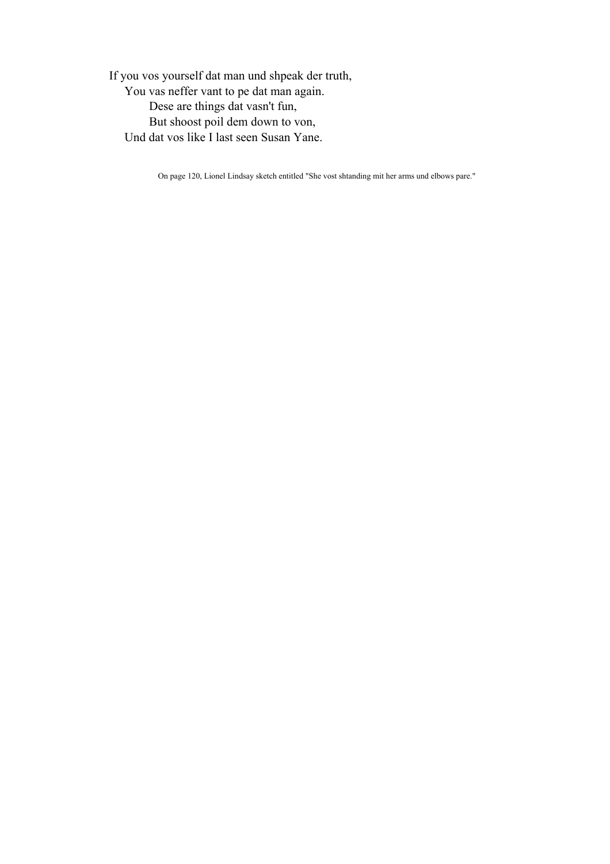If you vos yourself dat man und shpeak der truth, You vas neffer vant to pe dat man again. Dese are things dat vasn't fun, But shoost poil dem down to von, Und dat vos like I last seen Susan Yane.

On page 120, Lionel Lindsay sketch entitled "She vost shtanding mit her arms und elbows pare."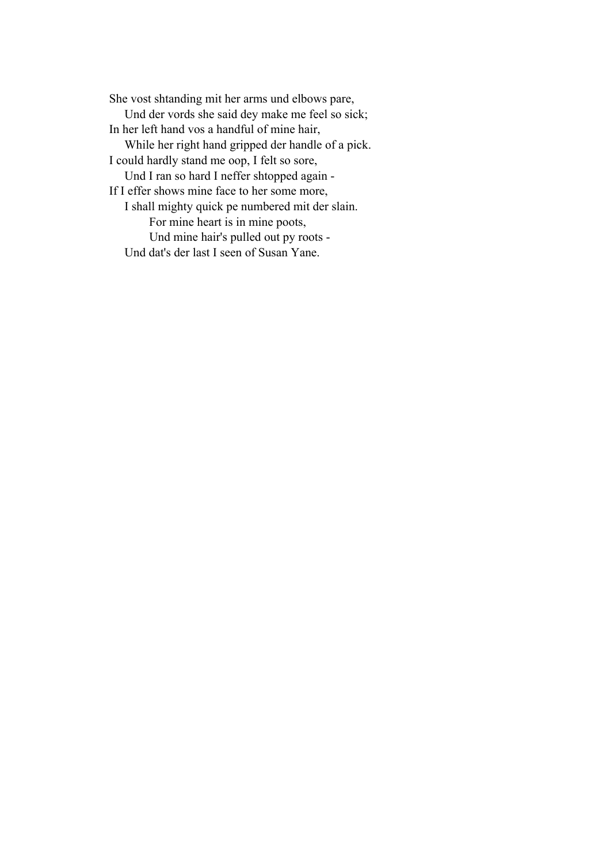She vost shtanding mit her arms und elbows pare, Und der vords she said dey make me feel so sick; In her left hand vos a handful of mine hair, While her right hand gripped der handle of a pick. I could hardly stand me oop, I felt so sore, Und I ran so hard I neffer shtopped again - If I effer shows mine face to her some more, I shall mighty quick pe numbered mit der slain. For mine heart is in mine poots, Und mine hair's pulled out py roots - Und dat's der last I seen of Susan Yane.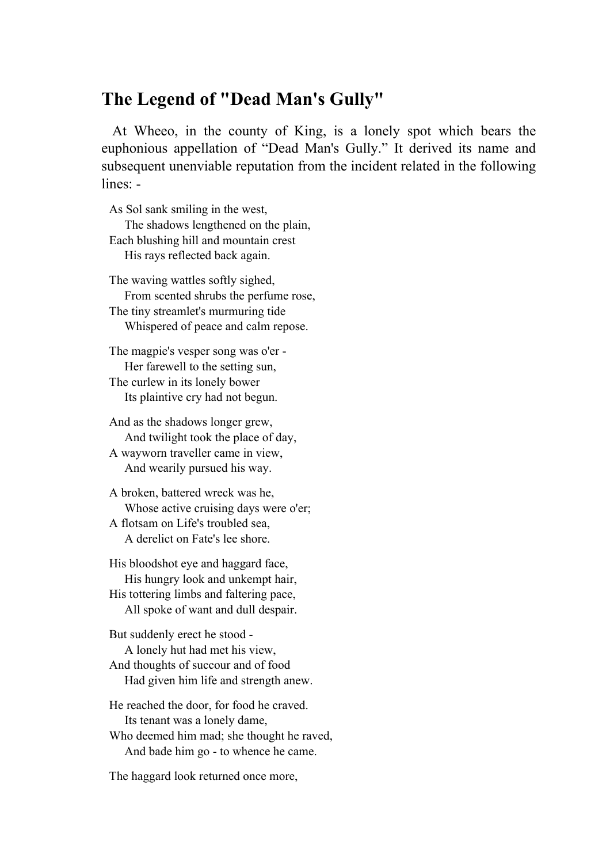## **The Legend of "Dead Man's Gully"**

 At Wheeo, in the county of King, is a lonely spot which bears the euphonious appellation of "Dead Man's Gully." It derived its name and subsequent unenviable reputation from the incident related in the following lines: -

As Sol sank smiling in the west, The shadows lengthened on the plain, Each blushing hill and mountain crest His rays reflected back again. The waving wattles softly sighed, From scented shrubs the perfume rose, The tiny streamlet's murmuring tide Whispered of peace and calm repose. The magpie's vesper song was o'er - Her farewell to the setting sun, The curlew in its lonely bower Its plaintive cry had not begun. And as the shadows longer grew, And twilight took the place of day, A wayworn traveller came in view, And wearily pursued his way. A broken, battered wreck was he, Whose active cruising days were o'er; A flotsam on Life's troubled sea, A derelict on Fate's lee shore. His bloodshot eye and haggard face, His hungry look and unkempt hair, His tottering limbs and faltering pace, All spoke of want and dull despair. But suddenly erect he stood - A lonely hut had met his view, And thoughts of succour and of food Had given him life and strength anew. He reached the door, for food he craved. Its tenant was a lonely dame, Who deemed him mad; she thought he raved, And bade him go - to whence he came.

The haggard look returned once more,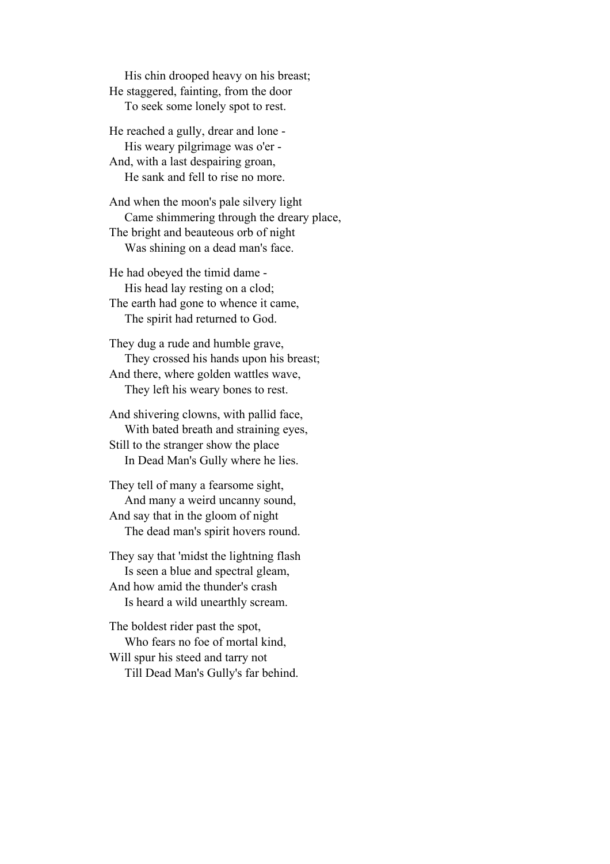His chin drooped heavy on his breast; He staggered, fainting, from the door To seek some lonely spot to rest.

He reached a gully, drear and lone - His weary pilgrimage was o'er -And, with a last despairing groan, He sank and fell to rise no more.

And when the moon's pale silvery light Came shimmering through the dreary place, The bright and beauteous orb of night Was shining on a dead man's face.

He had obeyed the timid dame - His head lay resting on a clod; The earth had gone to whence it came, The spirit had returned to God.

They dug a rude and humble grave, They crossed his hands upon his breast; And there, where golden wattles wave, They left his weary bones to rest.

And shivering clowns, with pallid face, With bated breath and straining eyes, Still to the stranger show the place In Dead Man's Gully where he lies.

They tell of many a fearsome sight, And many a weird uncanny sound, And say that in the gloom of night The dead man's spirit hovers round.

They say that 'midst the lightning flash Is seen a blue and spectral gleam, And how amid the thunder's crash Is heard a wild unearthly scream.

The boldest rider past the spot, Who fears no foe of mortal kind, Will spur his steed and tarry not Till Dead Man's Gully's far behind.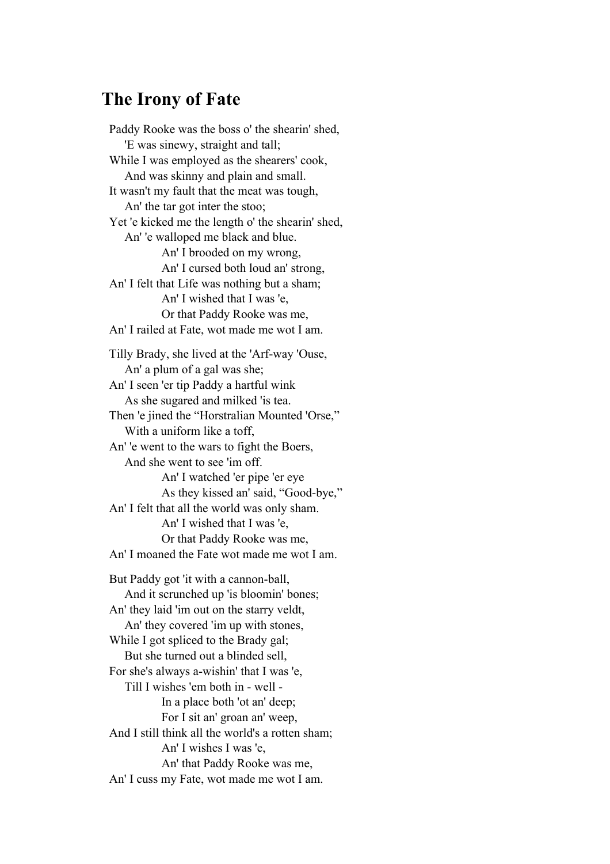### **The Irony of Fate**

Paddy Rooke was the boss o' the shearin' shed, 'E was sinewy, straight and tall; While I was employed as the shearers' cook, And was skinny and plain and small. It wasn't my fault that the meat was tough, An' the tar got inter the stoo; Yet 'e kicked me the length o' the shearin' shed, An' 'e walloped me black and blue. An' I brooded on my wrong, An' I cursed both loud an' strong, An' I felt that Life was nothing but a sham; An' I wished that I was 'e, Or that Paddy Rooke was me, An' I railed at Fate, wot made me wot I am. Tilly Brady, she lived at the 'Arf-way 'Ouse, An' a plum of a gal was she; An' I seen 'er tip Paddy a hartful wink As she sugared and milked 'is tea. Then 'e jined the "Horstralian Mounted 'Orse," With a uniform like a toff, An' 'e went to the wars to fight the Boers, And she went to see 'im off. An' I watched 'er pipe 'er eye As they kissed an' said, "Good-bye," An' I felt that all the world was only sham. An' I wished that I was 'e, Or that Paddy Rooke was me, An' I moaned the Fate wot made me wot I am. But Paddy got 'it with a cannon-ball, And it scrunched up 'is bloomin' bones; An' they laid 'im out on the starry veldt, An' they covered 'im up with stones, While I got spliced to the Brady gal; But she turned out a blinded sell, For she's always a-wishin' that I was 'e, Till I wishes 'em both in - well - In a place both 'ot an' deep; For I sit an' groan an' weep, And I still think all the world's a rotten sham; An' I wishes I was 'e, An' that Paddy Rooke was me, An' I cuss my Fate, wot made me wot I am.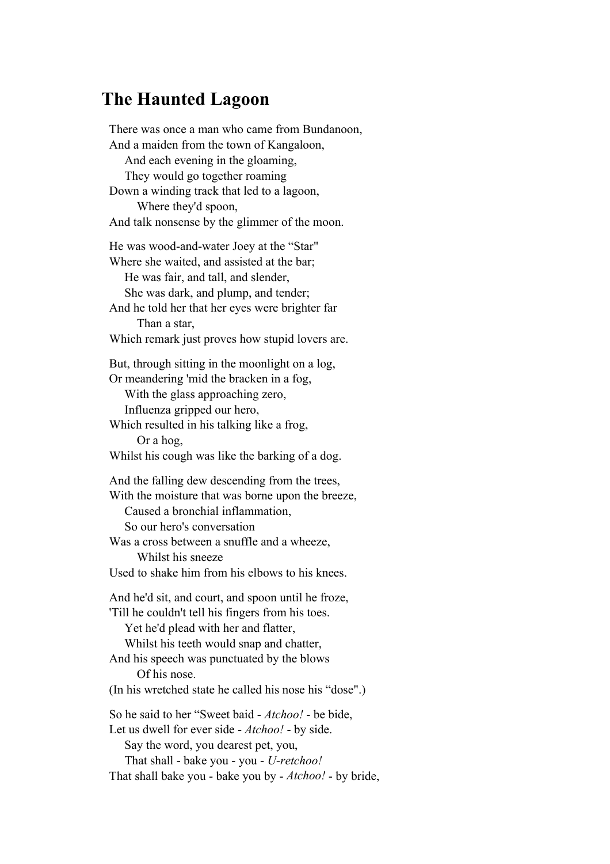## **The Haunted Lagoon**

There was once a man who came from Bundanoon, And a maiden from the town of Kangaloon, And each evening in the gloaming, They would go together roaming Down a winding track that led to a lagoon, Where they'd spoon, And talk nonsense by the glimmer of the moon. He was wood-and-water Joey at the "Star" Where she waited, and assisted at the bar; He was fair, and tall, and slender, She was dark, and plump, and tender; And he told her that her eyes were brighter far Than a star, Which remark just proves how stupid lovers are. But, through sitting in the moonlight on a log, Or meandering 'mid the bracken in a fog, With the glass approaching zero, Influenza gripped our hero, Which resulted in his talking like a frog, Or a hog, Whilst his cough was like the barking of a dog. And the falling dew descending from the trees, With the moisture that was borne upon the breeze, Caused a bronchial inflammation, So our hero's conversation Was a cross between a snuffle and a wheeze, Whilst his sneeze Used to shake him from his elbows to his knees. And he'd sit, and court, and spoon until he froze, 'Till he couldn't tell his fingers from his toes. Yet he'd plead with her and flatter, Whilst his teeth would snap and chatter, And his speech was punctuated by the blows Of his nose. (In his wretched state he called his nose his "dose".) So he said to her "Sweet baid - *Atchoo!* - be bide, Let us dwell for ever side - *Atchoo!* - by side. Say the word, you dearest pet, you, That shall - bake you - you - *U-retchoo!* That shall bake you - bake you by - *Atchoo!* - by bride,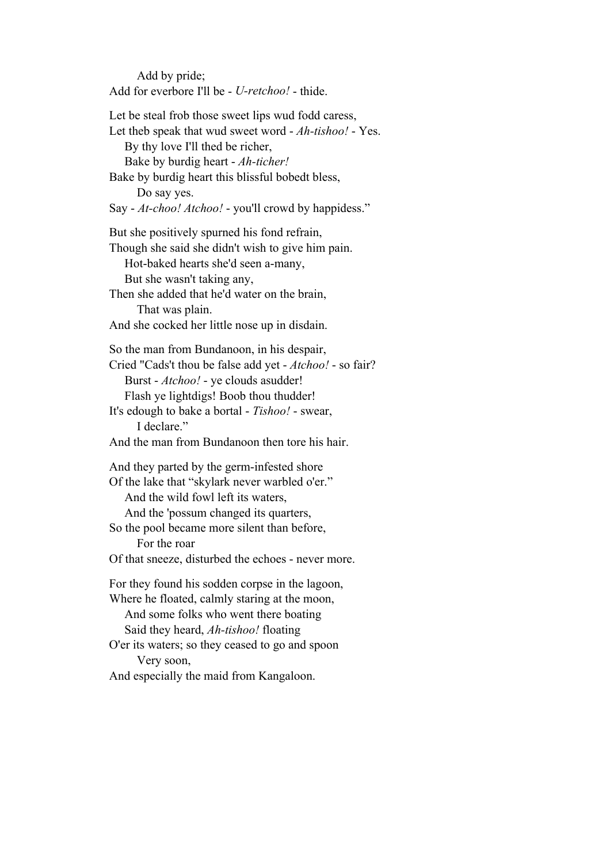Add by pride; Add for everbore I'll be - *U-retchoo!* - thide. Let be steal frob those sweet lips wud fodd caress, Let theb speak that wud sweet word - *Ah-tishoo!* - Yes. By thy love I'll thed be richer, Bake by burdig heart - *Ah-ticher!* Bake by burdig heart this blissful bobedt bless, Do say yes. Say - *At-choo! Atchoo!* - you'll crowd by happidess." But she positively spurned his fond refrain, Though she said she didn't wish to give him pain. Hot-baked hearts she'd seen a-many, But she wasn't taking any, Then she added that he'd water on the brain, That was plain. And she cocked her little nose up in disdain. So the man from Bundanoon, in his despair, Cried "Cads't thou be false add yet - *Atchoo!* - so fair? Burst - *Atchoo!* - ye clouds asudder! Flash ye lightdigs! Boob thou thudder! It's edough to bake a bortal - *Tishoo!* - swear, I declare" And the man from Bundanoon then tore his hair. And they parted by the germ-infested shore Of the lake that "skylark never warbled o'er." And the wild fowl left its waters, And the 'possum changed its quarters, So the pool became more silent than before, For the roar Of that sneeze, disturbed the echoes - never more. For they found his sodden corpse in the lagoon, Where he floated, calmly staring at the moon, And some folks who went there boating Said they heard, *Ah-tishoo!* floating O'er its waters; so they ceased to go and spoon Very soon, And especially the maid from Kangaloon.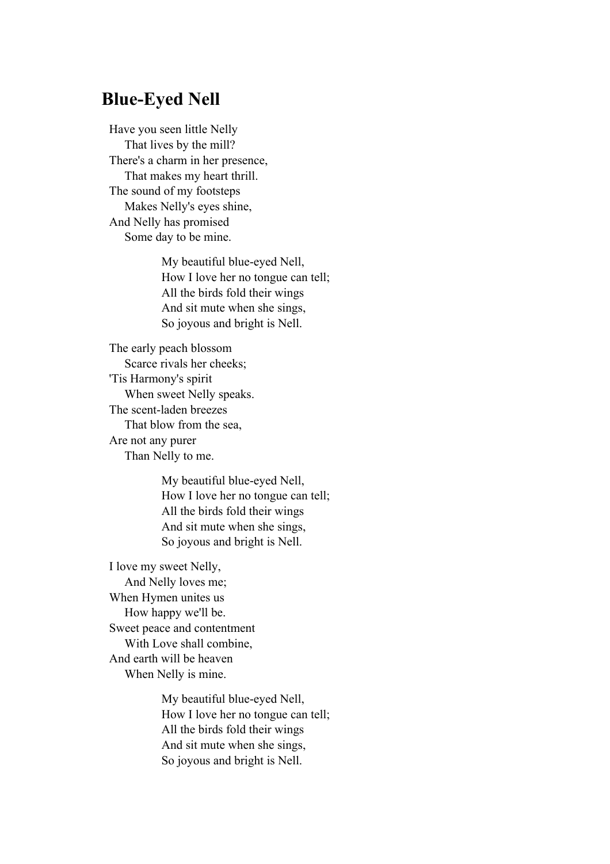#### **Blue-Eyed Nell**

Have you seen little Nelly That lives by the mill? There's a charm in her presence, That makes my heart thrill. The sound of my footsteps Makes Nelly's eyes shine, And Nelly has promised Some day to be mine.

> My beautiful blue-eyed Nell, How I love her no tongue can tell; All the birds fold their wings And sit mute when she sings, So joyous and bright is Nell.

The early peach blossom Scarce rivals her cheeks; 'Tis Harmony's spirit When sweet Nelly speaks. The scent-laden breezes That blow from the sea, Are not any purer Than Nelly to me.

> My beautiful blue-eyed Nell, How I love her no tongue can tell; All the birds fold their wings And sit mute when she sings, So joyous and bright is Nell.

I love my sweet Nelly, And Nelly loves me; When Hymen unites us How happy we'll be. Sweet peace and contentment With Love shall combine, And earth will be heaven When Nelly is mine.

> My beautiful blue-eyed Nell, How I love her no tongue can tell; All the birds fold their wings And sit mute when she sings, So joyous and bright is Nell.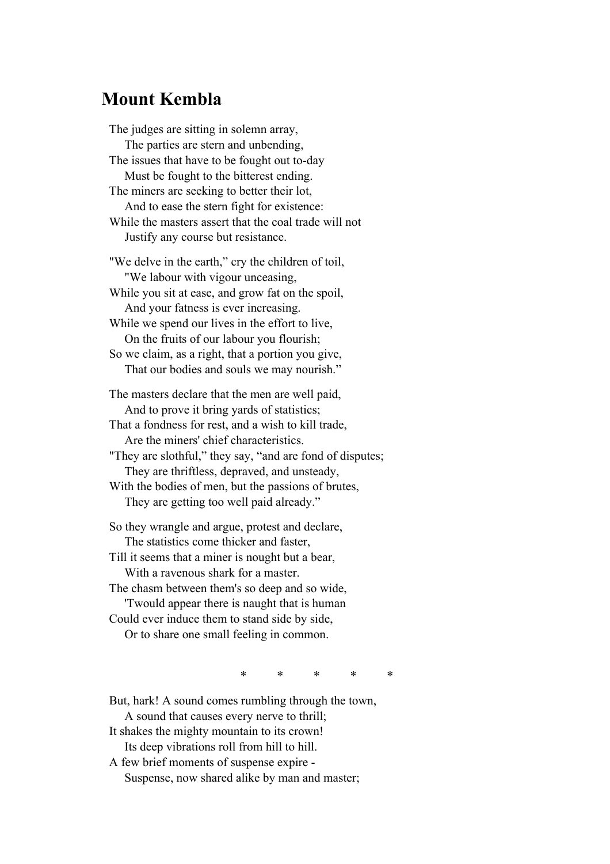### **Mount Kembla**

The judges are sitting in solemn array, The parties are stern and unbending, The issues that have to be fought out to-day Must be fought to the bitterest ending. The miners are seeking to better their lot, And to ease the stern fight for existence: While the masters assert that the coal trade will not Justify any course but resistance. "We delve in the earth," cry the children of toil, "We labour with vigour unceasing, While you sit at ease, and grow fat on the spoil, And your fatness is ever increasing. While we spend our lives in the effort to live, On the fruits of our labour you flourish; So we claim, as a right, that a portion you give, That our bodies and souls we may nourish." The masters declare that the men are well paid, And to prove it bring yards of statistics; That a fondness for rest, and a wish to kill trade, Are the miners' chief characteristics. "They are slothful," they say, "and are fond of disputes; They are thriftless, depraved, and unsteady, With the bodies of men, but the passions of brutes, They are getting too well paid already." So they wrangle and argue, protest and declare, The statistics come thicker and faster, Till it seems that a miner is nought but a bear, With a ravenous shark for a master.

The chasm between them's so deep and so wide, 'Twould appear there is naught that is human Could ever induce them to stand side by side,

Or to share one small feeling in common.

\* \* \* \* \*

But, hark! A sound comes rumbling through the town, A sound that causes every nerve to thrill; It shakes the mighty mountain to its crown! Its deep vibrations roll from hill to hill.

A few brief moments of suspense expire - Suspense, now shared alike by man and master;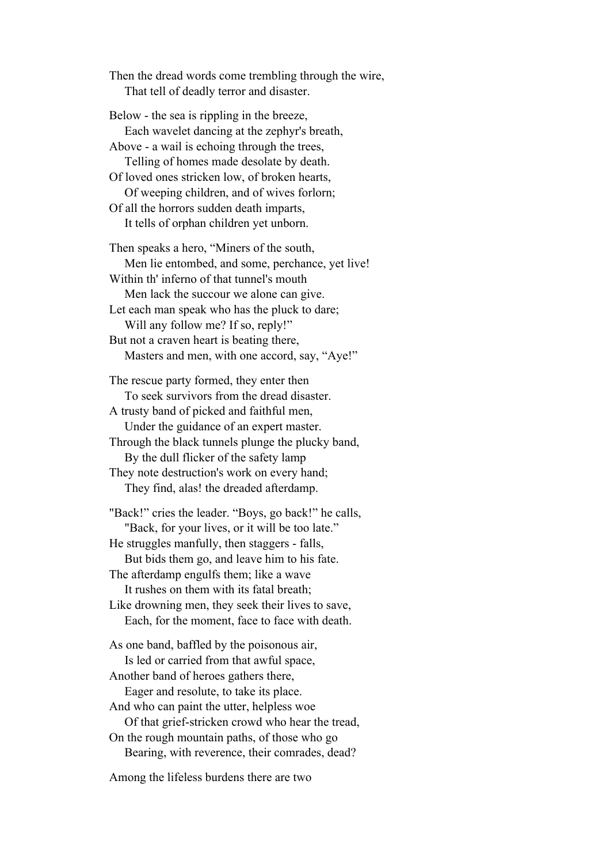Then the dread words come trembling through the wire, That tell of deadly terror and disaster.

Below - the sea is rippling in the breeze, Each wavelet dancing at the zephyr's breath, Above - a wail is echoing through the trees, Telling of homes made desolate by death. Of loved ones stricken low, of broken hearts, Of weeping children, and of wives forlorn; Of all the horrors sudden death imparts, It tells of orphan children yet unborn. Then speaks a hero, "Miners of the south, Men lie entombed, and some, perchance, yet live! Within th' inferno of that tunnel's mouth Men lack the succour we alone can give.

Let each man speak who has the pluck to dare; Will any follow me? If so, reply!" But not a craven heart is beating there,

Masters and men, with one accord, say, "Aye!"

The rescue party formed, they enter then To seek survivors from the dread disaster. A trusty band of picked and faithful men, Under the guidance of an expert master. Through the black tunnels plunge the plucky band,

 By the dull flicker of the safety lamp They note destruction's work on every hand;

They find, alas! the dreaded afterdamp.

"Back!" cries the leader. "Boys, go back!" he calls, "Back, for your lives, or it will be too late." He struggles manfully, then staggers - falls, But bids them go, and leave him to his fate. The afterdamp engulfs them; like a wave It rushes on them with its fatal breath; Like drowning men, they seek their lives to save,

Each, for the moment, face to face with death.

As one band, baffled by the poisonous air, Is led or carried from that awful space, Another band of heroes gathers there,

Eager and resolute, to take its place.

And who can paint the utter, helpless woe Of that grief-stricken crowd who hear the tread,

On the rough mountain paths, of those who go Bearing, with reverence, their comrades, dead?

Among the lifeless burdens there are two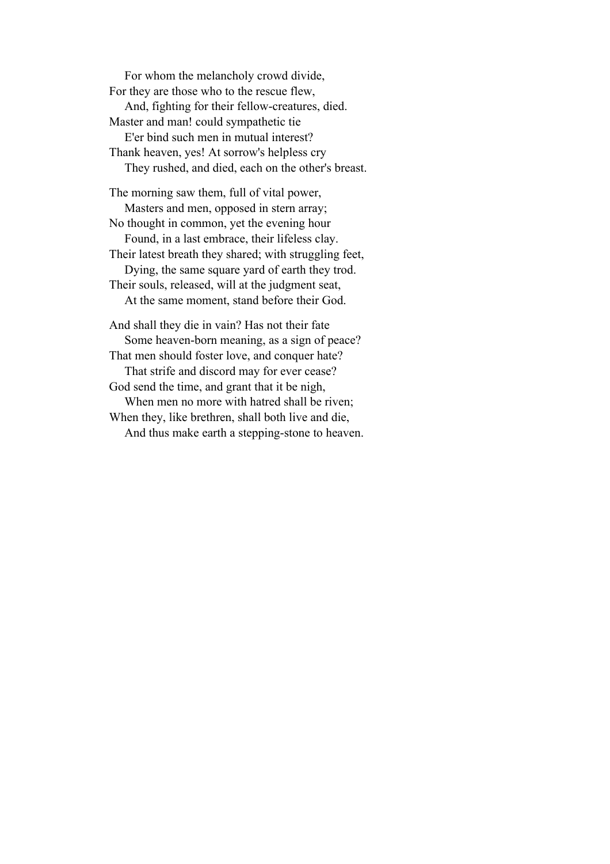For whom the melancholy crowd divide, For they are those who to the rescue flew, And, fighting for their fellow-creatures, died. Master and man! could sympathetic tie E'er bind such men in mutual interest? Thank heaven, yes! At sorrow's helpless cry They rushed, and died, each on the other's breast.

The morning saw them, full of vital power, Masters and men, opposed in stern array; No thought in common, yet the evening hour Found, in a last embrace, their lifeless clay. Their latest breath they shared; with struggling feet, Dying, the same square yard of earth they trod. Their souls, released, will at the judgment seat, At the same moment, stand before their God.

And shall they die in vain? Has not their fate Some heaven-born meaning, as a sign of peace? That men should foster love, and conquer hate? That strife and discord may for ever cease? God send the time, and grant that it be nigh, When men no more with hatred shall be riven; When they, like brethren, shall both live and die, And thus make earth a stepping-stone to heaven.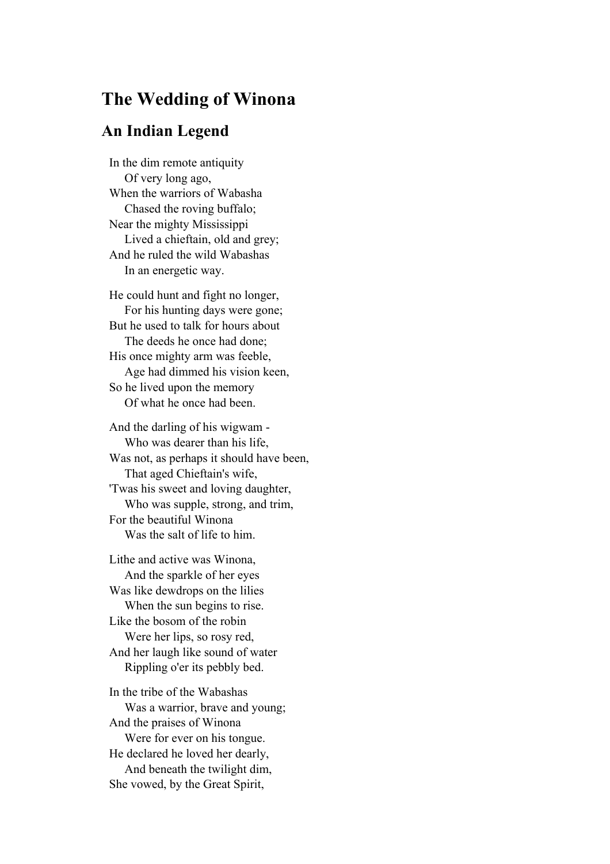### **The Wedding of Winona**

#### **An Indian Legend**

In the dim remote antiquity Of very long ago, When the warriors of Wabasha Chased the roving buffalo; Near the mighty Mississippi Lived a chieftain, old and grey; And he ruled the wild Wabashas In an energetic way.

He could hunt and fight no longer, For his hunting days were gone; But he used to talk for hours about The deeds he once had done; His once mighty arm was feeble, Age had dimmed his vision keen, So he lived upon the memory Of what he once had been.

And the darling of his wigwam - Who was dearer than his life, Was not, as perhaps it should have been, That aged Chieftain's wife, 'Twas his sweet and loving daughter, Who was supple, strong, and trim, For the beautiful Winona Was the salt of life to him.

Lithe and active was Winona, And the sparkle of her eyes Was like dewdrops on the lilies When the sun begins to rise. Like the bosom of the robin Were her lips, so rosy red, And her laugh like sound of water Rippling o'er its pebbly bed.

In the tribe of the Wabashas Was a warrior, brave and young; And the praises of Winona Were for ever on his tongue. He declared he loved her dearly, And beneath the twilight dim, She vowed, by the Great Spirit,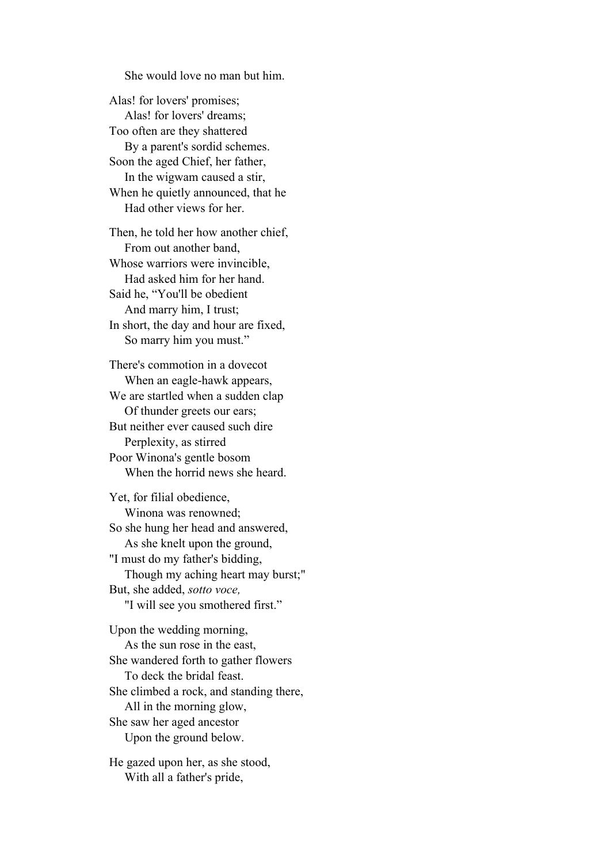She would love no man but him. Alas! for lovers' promises; Alas! for lovers' dreams; Too often are they shattered By a parent's sordid schemes. Soon the aged Chief, her father, In the wigwam caused a stir, When he quietly announced, that he Had other views for her.

Then, he told her how another chief, From out another band, Whose warriors were invincible, Had asked him for her hand. Said he, "You'll be obedient

And marry him, I trust;

In short, the day and hour are fixed, So marry him you must."

There's commotion in a dovecot When an eagle-hawk appears, We are startled when a sudden clap Of thunder greets our ears; But neither ever caused such dire Perplexity, as stirred Poor Winona's gentle bosom When the horrid news she heard.

Yet, for filial obedience, Winona was renowned; So she hung her head and answered, As she knelt upon the ground, "I must do my father's bidding, Though my aching heart may burst;" But, she added, *sotto voce,* "I will see you smothered first."

Upon the wedding morning, As the sun rose in the east, She wandered forth to gather flowers To deck the bridal feast. She climbed a rock, and standing there, All in the morning glow, She saw her aged ancestor Upon the ground below.

He gazed upon her, as she stood, With all a father's pride,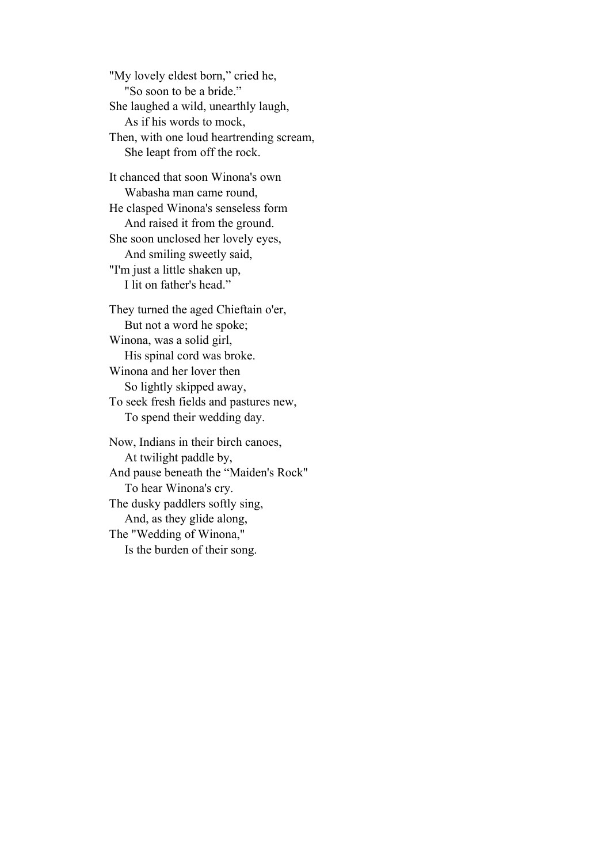"My lovely eldest born," cried he, "So soon to be a bride." She laughed a wild, unearthly laugh, As if his words to mock, Then, with one loud heartrending scream, She leapt from off the rock.

It chanced that soon Winona's own Wabasha man came round, He clasped Winona's senseless form And raised it from the ground. She soon unclosed her lovely eyes, And smiling sweetly said, "I'm just a little shaken up, I lit on father's head."

They turned the aged Chieftain o'er, But not a word he spoke; Winona, was a solid girl, His spinal cord was broke. Winona and her lover then So lightly skipped away, To seek fresh fields and pastures new, To spend their wedding day.

Now, Indians in their birch canoes, At twilight paddle by, And pause beneath the "Maiden's Rock" To hear Winona's cry. The dusky paddlers softly sing, And, as they glide along, The "Wedding of Winona," Is the burden of their song.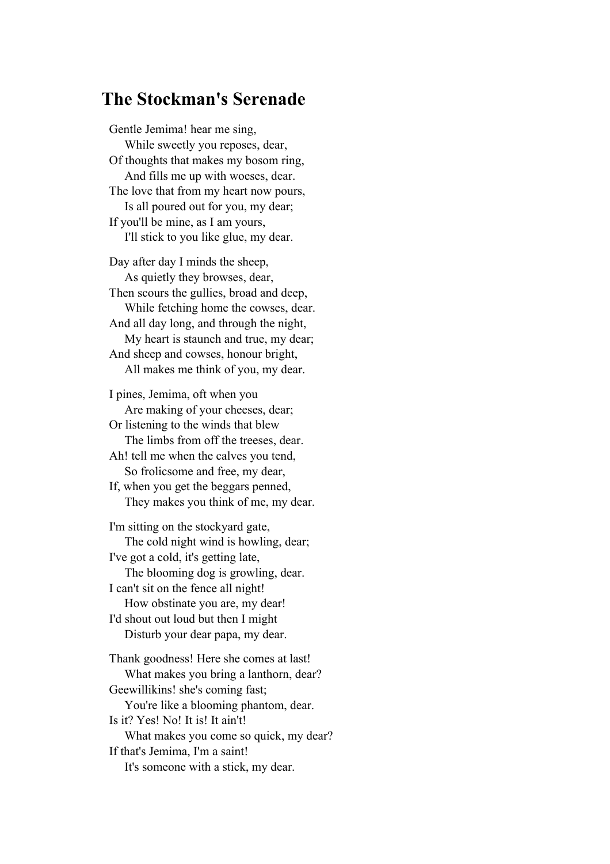### **The Stockman's Serenade**

Gentle Jemima! hear me sing, While sweetly you reposes, dear, Of thoughts that makes my bosom ring, And fills me up with woeses, dear. The love that from my heart now pours, Is all poured out for you, my dear; If you'll be mine, as I am yours, I'll stick to you like glue, my dear. Day after day I minds the sheep, As quietly they browses, dear, Then scours the gullies, broad and deep, While fetching home the cowses, dear.

And all day long, and through the night, My heart is staunch and true, my dear; And sheep and cowses, honour bright, All makes me think of you, my dear.

I pines, Jemima, oft when you Are making of your cheeses, dear; Or listening to the winds that blew

The limbs from off the treeses, dear.

Ah! tell me when the calves you tend, So frolicsome and free, my dear,

If, when you get the beggars penned, They makes you think of me, my dear.

I'm sitting on the stockyard gate, The cold night wind is howling, dear; I've got a cold, it's getting late,

 The blooming dog is growling, dear. I can't sit on the fence all night!

How obstinate you are, my dear!

I'd shout out loud but then I might Disturb your dear papa, my dear.

Thank goodness! Here she comes at last! What makes you bring a lanthorn, dear? Geewillikins! she's coming fast; You're like a blooming phantom, dear. Is it? Yes! No! It is! It ain't! What makes you come so quick, my dear? If that's Jemima, I'm a saint! It's someone with a stick, my dear.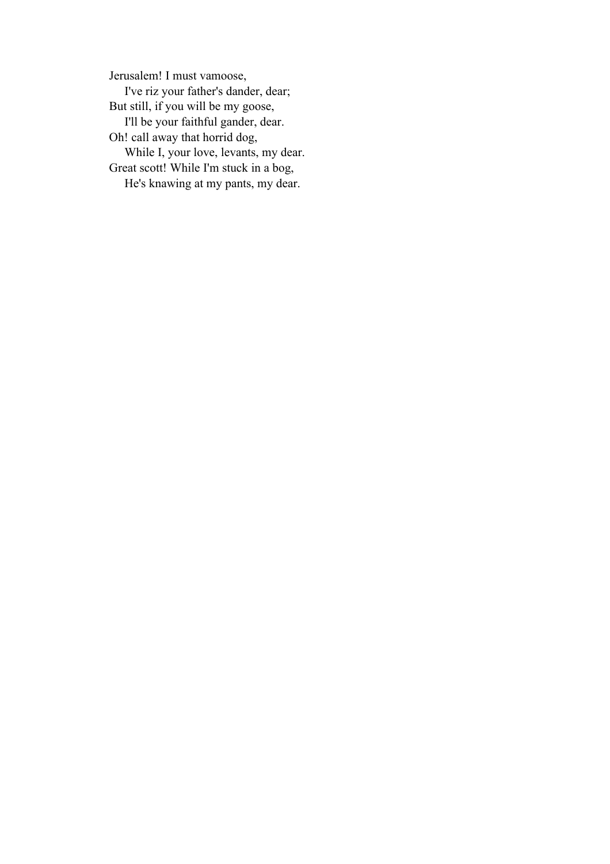Jerusalem! I must vamoose, I've riz your father's dander, dear; But still, if you will be my goose, I'll be your faithful gander, dear. Oh! call away that horrid dog, While I, your love, levants, my dear. Great scott! While I'm stuck in a bog, He's knawing at my pants, my dear.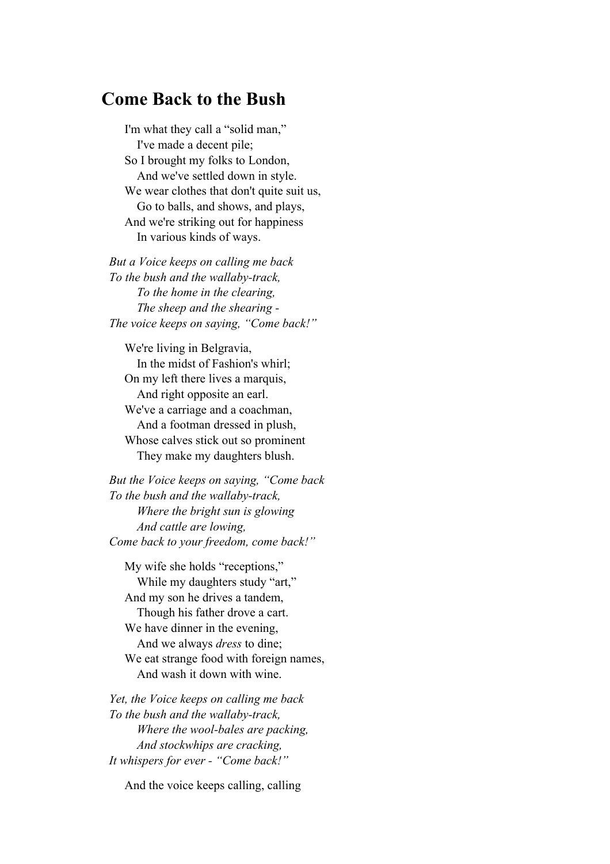### **Come Back to the Bush**

 I'm what they call a "solid man," I've made a decent pile; So I brought my folks to London, And we've settled down in style. We wear clothes that don't quite suit us, Go to balls, and shows, and plays, And we're striking out for happiness In various kinds of ways.

*But a Voice keeps on calling me back To the bush and the wallaby-track, To the home in the clearing, The sheep and the shearing - The voice keeps on saying, "Come back!"*

 We're living in Belgravia, In the midst of Fashion's whirl; On my left there lives a marquis, And right opposite an earl. We've a carriage and a coachman, And a footman dressed in plush, Whose calves stick out so prominent They make my daughters blush.

*But the Voice keeps on saying, "Come back To the bush and the wallaby-track, Where the bright sun is glowing And cattle are lowing, Come back to your freedom, come back!"*

 My wife she holds "receptions," While my daughters study "art," And my son he drives a tandem, Though his father drove a cart. We have dinner in the evening, And we always *dress* to dine; We eat strange food with foreign names, And wash it down with wine.

*Yet, the Voice keeps on calling me back To the bush and the wallaby-track, Where the wool-bales are packing, And stockwhips are cracking, It whispers for ever - "Come back!"*

And the voice keeps calling, calling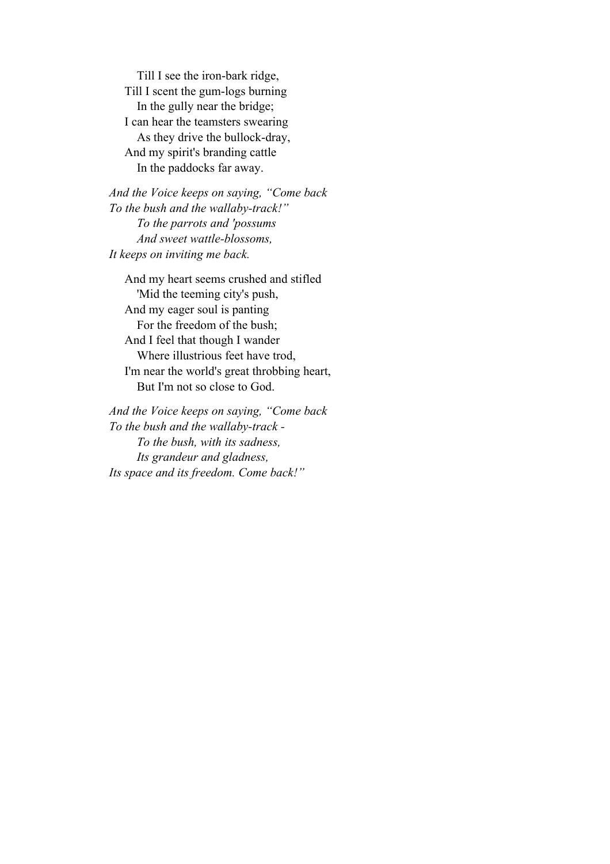Till I see the iron-bark ridge, Till I scent the gum-logs burning In the gully near the bridge; I can hear the teamsters swearing As they drive the bullock-dray, And my spirit's branding cattle In the paddocks far away.

*And the Voice keeps on saying, "Come back To the bush and the wallaby-track!" To the parrots and 'possums And sweet wattle-blossoms, It keeps on inviting me back.*

 And my heart seems crushed and stifled 'Mid the teeming city's push, And my eager soul is panting For the freedom of the bush; And I feel that though I wander Where illustrious feet have trod, I'm near the world's great throbbing heart, But I'm not so close to God.

*And the Voice keeps on saying, "Come back To the bush and the wallaby-track - To the bush, with its sadness, Its grandeur and gladness, Its space and its freedom. Come back!"*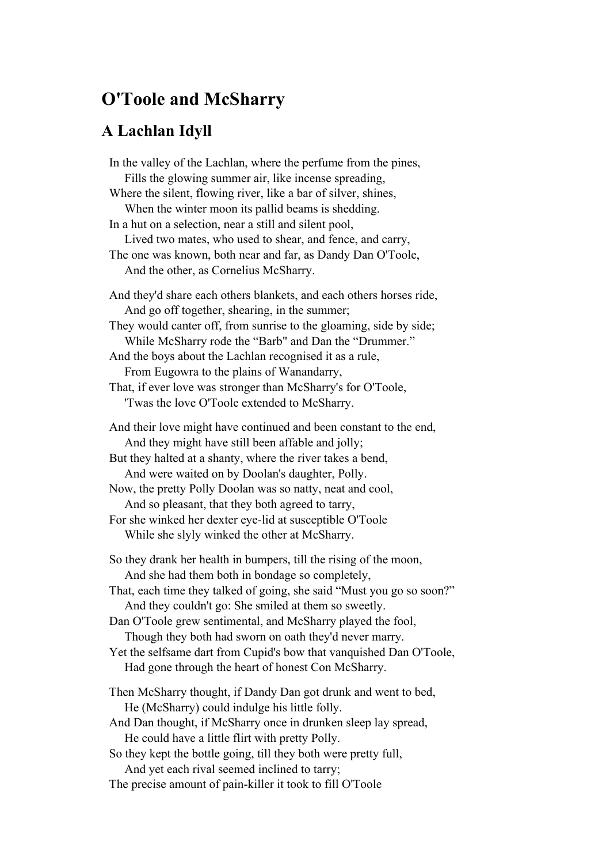## **O'Toole and McSharry**

#### **A Lachlan Idyll**

In the valley of the Lachlan, where the perfume from the pines, Fills the glowing summer air, like incense spreading, Where the silent, flowing river, like a bar of silver, shines, When the winter moon its pallid beams is shedding. In a hut on a selection, near a still and silent pool, Lived two mates, who used to shear, and fence, and carry, The one was known, both near and far, as Dandy Dan O'Toole, And the other, as Cornelius McSharry. And they'd share each others blankets, and each others horses ride, And go off together, shearing, in the summer; They would canter off, from sunrise to the gloaming, side by side; While McSharry rode the "Barb" and Dan the "Drummer." And the boys about the Lachlan recognised it as a rule, From Eugowra to the plains of Wanandarry, That, if ever love was stronger than McSharry's for O'Toole, 'Twas the love O'Toole extended to McSharry. And their love might have continued and been constant to the end, And they might have still been affable and jolly; But they halted at a shanty, where the river takes a bend, And were waited on by Doolan's daughter, Polly. Now, the pretty Polly Doolan was so natty, neat and cool, And so pleasant, that they both agreed to tarry, For she winked her dexter eye-lid at susceptible O'Toole While she slyly winked the other at McSharry. So they drank her health in bumpers, till the rising of the moon, And she had them both in bondage so completely, That, each time they talked of going, she said "Must you go so soon?" And they couldn't go: She smiled at them so sweetly. Dan O'Toole grew sentimental, and McSharry played the fool, Though they both had sworn on oath they'd never marry. Yet the selfsame dart from Cupid's bow that vanquished Dan O'Toole, Had gone through the heart of honest Con McSharry. Then McSharry thought, if Dandy Dan got drunk and went to bed, He (McSharry) could indulge his little folly. And Dan thought, if McSharry once in drunken sleep lay spread, He could have a little flirt with pretty Polly. So they kept the bottle going, till they both were pretty full, And yet each rival seemed inclined to tarry; The precise amount of pain-killer it took to fill O'Toole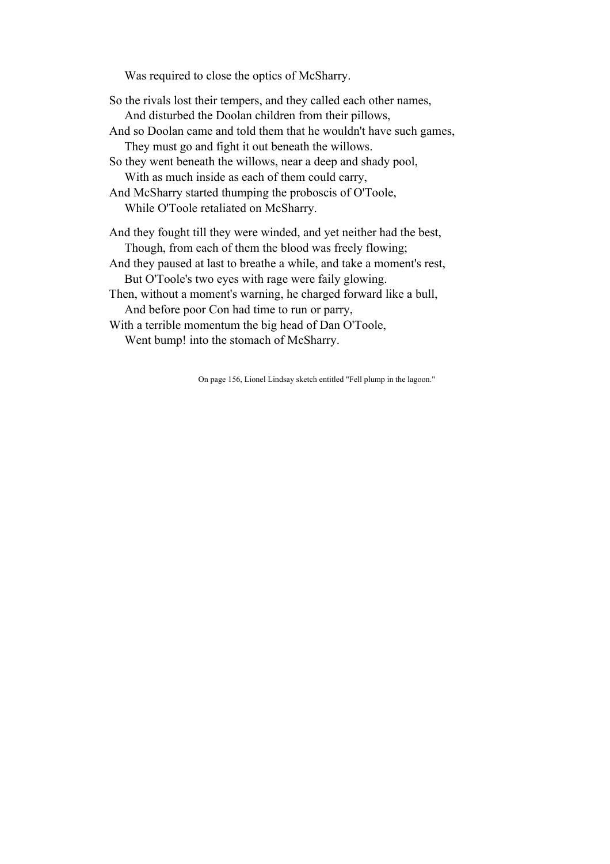Was required to close the optics of McSharry.

So the rivals lost their tempers, and they called each other names, And disturbed the Doolan children from their pillows, And so Doolan came and told them that he wouldn't have such games, They must go and fight it out beneath the willows. So they went beneath the willows, near a deep and shady pool, With as much inside as each of them could carry, And McSharry started thumping the proboscis of O'Toole, While O'Toole retaliated on McSharry. And they fought till they were winded, and yet neither had the best, Though, from each of them the blood was freely flowing; And they paused at last to breathe a while, and take a moment's rest, But O'Toole's two eyes with rage were faily glowing. Then, without a moment's warning, he charged forward like a bull, And before poor Con had time to run or parry, With a terrible momentum the big head of Dan O'Toole, Went bump! into the stomach of McSharry.

On page 156, Lionel Lindsay sketch entitled "Fell plump in the lagoon."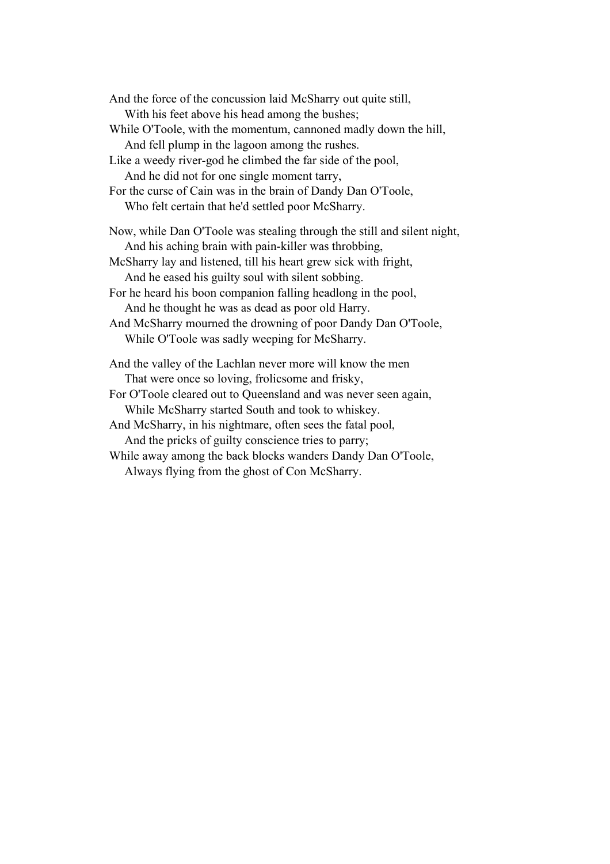And the force of the concussion laid McSharry out quite still, With his feet above his head among the bushes; While O'Toole, with the momentum, cannoned madly down the hill, And fell plump in the lagoon among the rushes. Like a weedy river-god he climbed the far side of the pool, And he did not for one single moment tarry, For the curse of Cain was in the brain of Dandy Dan O'Toole, Who felt certain that he'd settled poor McSharry. Now, while Dan O'Toole was stealing through the still and silent night, And his aching brain with pain-killer was throbbing, McSharry lay and listened, till his heart grew sick with fright, And he eased his guilty soul with silent sobbing. For he heard his boon companion falling headlong in the pool, And he thought he was as dead as poor old Harry. And McSharry mourned the drowning of poor Dandy Dan O'Toole, While O'Toole was sadly weeping for McSharry. And the valley of the Lachlan never more will know the men That were once so loving, frolicsome and frisky, For O'Toole cleared out to Queensland and was never seen again, While McSharry started South and took to whiskey. And McSharry, in his nightmare, often sees the fatal pool,

 And the pricks of guilty conscience tries to parry; While away among the back blocks wanders Dandy Dan O'Toole,

Always flying from the ghost of Con McSharry.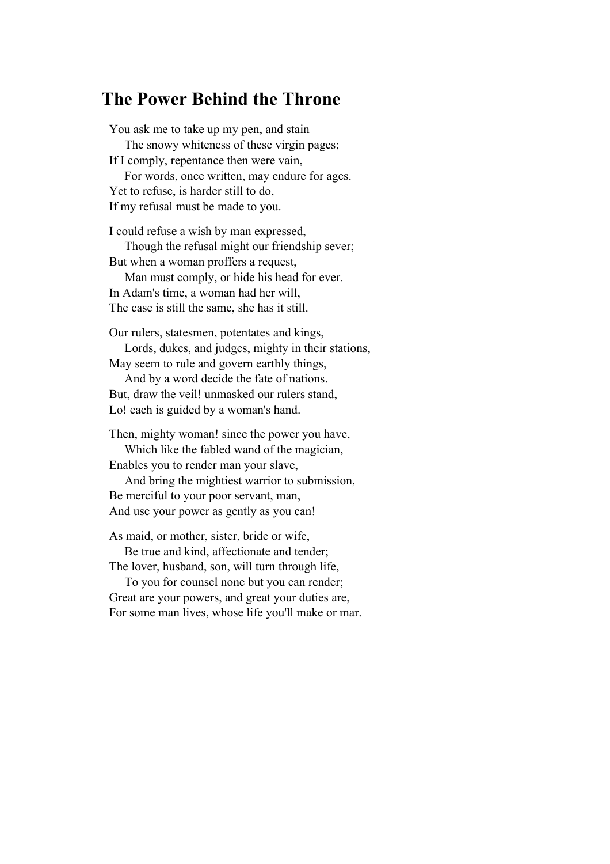## **The Power Behind the Throne**

You ask me to take up my pen, and stain The snowy whiteness of these virgin pages; If I comply, repentance then were vain, For words, once written, may endure for ages. Yet to refuse, is harder still to do, If my refusal must be made to you. I could refuse a wish by man expressed,

 Though the refusal might our friendship sever; But when a woman proffers a request,

 Man must comply, or hide his head for ever. In Adam's time, a woman had her will, The case is still the same, she has it still.

Our rulers, statesmen, potentates and kings, Lords, dukes, and judges, mighty in their stations,

May seem to rule and govern earthly things,

 And by a word decide the fate of nations. But, draw the veil! unmasked our rulers stand, Lo! each is guided by a woman's hand.

Then, mighty woman! since the power you have, Which like the fabled wand of the magician,

Enables you to render man your slave, And bring the mightiest warrior to submission,

Be merciful to your poor servant, man, And use your power as gently as you can!

As maid, or mother, sister, bride or wife,

 Be true and kind, affectionate and tender; The lover, husband, son, will turn through life,

 To you for counsel none but you can render; Great are your powers, and great your duties are, For some man lives, whose life you'll make or mar.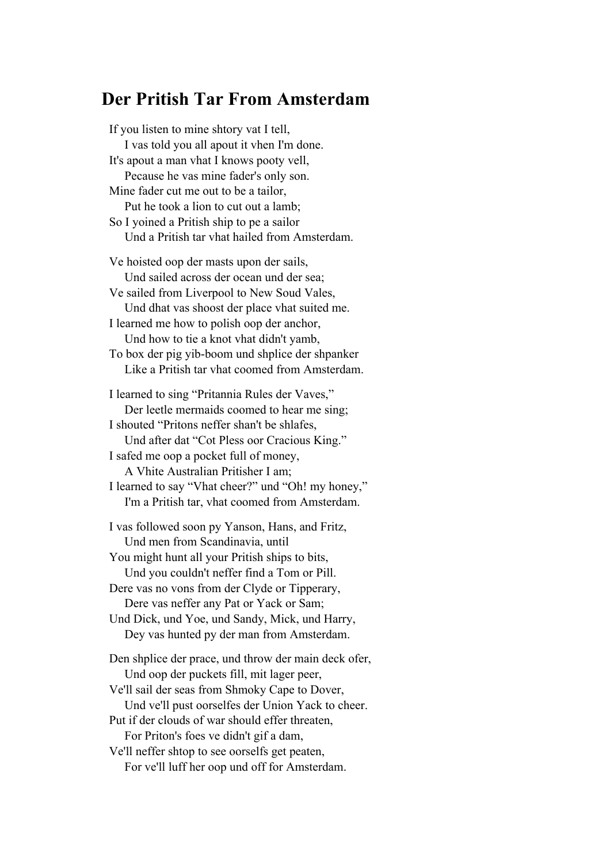### **Der Pritish Tar From Amsterdam**

If you listen to mine shtory vat I tell, I vas told you all apout it vhen I'm done. It's apout a man vhat I knows pooty vell, Pecause he vas mine fader's only son. Mine fader cut me out to be a tailor, Put he took a lion to cut out a lamb; So I yoined a Pritish ship to pe a sailor Und a Pritish tar vhat hailed from Amsterdam. Ve hoisted oop der masts upon der sails, Und sailed across der ocean und der sea; Ve sailed from Liverpool to New Soud Vales, Und dhat vas shoost der place vhat suited me. I learned me how to polish oop der anchor, Und how to tie a knot vhat didn't yamb, To box der pig yib-boom und shplice der shpanker Like a Pritish tar vhat coomed from Amsterdam. I learned to sing "Pritannia Rules der Vaves," Der leetle mermaids coomed to hear me sing; I shouted "Pritons neffer shan't be shlafes, Und after dat "Cot Pless oor Cracious King." I safed me oop a pocket full of money, A Vhite Australian Pritisher I am; I learned to say "Vhat cheer?" und "Oh! my honey," I'm a Pritish tar, vhat coomed from Amsterdam. I vas followed soon py Yanson, Hans, and Fritz, Und men from Scandinavia, until You might hunt all your Pritish ships to bits, Und you couldn't neffer find a Tom or Pill. Dere vas no vons from der Clyde or Tipperary, Dere vas neffer any Pat or Yack or Sam; Und Dick, und Yoe, und Sandy, Mick, und Harry, Dey vas hunted py der man from Amsterdam. Den shplice der prace, und throw der main deck ofer, Und oop der puckets fill, mit lager peer, Ve'll sail der seas from Shmoky Cape to Dover, Und ve'll pust oorselfes der Union Yack to cheer. Put if der clouds of war should effer threaten, For Priton's foes ve didn't gif a dam, Ve'll neffer shtop to see oorselfs get peaten, For ve'll luff her oop und off for Amsterdam.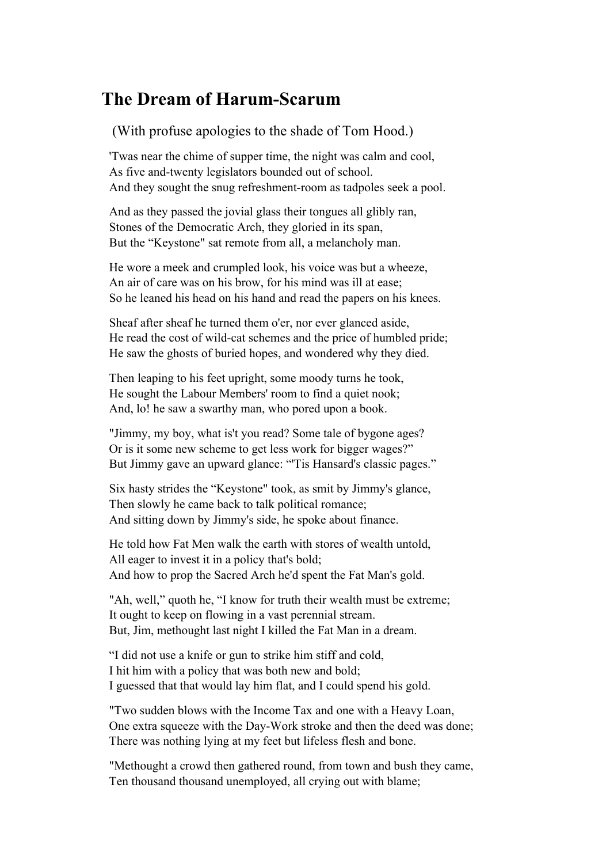## **The Dream of Harum-Scarum**

(With profuse apologies to the shade of Tom Hood.)

'Twas near the chime of supper time, the night was calm and cool, As five and-twenty legislators bounded out of school. And they sought the snug refreshment-room as tadpoles seek a pool.

And as they passed the jovial glass their tongues all glibly ran, Stones of the Democratic Arch, they gloried in its span, But the "Keystone" sat remote from all, a melancholy man.

He wore a meek and crumpled look, his voice was but a wheeze, An air of care was on his brow, for his mind was ill at ease; So he leaned his head on his hand and read the papers on his knees.

Sheaf after sheaf he turned them o'er, nor ever glanced aside, He read the cost of wild-cat schemes and the price of humbled pride; He saw the ghosts of buried hopes, and wondered why they died.

Then leaping to his feet upright, some moody turns he took, He sought the Labour Members' room to find a quiet nook; And, lo! he saw a swarthy man, who pored upon a book.

"Jimmy, my boy, what is't you read? Some tale of bygone ages? Or is it some new scheme to get less work for bigger wages?" But Jimmy gave an upward glance: "Tis Hansard's classic pages."

Six hasty strides the "Keystone" took, as smit by Jimmy's glance, Then slowly he came back to talk political romance; And sitting down by Jimmy's side, he spoke about finance.

He told how Fat Men walk the earth with stores of wealth untold, All eager to invest it in a policy that's bold; And how to prop the Sacred Arch he'd spent the Fat Man's gold.

"Ah, well," quoth he, "I know for truth their wealth must be extreme; It ought to keep on flowing in a vast perennial stream. But, Jim, methought last night I killed the Fat Man in a dream.

"I did not use a knife or gun to strike him stiff and cold, I hit him with a policy that was both new and bold; I guessed that that would lay him flat, and I could spend his gold.

"Two sudden blows with the Income Tax and one with a Heavy Loan, One extra squeeze with the Day-Work stroke and then the deed was done; There was nothing lying at my feet but lifeless flesh and bone.

"Methought a crowd then gathered round, from town and bush they came, Ten thousand thousand unemployed, all crying out with blame;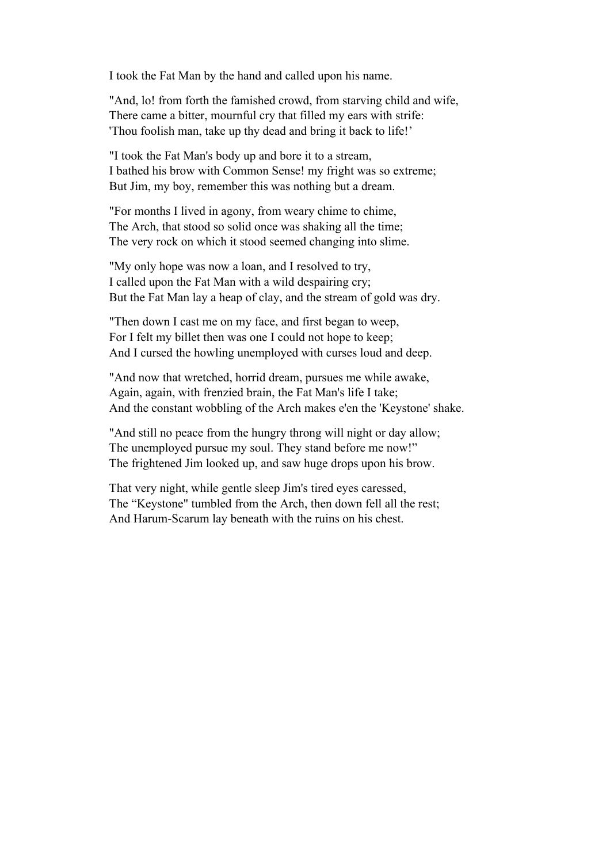I took the Fat Man by the hand and called upon his name.

"And, lo! from forth the famished crowd, from starving child and wife, There came a bitter, mournful cry that filled my ears with strife: 'Thou foolish man, take up thy dead and bring it back to life!'

"I took the Fat Man's body up and bore it to a stream, I bathed his brow with Common Sense! my fright was so extreme; But Jim, my boy, remember this was nothing but a dream.

"For months I lived in agony, from weary chime to chime, The Arch, that stood so solid once was shaking all the time; The very rock on which it stood seemed changing into slime.

"My only hope was now a loan, and I resolved to try, I called upon the Fat Man with a wild despairing cry; But the Fat Man lay a heap of clay, and the stream of gold was dry.

"Then down I cast me on my face, and first began to weep, For I felt my billet then was one I could not hope to keep; And I cursed the howling unemployed with curses loud and deep.

"And now that wretched, horrid dream, pursues me while awake, Again, again, with frenzied brain, the Fat Man's life I take; And the constant wobbling of the Arch makes e'en the 'Keystone' shake.

"And still no peace from the hungry throng will night or day allow; The unemployed pursue my soul. They stand before me now!" The frightened Jim looked up, and saw huge drops upon his brow.

That very night, while gentle sleep Jim's tired eyes caressed, The "Keystone" tumbled from the Arch, then down fell all the rest; And Harum-Scarum lay beneath with the ruins on his chest.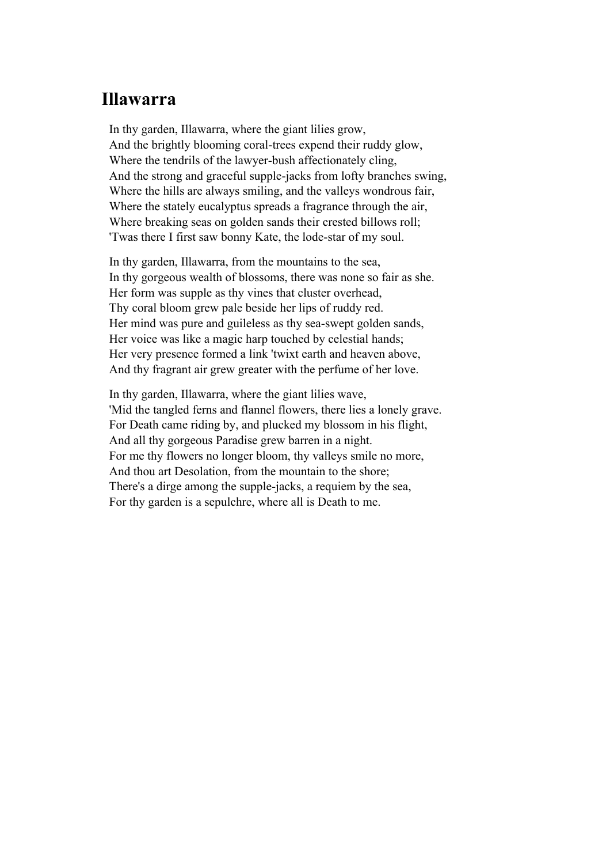## **Illawarra**

In thy garden, Illawarra, where the giant lilies grow, And the brightly blooming coral-trees expend their ruddy glow, Where the tendrils of the lawyer-bush affectionately cling, And the strong and graceful supple-jacks from lofty branches swing, Where the hills are always smiling, and the valleys wondrous fair, Where the stately eucalyptus spreads a fragrance through the air, Where breaking seas on golden sands their crested billows roll; 'Twas there I first saw bonny Kate, the lode-star of my soul.

In thy garden, Illawarra, from the mountains to the sea, In thy gorgeous wealth of blossoms, there was none so fair as she. Her form was supple as thy vines that cluster overhead, Thy coral bloom grew pale beside her lips of ruddy red. Her mind was pure and guileless as thy sea-swept golden sands, Her voice was like a magic harp touched by celestial hands; Her very presence formed a link 'twixt earth and heaven above, And thy fragrant air grew greater with the perfume of her love.

In thy garden, Illawarra, where the giant lilies wave, 'Mid the tangled ferns and flannel flowers, there lies a lonely grave. For Death came riding by, and plucked my blossom in his flight, And all thy gorgeous Paradise grew barren in a night. For me thy flowers no longer bloom, thy valleys smile no more, And thou art Desolation, from the mountain to the shore; There's a dirge among the supple-jacks, a requiem by the sea, For thy garden is a sepulchre, where all is Death to me.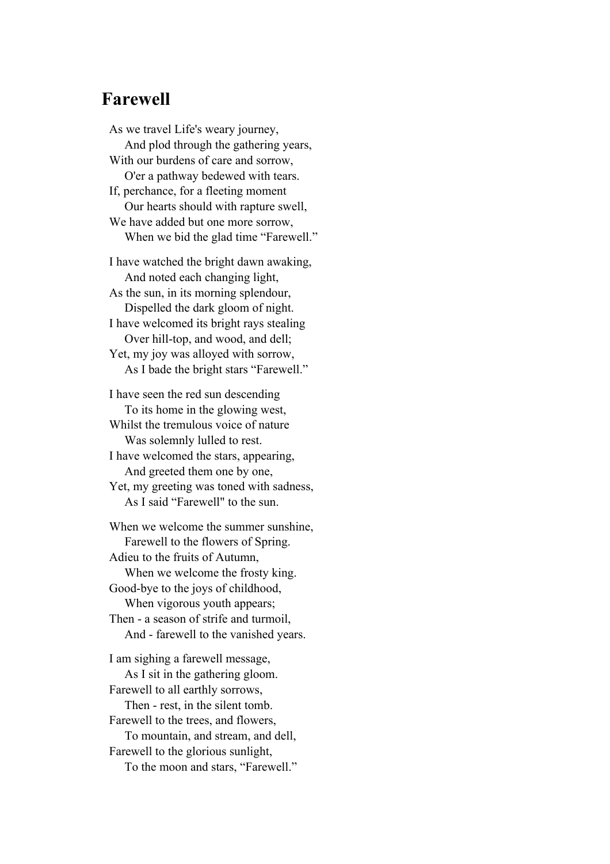## **Farewell**

As we travel Life's weary journey, And plod through the gathering years, With our burdens of care and sorrow, O'er a pathway bedewed with tears. If, perchance, for a fleeting moment Our hearts should with rapture swell, We have added but one more sorrow, When we bid the glad time "Farewell." I have watched the bright dawn awaking, And noted each changing light, As the sun, in its morning splendour, Dispelled the dark gloom of night. I have welcomed its bright rays stealing Over hill-top, and wood, and dell; Yet, my joy was alloyed with sorrow, As I bade the bright stars "Farewell." I have seen the red sun descending To its home in the glowing west, Whilst the tremulous voice of nature Was solemnly lulled to rest. I have welcomed the stars, appearing, And greeted them one by one, Yet, my greeting was toned with sadness, As I said "Farewell" to the sun. When we welcome the summer sunshine, Farewell to the flowers of Spring. Adieu to the fruits of Autumn, When we welcome the frosty king. Good-bye to the joys of childhood, When vigorous youth appears; Then - a season of strife and turmoil, And - farewell to the vanished years. I am sighing a farewell message, As I sit in the gathering gloom. Farewell to all earthly sorrows, Then - rest, in the silent tomb. Farewell to the trees, and flowers, To mountain, and stream, and dell, Farewell to the glorious sunlight, To the moon and stars, "Farewell."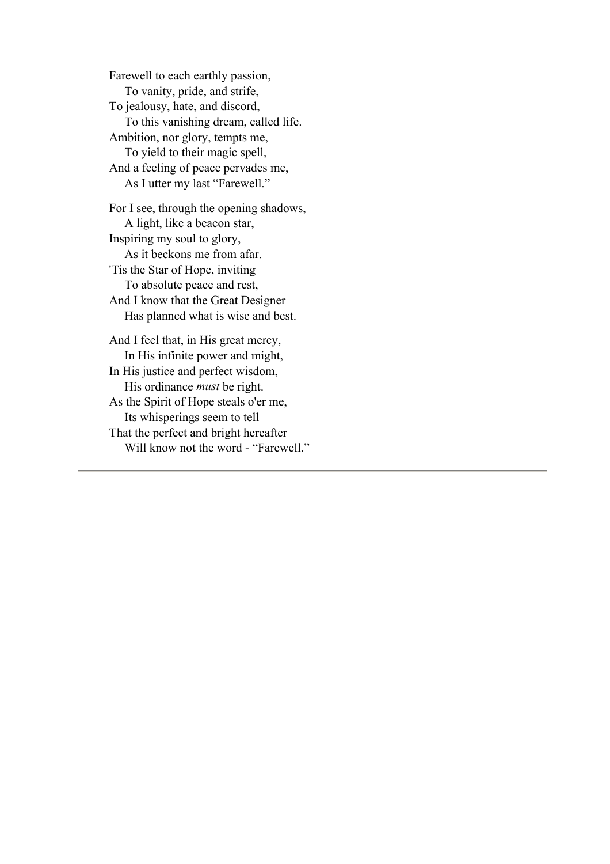Farewell to each earthly passion, To vanity, pride, and strife, To jealousy, hate, and discord, To this vanishing dream, called life. Ambition, nor glory, tempts me, To yield to their magic spell, And a feeling of peace pervades me, As I utter my last "Farewell." For I see, through the opening shadows, A light, like a beacon star, Inspiring my soul to glory, As it beckons me from afar. 'Tis the Star of Hope, inviting To absolute peace and rest, And I know that the Great Designer Has planned what is wise and best. And I feel that, in His great mercy, In His infinite power and might, In His justice and perfect wisdom, His ordinance *must* be right.

As the Spirit of Hope steals o'er me,

Its whisperings seem to tell

That the perfect and bright hereafter

Will know not the word - "Farewell."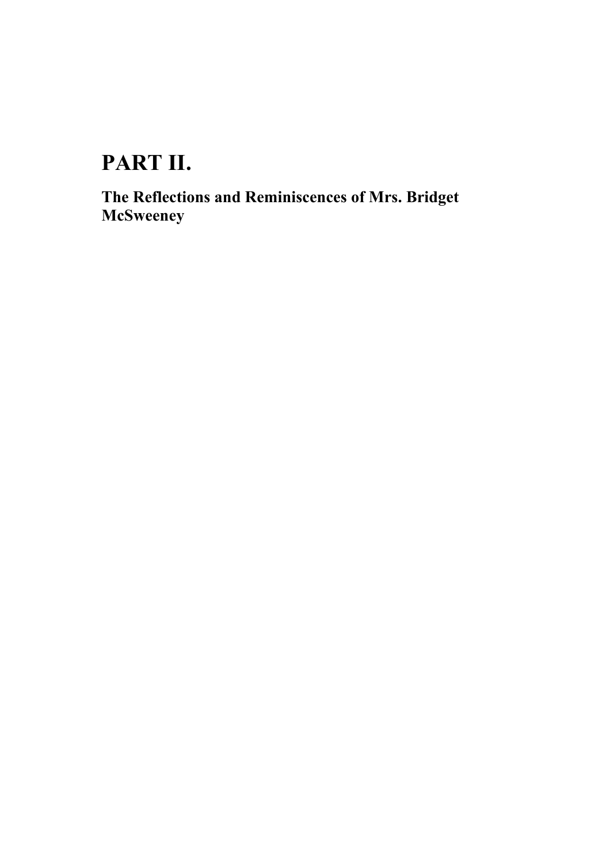# **PART II.**

**The Reflections and Reminiscences of Mrs. Bridget McSweeney**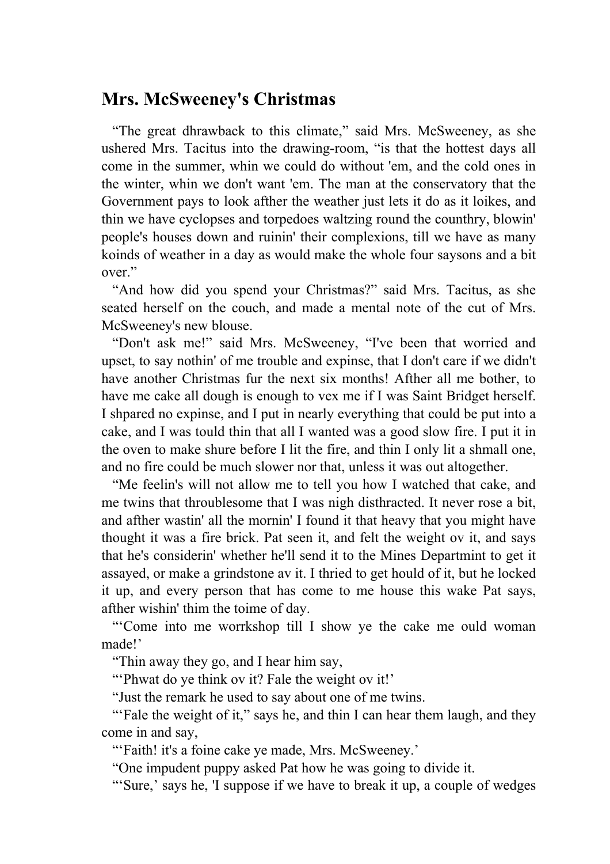## **Mrs. McSweeney's Christmas**

 "The great dhrawback to this climate," said Mrs. McSweeney, as she ushered Mrs. Tacitus into the drawing-room, "is that the hottest days all come in the summer, whin we could do without 'em, and the cold ones in the winter, whin we don't want 'em. The man at the conservatory that the Government pays to look afther the weather just lets it do as it loikes, and thin we have cyclopses and torpedoes waltzing round the counthry, blowin' people's houses down and ruinin' their complexions, till we have as many koinds of weather in a day as would make the whole four saysons and a bit over."

 "And how did you spend your Christmas?" said Mrs. Tacitus, as she seated herself on the couch, and made a mental note of the cut of Mrs. McSweeney's new blouse.

 "Don't ask me!" said Mrs. McSweeney, "I've been that worried and upset, to say nothin' of me trouble and expinse, that I don't care if we didn't have another Christmas fur the next six months! Afther all me bother, to have me cake all dough is enough to vex me if I was Saint Bridget herself. I shpared no expinse, and I put in nearly everything that could be put into a cake, and I was tould thin that all I wanted was a good slow fire. I put it in the oven to make shure before I lit the fire, and thin I only lit a shmall one, and no fire could be much slower nor that, unless it was out altogether.

 "Me feelin's will not allow me to tell you how I watched that cake, and me twins that throublesome that I was nigh disthracted. It never rose a bit, and afther wastin' all the mornin' I found it that heavy that you might have thought it was a fire brick. Pat seen it, and felt the weight ov it, and says that he's considerin' whether he'll send it to the Mines Departmint to get it assayed, or make a grindstone av it. I thried to get hould of it, but he locked it up, and every person that has come to me house this wake Pat says, afther wishin' thim the toime of day.

 "'Come into me worrkshop till I show ye the cake me ould woman made!'

"Thin away they go, and I hear him say,

"Phwat do ye think ov it? Fale the weight ov it!"

"Just the remark he used to say about one of me twins.

"'Fale the weight of it," says he, and thin I can hear them laugh, and they come in and say,

"'Faith! it's a foine cake ye made, Mrs. McSweeney.'

"One impudent puppy asked Pat how he was going to divide it.

"Sure,' says he, 'I suppose if we have to break it up, a couple of wedges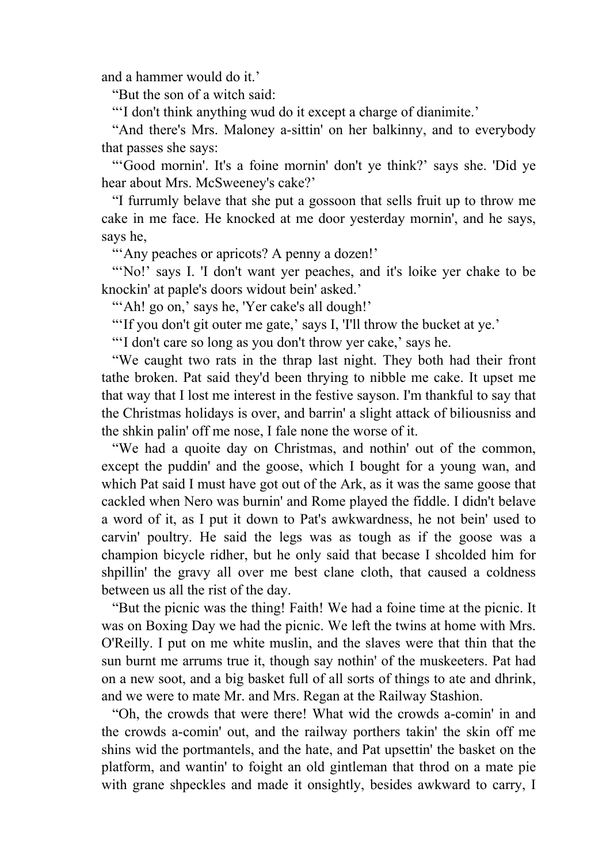and a hammer would do it.'

"But the son of a witch said:

"'I don't think anything wud do it except a charge of dianimite.'

 "And there's Mrs. Maloney a-sittin' on her balkinny, and to everybody that passes she says:

 "'Good mornin'. It's a foine mornin' don't ye think?' says she. 'Did ye hear about Mrs. McSweeney's cake?'

 "I furrumly belave that she put a gossoon that sells fruit up to throw me cake in me face. He knocked at me door yesterday mornin', and he says, says he,

"'Any peaches or apricots? A penny a dozen!'

"No!' says I. 'I don't want yer peaches, and it's loike yer chake to be knockin' at paple's doors widout bein' asked.'

"'Ah! go on,' says he, 'Yer cake's all dough!'

"'If you don't git outer me gate,' says I, 'I'll throw the bucket at ye.'

"'I don't care so long as you don't throw yer cake,' says he.

 "We caught two rats in the thrap last night. They both had their front tathe broken. Pat said they'd been thrying to nibble me cake. It upset me that way that I lost me interest in the festive sayson. I'm thankful to say that the Christmas holidays is over, and barrin' a slight attack of biliousniss and the shkin palin' off me nose, I fale none the worse of it.

 "We had a quoite day on Christmas, and nothin' out of the common, except the puddin' and the goose, which I bought for a young wan, and which Pat said I must have got out of the Ark, as it was the same goose that cackled when Nero was burnin' and Rome played the fiddle. I didn't belave a word of it, as I put it down to Pat's awkwardness, he not bein' used to carvin' poultry. He said the legs was as tough as if the goose was a champion bicycle ridher, but he only said that becase I shcolded him for shpillin' the gravy all over me best clane cloth, that caused a coldness between us all the rist of the day.

 "But the picnic was the thing! Faith! We had a foine time at the picnic. It was on Boxing Day we had the picnic. We left the twins at home with Mrs. O'Reilly. I put on me white muslin, and the slaves were that thin that the sun burnt me arrums true it, though say nothin' of the muskeeters. Pat had on a new soot, and a big basket full of all sorts of things to ate and dhrink, and we were to mate Mr. and Mrs. Regan at the Railway Stashion.

 "Oh, the crowds that were there! What wid the crowds a-comin' in and the crowds a-comin' out, and the railway porthers takin' the skin off me shins wid the portmantels, and the hate, and Pat upsettin' the basket on the platform, and wantin' to foight an old gintleman that throd on a mate pie with grane shpeckles and made it onsightly, besides awkward to carry, I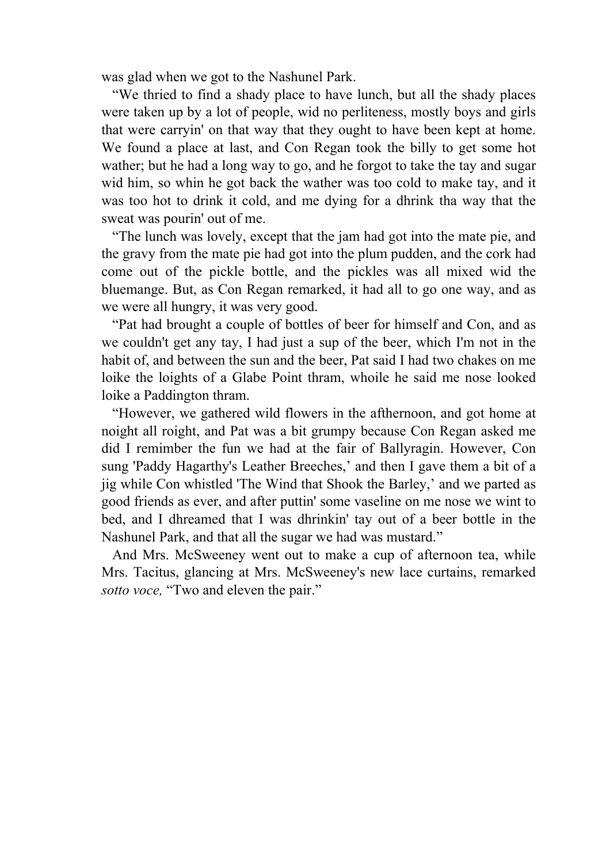was glad when we got to the Nashunel Park.

 "We thried to find a shady place to have lunch, but all the shady places were taken up by a lot of people, wid no perliteness, mostly boys and girls that were carryin' on that way that they ought to have been kept at home. We found a place at last, and Con Regan took the billy to get some hot wather; but he had a long way to go, and he forgot to take the tay and sugar wid him, so whin he got back the wather was too cold to make tay, and it was too hot to drink it cold, and me dying for a dhrink tha way that the sweat was pourin' out of me.

 "The lunch was lovely, except that the jam had got into the mate pie, and the gravy from the mate pie had got into the plum pudden, and the cork had come out of the pickle bottle, and the pickles was all mixed wid the bluemange. But, as Con Regan remarked, it had all to go one way, and as we were all hungry, it was very good.

 "Pat had brought a couple of bottles of beer for himself and Con, and as we couldn't get any tay, I had just a sup of the beer, which I'm not in the habit of, and between the sun and the beer, Pat said I had two chakes on me loike the loights of a Glabe Point thram, whoile he said me nose looked loike a Paddington thram.

 "However, we gathered wild flowers in the afthernoon, and got home at noight all roight, and Pat was a bit grumpy because Con Regan asked me did I remimber the fun we had at the fair of Ballyragin. However, Con sung 'Paddy Hagarthy's Leather Breeches,' and then I gave them a bit of a jig while Con whistled 'The Wind that Shook the Barley,' and we parted as good friends as ever, and after puttin' some vaseline on me nose we wint to bed, and I dhreamed that I was dhrinkin' tay out of a beer bottle in the Nashunel Park, and that all the sugar we had was mustard."

 And Mrs. McSweeney went out to make a cup of afternoon tea, while Mrs. Tacitus, glancing at Mrs. McSweeney's new lace curtains, remarked *sotto voce,* "Two and eleven the pair."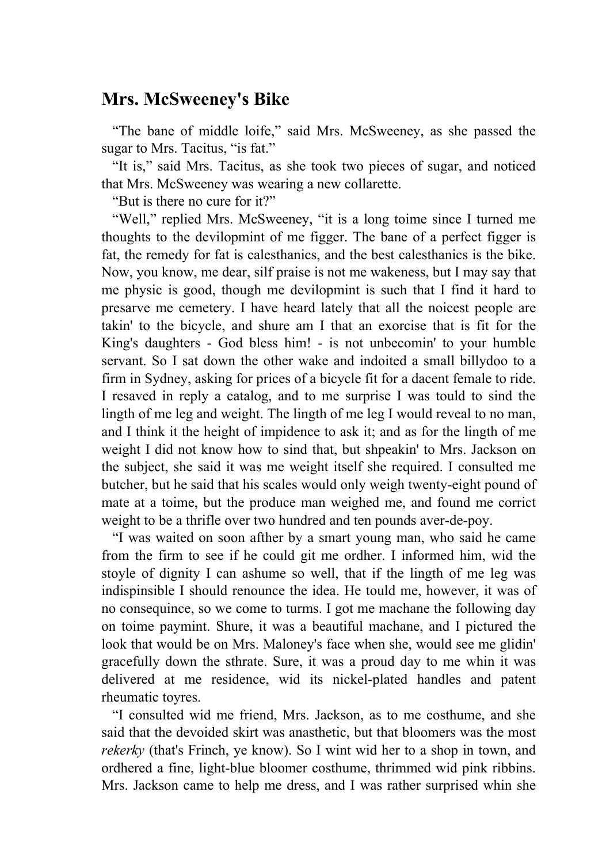#### **Mrs. McSweeney's Bike**

 "The bane of middle loife," said Mrs. McSweeney, as she passed the sugar to Mrs. Tacitus, "is fat."

 "It is," said Mrs. Tacitus, as she took two pieces of sugar, and noticed that Mrs. McSweeney was wearing a new collarette.

"But is there no cure for it?"

 "Well," replied Mrs. McSweeney, "it is a long toime since I turned me thoughts to the devilopmint of me figger. The bane of a perfect figger is fat, the remedy for fat is calesthanics, and the best calesthanics is the bike. Now, you know, me dear, silf praise is not me wakeness, but I may say that me physic is good, though me devilopmint is such that I find it hard to presarve me cemetery. I have heard lately that all the noicest people are takin' to the bicycle, and shure am I that an exorcise that is fit for the King's daughters - God bless him! - is not unbecomin' to your humble servant. So I sat down the other wake and indoited a small billydoo to a firm in Sydney, asking for prices of a bicycle fit for a dacent female to ride. I resaved in reply a catalog, and to me surprise I was tould to sind the lingth of me leg and weight. The lingth of me leg I would reveal to no man, and I think it the height of impidence to ask it; and as for the lingth of me weight I did not know how to sind that, but shpeakin' to Mrs. Jackson on the subject, she said it was me weight itself she required. I consulted me butcher, but he said that his scales would only weigh twenty-eight pound of mate at a toime, but the produce man weighed me, and found me corrict weight to be a thrifle over two hundred and ten pounds aver-de-poy.

 "I was waited on soon afther by a smart young man, who said he came from the firm to see if he could git me ordher. I informed him, wid the stoyle of dignity I can ashume so well, that if the lingth of me leg was indispinsible I should renounce the idea. He tould me, however, it was of no consequince, so we come to turms. I got me machane the following day on toime paymint. Shure, it was a beautiful machane, and I pictured the look that would be on Mrs. Maloney's face when she, would see me glidin' gracefully down the sthrate. Sure, it was a proud day to me whin it was delivered at me residence, wid its nickel-plated handles and patent rheumatic toyres.

 "I consulted wid me friend, Mrs. Jackson, as to me costhume, and she said that the devoided skirt was anasthetic, but that bloomers was the most *rekerky* (that's Frinch, ye know). So I wint wid her to a shop in town, and ordhered a fine, light-blue bloomer costhume, thrimmed wid pink ribbins. Mrs. Jackson came to help me dress, and I was rather surprised whin she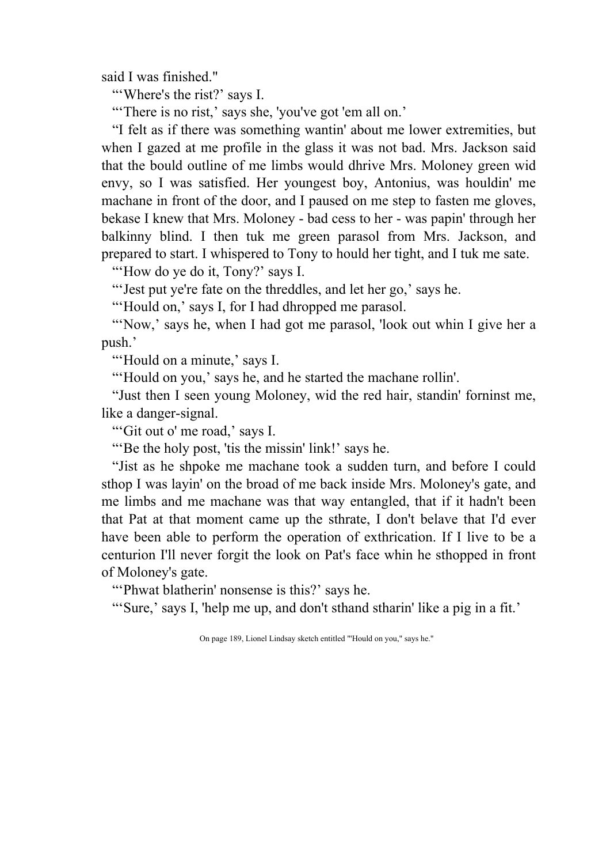said I was finished."

"'Where's the rist?' says I.

"There is no rist,' says she, 'you've got 'em all on.'

 "I felt as if there was something wantin' about me lower extremities, but when I gazed at me profile in the glass it was not bad. Mrs. Jackson said that the bould outline of me limbs would dhrive Mrs. Moloney green wid envy, so I was satisfied. Her youngest boy, Antonius, was houldin' me machane in front of the door, and I paused on me step to fasten me gloves, bekase I knew that Mrs. Moloney - bad cess to her - was papin' through her balkinny blind. I then tuk me green parasol from Mrs. Jackson, and prepared to start. I whispered to Tony to hould her tight, and I tuk me sate.

"'How do ye do it, Tony?' says I.

"'Jest put ye're fate on the threddles, and let her go,' says he.

"'Hould on,' says I, for I had dhropped me parasol.

"'Now,' says he, when I had got me parasol, 'look out whin I give her a push.'

"Hould on a minute,' says I.

"'Hould on you,' says he, and he started the machane rollin'.

 "Just then I seen young Moloney, wid the red hair, standin' forninst me, like a danger-signal.

"'Git out o' me road,' says I.

"'Be the holy post, 'tis the missin' link!' says he.

 "Jist as he shpoke me machane took a sudden turn, and before I could sthop I was layin' on the broad of me back inside Mrs. Moloney's gate, and me limbs and me machane was that way entangled, that if it hadn't been that Pat at that moment came up the sthrate, I don't belave that I'd ever have been able to perform the operation of exthrication. If I live to be a centurion I'll never forgit the look on Pat's face whin he sthopped in front of Moloney's gate.

"'Phwat blatherin' nonsense is this?' says he.

"'Sure,' says I, 'help me up, and don't sthand stharin' like a pig in a fit.'

On page 189, Lionel Lindsay sketch entitled "'Hould on you," says he."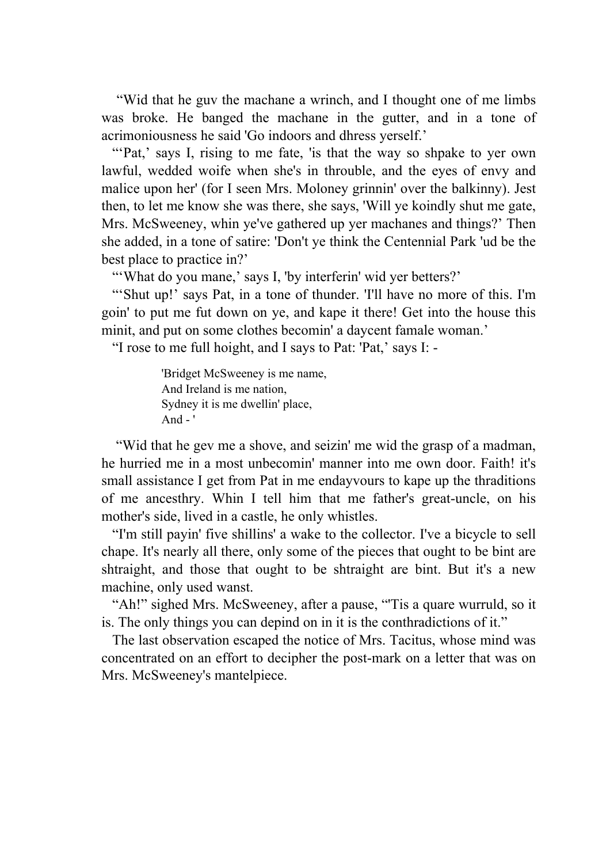"Wid that he guv the machane a wrinch, and I thought one of me limbs was broke. He banged the machane in the gutter, and in a tone of acrimoniousness he said 'Go indoors and dhress yerself.'

""Pat,' says I, rising to me fate, 'is that the way so shpake to yer own lawful, wedded woife when she's in throuble, and the eyes of envy and malice upon her' (for I seen Mrs. Moloney grinnin' over the balkinny). Jest then, to let me know she was there, she says, 'Will ye koindly shut me gate, Mrs. McSweeney, whin ye've gathered up yer machanes and things?' Then she added, in a tone of satire: 'Don't ye think the Centennial Park 'ud be the best place to practice in?'

"'What do you mane,' says I, 'by interferin' wid yer betters?'

"'Shut up!' says Pat, in a tone of thunder. 'I'll have no more of this. I'm goin' to put me fut down on ye, and kape it there! Get into the house this minit, and put on some clothes becomin' a daycent famale woman.'

"I rose to me full hoight, and I says to Pat: 'Pat,' says I: -

 'Bridget McSweeney is me name, And Ireland is me nation, Sydney it is me dwellin' place, And - '

 "Wid that he gev me a shove, and seizin' me wid the grasp of a madman, he hurried me in a most unbecomin' manner into me own door. Faith! it's small assistance I get from Pat in me endayvours to kape up the thraditions of me ancesthry. Whin I tell him that me father's great-uncle, on his mother's side, lived in a castle, he only whistles.

 "I'm still payin' five shillins' a wake to the collector. I've a bicycle to sell chape. It's nearly all there, only some of the pieces that ought to be bint are shtraight, and those that ought to be shtraight are bint. But it's a new machine, only used wanst.

 "Ah!" sighed Mrs. McSweeney, after a pause, "'Tis a quare wurruld, so it is. The only things you can depind on in it is the conthradictions of it."

 The last observation escaped the notice of Mrs. Tacitus, whose mind was concentrated on an effort to decipher the post-mark on a letter that was on Mrs. McSweeney's mantelpiece.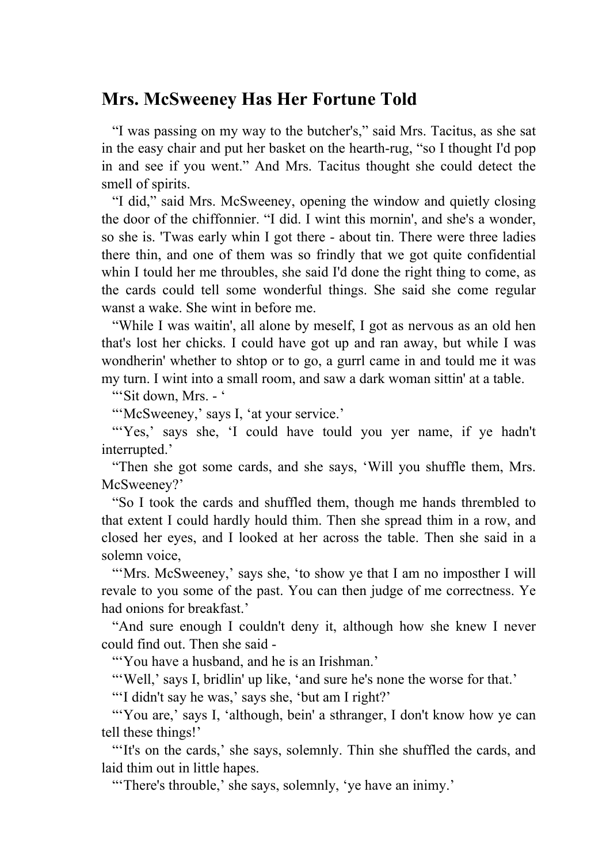## **Mrs. McSweeney Has Her Fortune Told**

 "I was passing on my way to the butcher's," said Mrs. Tacitus, as she sat in the easy chair and put her basket on the hearth-rug, "so I thought I'd pop in and see if you went." And Mrs. Tacitus thought she could detect the smell of spirits.

 "I did," said Mrs. McSweeney, opening the window and quietly closing the door of the chiffonnier. "I did. I wint this mornin', and she's a wonder, so she is. 'Twas early whin I got there - about tin. There were three ladies there thin, and one of them was so frindly that we got quite confidential whin I tould her me throubles, she said I'd done the right thing to come, as the cards could tell some wonderful things. She said she come regular wanst a wake. She wint in before me.

 "While I was waitin', all alone by meself, I got as nervous as an old hen that's lost her chicks. I could have got up and ran away, but while I was wondherin' whether to shtop or to go, a gurrl came in and tould me it was my turn. I wint into a small room, and saw a dark woman sittin' at a table.

"'Sit down, Mrs. - '

"McSweeney,' says I, 'at your service.'

"Yes,' says she, 'I could have tould you yer name, if ye hadn't interrupted.'

 "Then she got some cards, and she says, 'Will you shuffle them, Mrs. McSweeney?'

 "So I took the cards and shuffled them, though me hands thrembled to that extent I could hardly hould thim. Then she spread thim in a row, and closed her eyes, and I looked at her across the table. Then she said in a solemn voice,

"'Mrs. McSweeney,' says she, 'to show ye that I am no imposther I will revale to you some of the past. You can then judge of me correctness. Ye had onions for breakfast.'

 "And sure enough I couldn't deny it, although how she knew I never could find out. Then she said -

"You have a husband, and he is an Irishman."

""Well,' says I, bridlin' up like, 'and sure he's none the worse for that.'

"'I didn't say he was,' says she, 'but am I right?'

"You are,' says I, 'although, bein' a sthranger, I don't know how ye can tell these things!'

 "'It's on the cards,' she says, solemnly. Thin she shuffled the cards, and laid thim out in little hapes.

"There's throuble,' she says, solemnly, 'ye have an inimy.'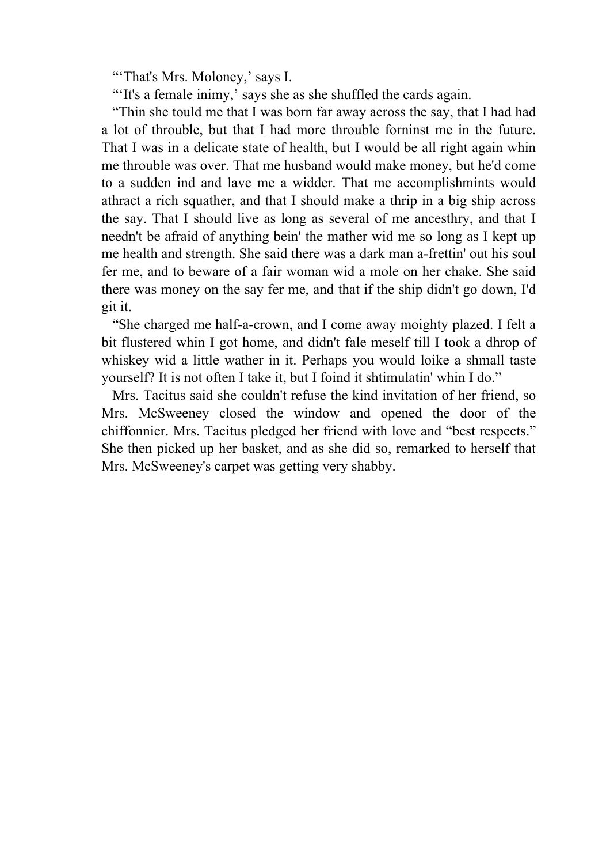"'That's Mrs. Moloney,' says I.

"It's a female inimy,' says she as she shuffled the cards again.

 "Thin she tould me that I was born far away across the say, that I had had a lot of throuble, but that I had more throuble forninst me in the future. That I was in a delicate state of health, but I would be all right again whin me throuble was over. That me husband would make money, but he'd come to a sudden ind and lave me a widder. That me accomplishmints would athract a rich squather, and that I should make a thrip in a big ship across the say. That I should live as long as several of me ancesthry, and that I needn't be afraid of anything bein' the mather wid me so long as I kept up me health and strength. She said there was a dark man a-frettin' out his soul fer me, and to beware of a fair woman wid a mole on her chake. She said there was money on the say fer me, and that if the ship didn't go down, I'd git it.

 "She charged me half-a-crown, and I come away moighty plazed. I felt a bit flustered whin I got home, and didn't fale meself till I took a dhrop of whiskey wid a little wather in it. Perhaps you would loike a shmall taste yourself? It is not often I take it, but I foind it shtimulatin' whin I do."

 Mrs. Tacitus said she couldn't refuse the kind invitation of her friend, so Mrs. McSweeney closed the window and opened the door of the chiffonnier. Mrs. Tacitus pledged her friend with love and "best respects." She then picked up her basket, and as she did so, remarked to herself that Mrs. McSweeney's carpet was getting very shabby.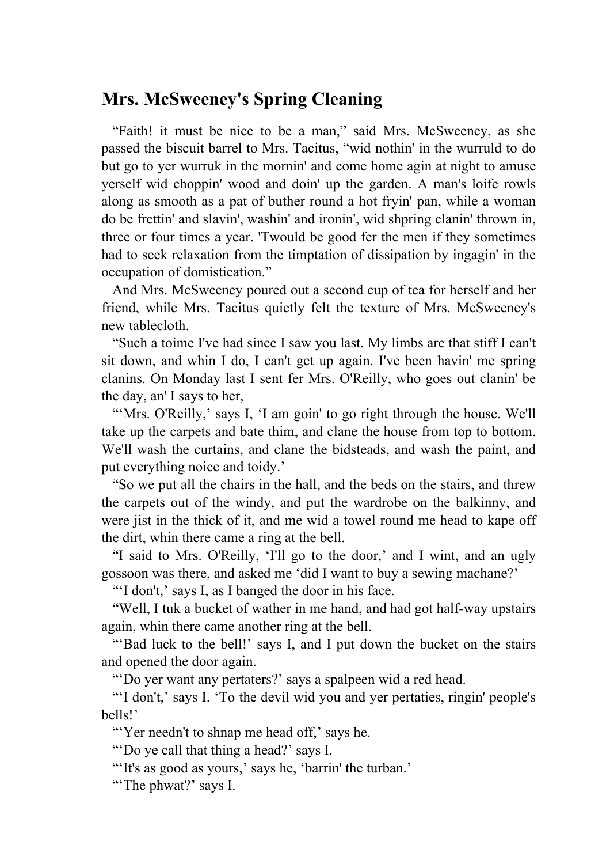## **Mrs. McSweeney's Spring Cleaning**

 "Faith! it must be nice to be a man," said Mrs. McSweeney, as she passed the biscuit barrel to Mrs. Tacitus, "wid nothin' in the wurruld to do but go to yer wurruk in the mornin' and come home agin at night to amuse yerself wid choppin' wood and doin' up the garden. A man's loife rowls along as smooth as a pat of buther round a hot fryin' pan, while a woman do be frettin' and slavin', washin' and ironin', wid shpring clanin' thrown in, three or four times a year. 'Twould be good fer the men if they sometimes had to seek relaxation from the timptation of dissipation by ingagin' in the occupation of domistication."

 And Mrs. McSweeney poured out a second cup of tea for herself and her friend, while Mrs. Tacitus quietly felt the texture of Mrs. McSweeney's new tablecloth.

 "Such a toime I've had since I saw you last. My limbs are that stiff I can't sit down, and whin I do, I can't get up again. I've been havin' me spring clanins. On Monday last I sent fer Mrs. O'Reilly, who goes out clanin' be the day, an' I says to her,

""Mrs. O'Reilly,' says I, 'I am goin' to go right through the house. We'll take up the carpets and bate thim, and clane the house from top to bottom. We'll wash the curtains, and clane the bidsteads, and wash the paint, and put everything noice and toidy.'

 "So we put all the chairs in the hall, and the beds on the stairs, and threw the carpets out of the windy, and put the wardrobe on the balkinny, and were jist in the thick of it, and me wid a towel round me head to kape off the dirt, whin there came a ring at the bell.

 "I said to Mrs. O'Reilly, 'I'll go to the door,' and I wint, and an ugly gossoon was there, and asked me 'did I want to buy a sewing machane?'

"'I don't,' says I, as I banged the door in his face.

 "Well, I tuk a bucket of wather in me hand, and had got half-way upstairs again, whin there came another ring at the bell.

 "'Bad luck to the bell!' says I, and I put down the bucket on the stairs and opened the door again.

"'Do yer want any pertaters?' says a spalpeen wid a red head.

"'I don't,' says I. 'To the devil wid you and yer pertaties, ringin' people's bells!'

"'Yer needn't to shnap me head off,' says he.

"'Do ye call that thing a head?' says I.

"It's as good as yours,' says he, 'barrin' the turban.'

"The phwat?' says I.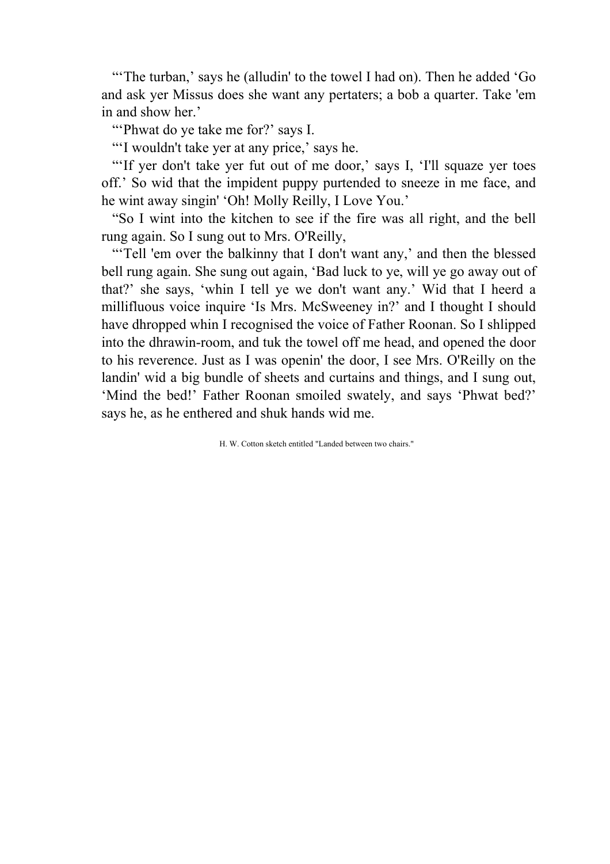"The turban,' says he (alludin' to the towel I had on). Then he added 'Go and ask yer Missus does she want any pertaters; a bob a quarter. Take 'em in and show her.'

"'Phwat do ye take me for?' says I.

"'I wouldn't take yer at any price,' says he.

"If yer don't take yer fut out of me door,' says I, 'I'll squaze yer toes off.' So wid that the impident puppy purtended to sneeze in me face, and he wint away singin' 'Oh! Molly Reilly, I Love You.'

 "So I wint into the kitchen to see if the fire was all right, and the bell rung again. So I sung out to Mrs. O'Reilly,

 "'Tell 'em over the balkinny that I don't want any,' and then the blessed bell rung again. She sung out again, 'Bad luck to ye, will ye go away out of that?' she says, 'whin I tell ye we don't want any.' Wid that I heerd a millifluous voice inquire 'Is Mrs. McSweeney in?' and I thought I should have dhropped whin I recognised the voice of Father Roonan. So I shlipped into the dhrawin-room, and tuk the towel off me head, and opened the door to his reverence. Just as I was openin' the door, I see Mrs. O'Reilly on the landin' wid a big bundle of sheets and curtains and things, and I sung out, 'Mind the bed!' Father Roonan smoiled swately, and says 'Phwat bed?' says he, as he enthered and shuk hands wid me.

H. W. Cotton sketch entitled "Landed between two chairs."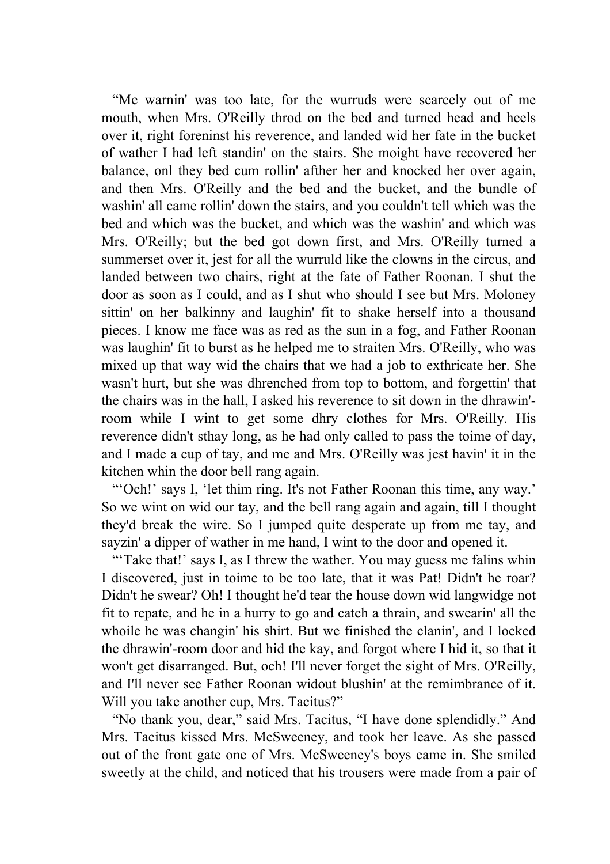"Me warnin' was too late, for the wurruds were scarcely out of me mouth, when Mrs. O'Reilly throd on the bed and turned head and heels over it, right foreninst his reverence, and landed wid her fate in the bucket of wather I had left standin' on the stairs. She moight have recovered her balance, onl they bed cum rollin' afther her and knocked her over again, and then Mrs. O'Reilly and the bed and the bucket, and the bundle of washin' all came rollin' down the stairs, and you couldn't tell which was the bed and which was the bucket, and which was the washin' and which was Mrs. O'Reilly; but the bed got down first, and Mrs. O'Reilly turned a summerset over it, jest for all the wurruld like the clowns in the circus, and landed between two chairs, right at the fate of Father Roonan. I shut the door as soon as I could, and as I shut who should I see but Mrs. Moloney sittin' on her balkinny and laughin' fit to shake herself into a thousand pieces. I know me face was as red as the sun in a fog, and Father Roonan was laughin' fit to burst as he helped me to straiten Mrs. O'Reilly, who was mixed up that way wid the chairs that we had a job to exthricate her. She wasn't hurt, but she was dhrenched from top to bottom, and forgettin' that the chairs was in the hall, I asked his reverence to sit down in the dhrawin' room while I wint to get some dhry clothes for Mrs. O'Reilly. His reverence didn't sthay long, as he had only called to pass the toime of day, and I made a cup of tay, and me and Mrs. O'Reilly was jest havin' it in the kitchen whin the door bell rang again.

"Och!' says I, 'let thim ring. It's not Father Roonan this time, any way.' So we wint on wid our tay, and the bell rang again and again, till I thought they'd break the wire. So I jumped quite desperate up from me tay, and sayzin' a dipper of wather in me hand, I wint to the door and opened it.

"Take that!' says I, as I threw the wather. You may guess me falins whin I discovered, just in toime to be too late, that it was Pat! Didn't he roar? Didn't he swear? Oh! I thought he'd tear the house down wid langwidge not fit to repate, and he in a hurry to go and catch a thrain, and swearin' all the whoile he was changin' his shirt. But we finished the clanin', and I locked the dhrawin'-room door and hid the kay, and forgot where I hid it, so that it won't get disarranged. But, och! I'll never forget the sight of Mrs. O'Reilly, and I'll never see Father Roonan widout blushin' at the remimbrance of it. Will you take another cup, Mrs. Tacitus?"

 "No thank you, dear," said Mrs. Tacitus, "I have done splendidly." And Mrs. Tacitus kissed Mrs. McSweeney, and took her leave. As she passed out of the front gate one of Mrs. McSweeney's boys came in. She smiled sweetly at the child, and noticed that his trousers were made from a pair of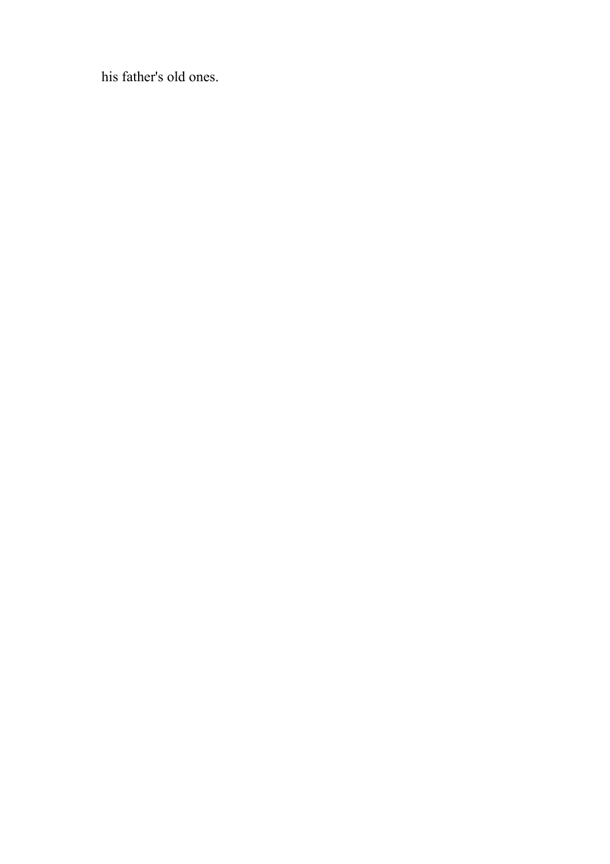his father's old ones.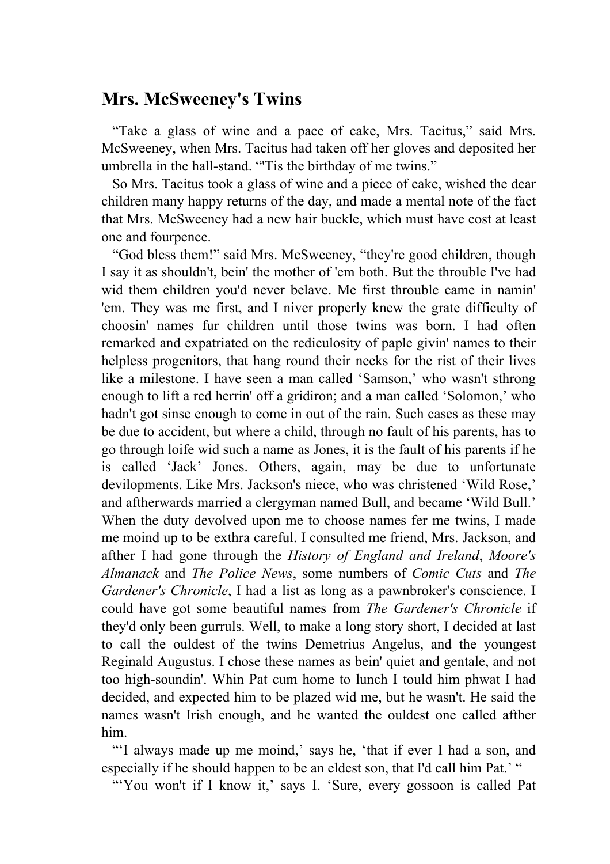#### **Mrs. McSweeney's Twins**

 "Take a glass of wine and a pace of cake, Mrs. Tacitus," said Mrs. McSweeney, when Mrs. Tacitus had taken off her gloves and deposited her umbrella in the hall-stand. "'Tis the birthday of me twins."

 So Mrs. Tacitus took a glass of wine and a piece of cake, wished the dear children many happy returns of the day, and made a mental note of the fact that Mrs. McSweeney had a new hair buckle, which must have cost at least one and fourpence.

 "God bless them!" said Mrs. McSweeney, "they're good children, though I say it as shouldn't, bein' the mother of 'em both. But the throuble I've had wid them children you'd never belave. Me first throuble came in namin' 'em. They was me first, and I niver properly knew the grate difficulty of choosin' names fur children until those twins was born. I had often remarked and expatriated on the rediculosity of paple givin' names to their helpless progenitors, that hang round their necks for the rist of their lives like a milestone. I have seen a man called 'Samson,' who wasn't sthrong enough to lift a red herrin' off a gridiron; and a man called 'Solomon,' who hadn't got sinse enough to come in out of the rain. Such cases as these may be due to accident, but where a child, through no fault of his parents, has to go through loife wid such a name as Jones, it is the fault of his parents if he is called 'Jack' Jones. Others, again, may be due to unfortunate devilopments. Like Mrs. Jackson's niece, who was christened 'Wild Rose,' and aftherwards married a clergyman named Bull, and became 'Wild Bull.' When the duty devolved upon me to choose names fer me twins, I made me moind up to be exthra careful. I consulted me friend, Mrs. Jackson, and afther I had gone through the *History of England and Ireland*, *Moore's Almanack* and *The Police News*, some numbers of *Comic Cuts* and *The Gardener's Chronicle*, I had a list as long as a pawnbroker's conscience. I could have got some beautiful names from *The Gardener's Chronicle* if they'd only been gurruls. Well, to make a long story short, I decided at last to call the ouldest of the twins Demetrius Angelus, and the youngest Reginald Augustus. I chose these names as bein' quiet and gentale, and not too high-soundin'. Whin Pat cum home to lunch I tould him phwat I had decided, and expected him to be plazed wid me, but he wasn't. He said the names wasn't Irish enough, and he wanted the ouldest one called afther him.

 "'I always made up me moind,' says he, 'that if ever I had a son, and especially if he should happen to be an eldest son, that I'd call him Pat.' "

"'You won't if I know it,' says I. 'Sure, every gossoon is called Pat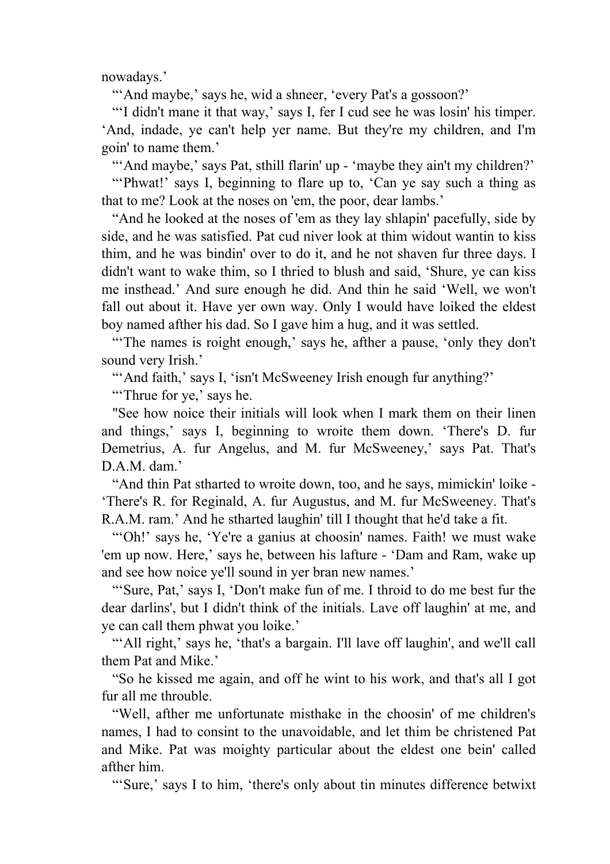nowadays.'

"'And maybe,' says he, wid a shneer, 'every Pat's a gossoon?'

 "'I didn't mane it that way,' says I, fer I cud see he was losin' his timper. 'And, indade, ye can't help yer name. But they're my children, and I'm goin' to name them.'

"'And maybe,' says Pat, sthill flarin' up - 'maybe they ain't my children?'

"Phwat!' says I, beginning to flare up to, 'Can ye say such a thing as that to me? Look at the noses on 'em, the poor, dear lambs.'

 "And he looked at the noses of 'em as they lay shlapin' pacefully, side by side, and he was satisfied. Pat cud niver look at thim widout wantin to kiss thim, and he was bindin' over to do it, and he not shaven fur three days. I didn't want to wake thim, so I thried to blush and said, 'Shure, ye can kiss me insthead.' And sure enough he did. And thin he said 'Well, we won't fall out about it. Have yer own way. Only I would have loiked the eldest boy named afther his dad. So I gave him a hug, and it was settled.

"The names is roight enough,' says he, afther a pause, 'only they don't sound very Irish.'

"'And faith,' says I, 'isn't McSweeney Irish enough fur anything?'

"Thrue for ye,' says he.

 "See how noice their initials will look when I mark them on their linen and things,' says I, beginning to wroite them down. 'There's D. fur Demetrius, A. fur Angelus, and M. fur McSweeney,' says Pat. That's D.A.M. dam.'

 "And thin Pat stharted to wroite down, too, and he says, mimickin' loike - 'There's R. for Reginald, A. fur Augustus, and M. fur McSweeney. That's R.A.M. ram.' And he stharted laughin' till I thought that he'd take a fit.

""Oh!' says he, 'Ye're a ganius at choosin' names. Faith! we must wake 'em up now. Here,' says he, between his lafture - 'Dam and Ram, wake up and see how noice ye'll sound in yer bran new names.'

 "'Sure, Pat,' says I, 'Don't make fun of me. I throid to do me best fur the dear darlins', but I didn't think of the initials. Lave off laughin' at me, and ye can call them phwat you loike.'

""All right,' says he, 'that's a bargain. I'll lave off laughin', and we'll call them Pat and Mike.'

 "So he kissed me again, and off he wint to his work, and that's all I got fur all me throuble.

 "Well, afther me unfortunate misthake in the choosin' of me children's names, I had to consint to the unavoidable, and let thim be christened Pat and Mike. Pat was moighty particular about the eldest one bein' called afther him.

"'Sure,' says I to him, 'there's only about tin minutes difference betwixt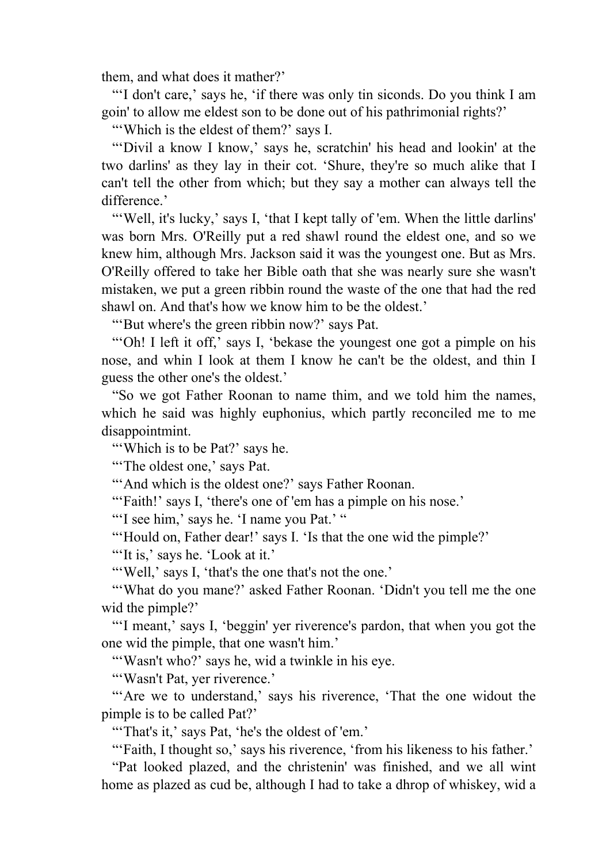them, and what does it mather?'

 "'I don't care,' says he, 'if there was only tin siconds. Do you think I am goin' to allow me eldest son to be done out of his pathrimonial rights?'

"Which is the eldest of them?' says I.

""Divil a know I know,' says he, scratchin' his head and lookin' at the two darlins' as they lay in their cot. 'Shure, they're so much alike that I can't tell the other from which; but they say a mother can always tell the difference.'

""Well, it's lucky,' says I, 'that I kept tally of 'em. When the little darlins' was born Mrs. O'Reilly put a red shawl round the eldest one, and so we knew him, although Mrs. Jackson said it was the youngest one. But as Mrs. O'Reilly offered to take her Bible oath that she was nearly sure she wasn't mistaken, we put a green ribbin round the waste of the one that had the red shawl on. And that's how we know him to be the oldest.'

"'But where's the green ribbin now?' says Pat.

""Oh! I left it off,' says I, 'bekase the youngest one got a pimple on his nose, and whin I look at them I know he can't be the oldest, and thin I guess the other one's the oldest.'

 "So we got Father Roonan to name thim, and we told him the names, which he said was highly euphonius, which partly reconciled me to me disappointmint.

"Which is to be Pat?' says he.

"The oldest one,' says Pat.

"'And which is the oldest one?' says Father Roonan.

"'Faith!' says I, 'there's one of 'em has a pimple on his nose.'

"'I see him,' says he. 'I name you Pat.' "

"Hould on, Father dear!' says I. 'Is that the one wid the pimple?'

"It is,' says he. 'Look at it.'

"'Well,' says I, 'that's the one that's not the one.'

 "'What do you mane?' asked Father Roonan. 'Didn't you tell me the one wid the pimple?'

"'I meant,' says I, 'beggin' yer riverence's pardon, that when you got the one wid the pimple, that one wasn't him.'

"'Wasn't who?' says he, wid a twinkle in his eye.

"'Wasn't Pat, ver riverence.'

"Are we to understand,' says his riverence, 'That the one widout the pimple is to be called Pat?'

"That's it,' says Pat, 'he's the oldest of 'em.'

"'Faith, I thought so,' says his riverence, 'from his likeness to his father.'

 "Pat looked plazed, and the christenin' was finished, and we all wint home as plazed as cud be, although I had to take a dhrop of whiskey, wid a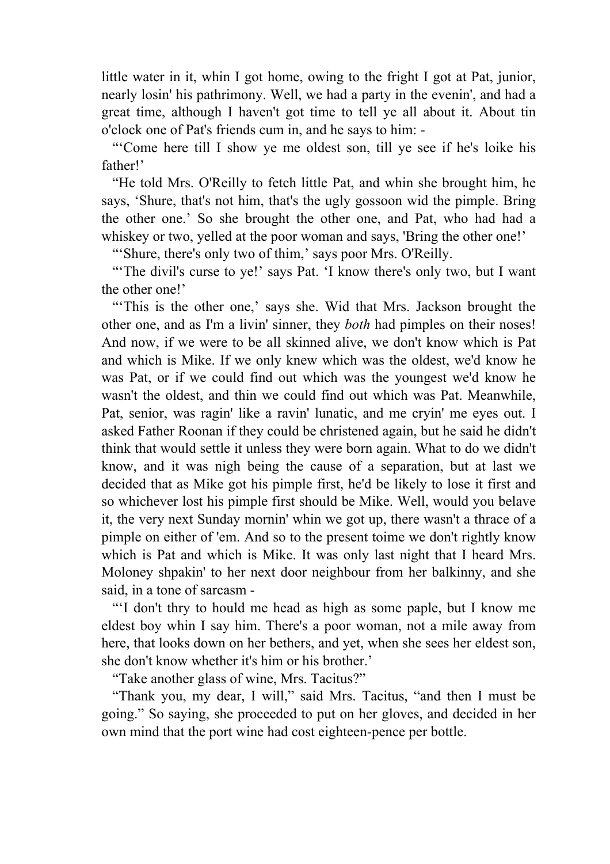little water in it, whin I got home, owing to the fright I got at Pat, junior, nearly losin' his pathrimony. Well, we had a party in the evenin', and had a great time, although I haven't got time to tell ye all about it. About tin o'clock one of Pat's friends cum in, and he says to him: -

 "'Come here till I show ye me oldest son, till ye see if he's loike his father!'

 "He told Mrs. O'Reilly to fetch little Pat, and whin she brought him, he says, 'Shure, that's not him, that's the ugly gossoon wid the pimple. Bring the other one.' So she brought the other one, and Pat, who had had a whiskey or two, yelled at the poor woman and says, 'Bring the other one!'

"'Shure, there's only two of thim,' says poor Mrs. O'Reilly.

"The divil's curse to ye!' says Pat. 'I know there's only two, but I want the other one!'

"This is the other one,' says she. Wid that Mrs. Jackson brought the other one, and as I'm a livin' sinner, they *both* had pimples on their noses! And now, if we were to be all skinned alive, we don't know which is Pat and which is Mike. If we only knew which was the oldest, we'd know he was Pat, or if we could find out which was the youngest we'd know he wasn't the oldest, and thin we could find out which was Pat. Meanwhile, Pat, senior, was ragin' like a ravin' lunatic, and me cryin' me eyes out. I asked Father Roonan if they could be christened again, but he said he didn't think that would settle it unless they were born again. What to do we didn't know, and it was nigh being the cause of a separation, but at last we decided that as Mike got his pimple first, he'd be likely to lose it first and so whichever lost his pimple first should be Mike. Well, would you belave it, the very next Sunday mornin' whin we got up, there wasn't a thrace of a pimple on either of 'em. And so to the present toime we don't rightly know which is Pat and which is Mike. It was only last night that I heard Mrs. Moloney shpakin' to her next door neighbour from her balkinny, and she said, in a tone of sarcasm -

 "'I don't thry to hould me head as high as some paple, but I know me eldest boy whin I say him. There's a poor woman, not a mile away from here, that looks down on her bethers, and yet, when she sees her eldest son, she don't know whether it's him or his brother.'

"Take another glass of wine, Mrs. Tacitus?"

 "Thank you, my dear, I will," said Mrs. Tacitus, "and then I must be going." So saying, she proceeded to put on her gloves, and decided in her own mind that the port wine had cost eighteen-pence per bottle.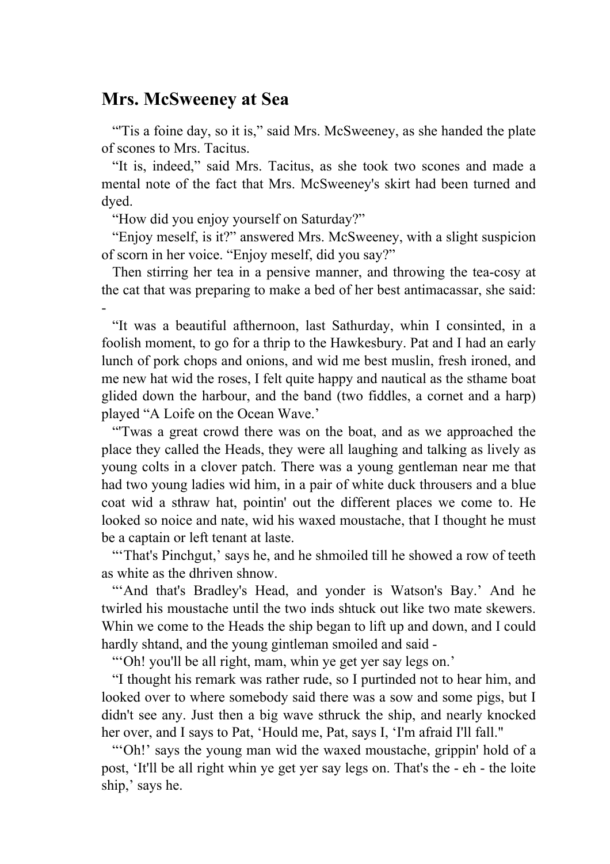#### **Mrs. McSweeney at Sea**

 "'Tis a foine day, so it is," said Mrs. McSweeney, as she handed the plate of scones to Mrs. Tacitus.

 "It is, indeed," said Mrs. Tacitus, as she took two scones and made a mental note of the fact that Mrs. McSweeney's skirt had been turned and dyed.

"How did you enjoy yourself on Saturday?"

 "Enjoy meself, is it?" answered Mrs. McSweeney, with a slight suspicion of scorn in her voice. "Enjoy meself, did you say?"

 Then stirring her tea in a pensive manner, and throwing the tea-cosy at the cat that was preparing to make a bed of her best antimacassar, she said: -

 "It was a beautiful afthernoon, last Sathurday, whin I consinted, in a foolish moment, to go for a thrip to the Hawkesbury. Pat and I had an early lunch of pork chops and onions, and wid me best muslin, fresh ironed, and me new hat wid the roses, I felt quite happy and nautical as the sthame boat glided down the harbour, and the band (two fiddles, a cornet and a harp) played "A Loife on the Ocean Wave.'

 "'Twas a great crowd there was on the boat, and as we approached the place they called the Heads, they were all laughing and talking as lively as young colts in a clover patch. There was a young gentleman near me that had two young ladies wid him, in a pair of white duck throusers and a blue coat wid a sthraw hat, pointin' out the different places we come to. He looked so noice and nate, wid his waxed moustache, that I thought he must be a captain or left tenant at laste.

"That's Pinchgut,' says he, and he shmoiled till he showed a row of teeth as white as the dhriven shnow.

"'And that's Bradley's Head, and yonder is Watson's Bay.' And he twirled his moustache until the two inds shtuck out like two mate skewers. Whin we come to the Heads the ship began to lift up and down, and I could hardly shtand, and the young gintleman smoiled and said -

""Oh! you'll be all right, mam, whin ye get yer say legs on."

 "I thought his remark was rather rude, so I purtinded not to hear him, and looked over to where somebody said there was a sow and some pigs, but I didn't see any. Just then a big wave sthruck the ship, and nearly knocked her over, and I says to Pat, 'Hould me, Pat, says I, 'I'm afraid I'll fall."

""Oh!' says the young man wid the waxed moustache, grippin' hold of a post, 'It'll be all right whin ye get yer say legs on. That's the - eh - the loite ship,' says he.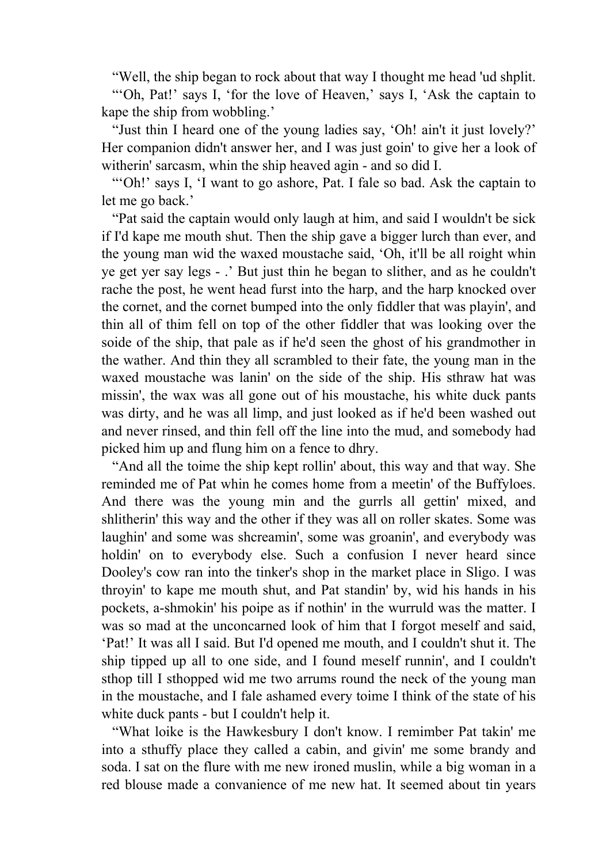"Well, the ship began to rock about that way I thought me head 'ud shplit. "'Oh, Pat!' says I, 'for the love of Heaven,' says I, 'Ask the captain to kape the ship from wobbling.'

 "Just thin I heard one of the young ladies say, 'Oh! ain't it just lovely?' Her companion didn't answer her, and I was just goin' to give her a look of witherin' sarcasm, whin the ship heaved agin - and so did I.

""Oh!' says I, 'I want to go ashore, Pat. I fale so bad. Ask the captain to let me go back.'

 "Pat said the captain would only laugh at him, and said I wouldn't be sick if I'd kape me mouth shut. Then the ship gave a bigger lurch than ever, and the young man wid the waxed moustache said, 'Oh, it'll be all roight whin ye get yer say legs - .' But just thin he began to slither, and as he couldn't rache the post, he went head furst into the harp, and the harp knocked over the cornet, and the cornet bumped into the only fiddler that was playin', and thin all of thim fell on top of the other fiddler that was looking over the soide of the ship, that pale as if he'd seen the ghost of his grandmother in the wather. And thin they all scrambled to their fate, the young man in the waxed moustache was lanin' on the side of the ship. His sthraw hat was missin', the wax was all gone out of his moustache, his white duck pants was dirty, and he was all limp, and just looked as if he'd been washed out and never rinsed, and thin fell off the line into the mud, and somebody had picked him up and flung him on a fence to dhry.

 "And all the toime the ship kept rollin' about, this way and that way. She reminded me of Pat whin he comes home from a meetin' of the Buffyloes. And there was the young min and the gurrls all gettin' mixed, and shlitherin' this way and the other if they was all on roller skates. Some was laughin' and some was shcreamin', some was groanin', and everybody was holdin' on to everybody else. Such a confusion I never heard since Dooley's cow ran into the tinker's shop in the market place in Sligo. I was throyin' to kape me mouth shut, and Pat standin' by, wid his hands in his pockets, a-shmokin' his poipe as if nothin' in the wurruld was the matter. I was so mad at the unconcarned look of him that I forgot meself and said, 'Pat!' It was all I said. But I'd opened me mouth, and I couldn't shut it. The ship tipped up all to one side, and I found meself runnin', and I couldn't sthop till I sthopped wid me two arrums round the neck of the young man in the moustache, and I fale ashamed every toime I think of the state of his white duck pants - but I couldn't help it.

 "What loike is the Hawkesbury I don't know. I remimber Pat takin' me into a sthuffy place they called a cabin, and givin' me some brandy and soda. I sat on the flure with me new ironed muslin, while a big woman in a red blouse made a convanience of me new hat. It seemed about tin years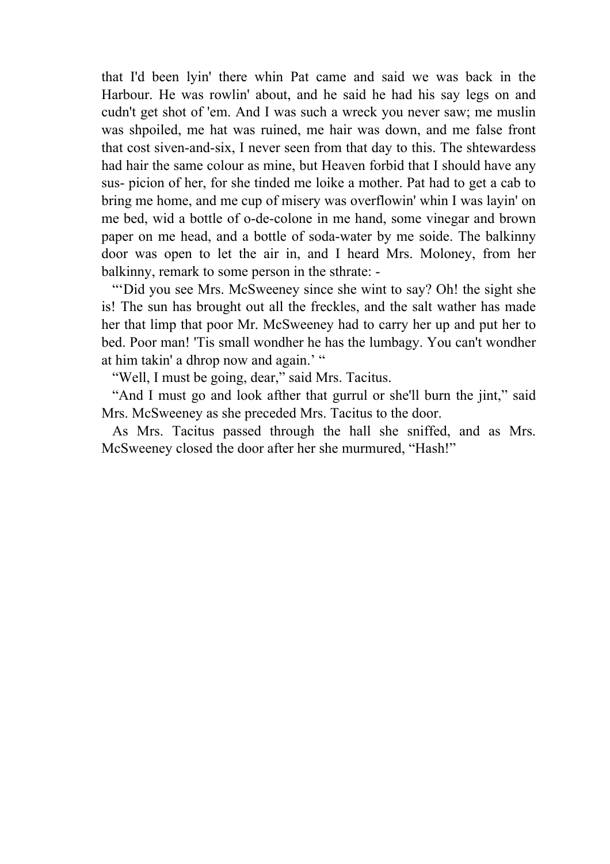that I'd been lyin' there whin Pat came and said we was back in the Harbour. He was rowlin' about, and he said he had his say legs on and cudn't get shot of 'em. And I was such a wreck you never saw; me muslin was shpoiled, me hat was ruined, me hair was down, and me false front that cost siven-and-six, I never seen from that day to this. The shtewardess had hair the same colour as mine, but Heaven forbid that I should have any sus- picion of her, for she tinded me loike a mother. Pat had to get a cab to bring me home, and me cup of misery was overflowin' whin I was layin' on me bed, wid a bottle of o-de-colone in me hand, some vinegar and brown paper on me head, and a bottle of soda-water by me soide. The balkinny door was open to let the air in, and I heard Mrs. Moloney, from her balkinny, remark to some person in the sthrate: -

 "'Did you see Mrs. McSweeney since she wint to say? Oh! the sight she is! The sun has brought out all the freckles, and the salt wather has made her that limp that poor Mr. McSweeney had to carry her up and put her to bed. Poor man! 'Tis small wondher he has the lumbagy. You can't wondher at him takin' a dhrop now and again.' "

"Well, I must be going, dear," said Mrs. Tacitus.

 "And I must go and look afther that gurrul or she'll burn the jint," said Mrs. McSweeney as she preceded Mrs. Tacitus to the door.

 As Mrs. Tacitus passed through the hall she sniffed, and as Mrs. McSweeney closed the door after her she murmured, "Hash!"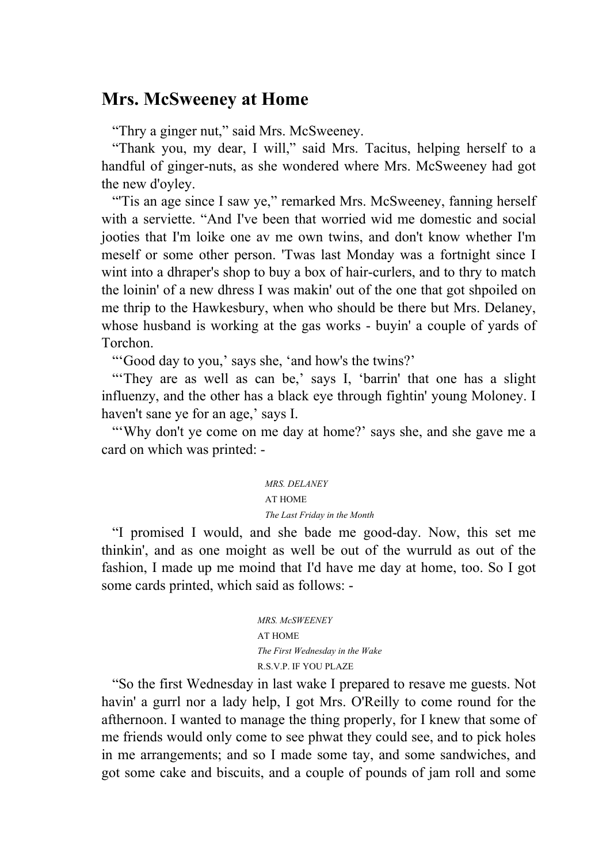#### **Mrs. McSweeney at Home**

"Thry a ginger nut," said Mrs. McSweeney.

 "Thank you, my dear, I will," said Mrs. Tacitus, helping herself to a handful of ginger-nuts, as she wondered where Mrs. McSweeney had got the new d'oyley.

"Tis an age since I saw ye," remarked Mrs. McSweeney, fanning herself with a serviette. "And I've been that worried wid me domestic and social jooties that I'm loike one av me own twins, and don't know whether I'm meself or some other person. 'Twas last Monday was a fortnight since I wint into a dhraper's shop to buy a box of hair-curlers, and to thry to match the loinin' of a new dhress I was makin' out of the one that got shpoiled on me thrip to the Hawkesbury, when who should be there but Mrs. Delaney, whose husband is working at the gas works - buyin' a couple of yards of Torchon.

"'Good day to you,' says she, 'and how's the twins?'

"They are as well as can be,' says I, 'barrin' that one has a slight influenzy, and the other has a black eye through fightin' young Moloney. I haven't sane ye for an age,' says I.

"Why don't ye come on me day at home?' says she, and she gave me a card on which was printed: -

> *MRS. DELANEY* AT HOME *The Last Friday in the Month*

 "I promised I would, and she bade me good-day. Now, this set me thinkin', and as one moight as well be out of the wurruld as out of the fashion, I made up me moind that I'd have me day at home, too. So I got some cards printed, which said as follows: -

> *MRS. McSWEENEY* AT HOME *The First Wednesday in the Wake* R.S.V.P. IF YOU PLAZE

 "So the first Wednesday in last wake I prepared to resave me guests. Not havin' a gurrl nor a lady help, I got Mrs. O'Reilly to come round for the afthernoon. I wanted to manage the thing properly, for I knew that some of me friends would only come to see phwat they could see, and to pick holes in me arrangements; and so I made some tay, and some sandwiches, and got some cake and biscuits, and a couple of pounds of jam roll and some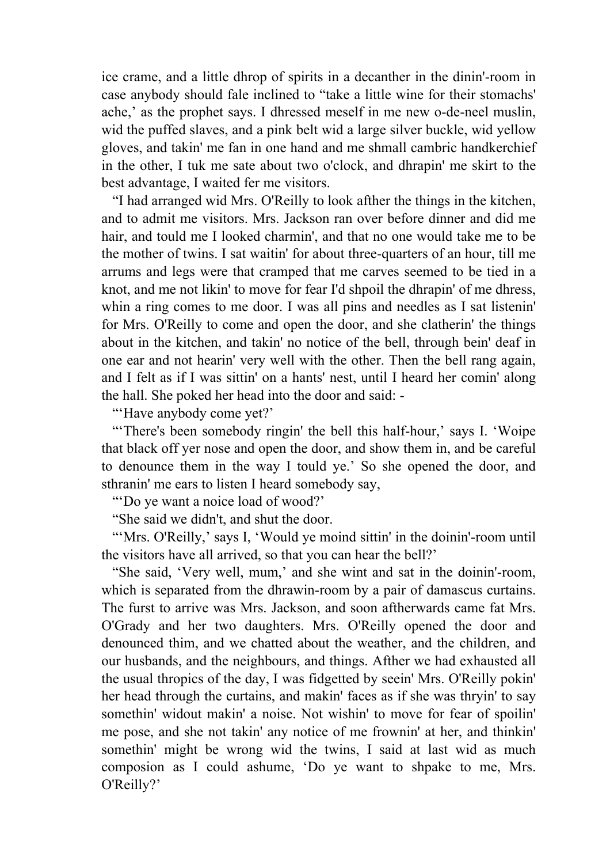ice crame, and a little dhrop of spirits in a decanther in the dinin'-room in case anybody should fale inclined to "take a little wine for their stomachs' ache,' as the prophet says. I dhressed meself in me new o-de-neel muslin, wid the puffed slaves, and a pink belt wid a large silver buckle, wid yellow gloves, and takin' me fan in one hand and me shmall cambric handkerchief in the other, I tuk me sate about two o'clock, and dhrapin' me skirt to the best advantage, I waited fer me visitors.

 "I had arranged wid Mrs. O'Reilly to look afther the things in the kitchen, and to admit me visitors. Mrs. Jackson ran over before dinner and did me hair, and tould me I looked charmin', and that no one would take me to be the mother of twins. I sat waitin' for about three-quarters of an hour, till me arrums and legs were that cramped that me carves seemed to be tied in a knot, and me not likin' to move for fear I'd shpoil the dhrapin' of me dhress, whin a ring comes to me door. I was all pins and needles as I sat listenin' for Mrs. O'Reilly to come and open the door, and she clatherin' the things about in the kitchen, and takin' no notice of the bell, through bein' deaf in one ear and not hearin' very well with the other. Then the bell rang again, and I felt as if I was sittin' on a hants' nest, until I heard her comin' along the hall. She poked her head into the door and said: -

"Have anybody come yet?"

"There's been somebody ringin' the bell this half-hour,' says I. 'Woipe that black off yer nose and open the door, and show them in, and be careful to denounce them in the way I tould ye.' So she opened the door, and sthranin' me ears to listen I heard somebody say,

"'Do ye want a noice load of wood?'

"She said we didn't, and shut the door.

"'Mrs. O'Reilly,' says I, 'Would ye moind sittin' in the doinin'-room until the visitors have all arrived, so that you can hear the bell?'

 "She said, 'Very well, mum,' and she wint and sat in the doinin'-room, which is separated from the dhrawin-room by a pair of damascus curtains. The furst to arrive was Mrs. Jackson, and soon aftherwards came fat Mrs. O'Grady and her two daughters. Mrs. O'Reilly opened the door and denounced thim, and we chatted about the weather, and the children, and our husbands, and the neighbours, and things. Afther we had exhausted all the usual thropics of the day, I was fidgetted by seein' Mrs. O'Reilly pokin' her head through the curtains, and makin' faces as if she was thryin' to say somethin' widout makin' a noise. Not wishin' to move for fear of spoilin' me pose, and she not takin' any notice of me frownin' at her, and thinkin' somethin' might be wrong wid the twins, I said at last wid as much composion as I could ashume, 'Do ye want to shpake to me, Mrs. O'Reilly?'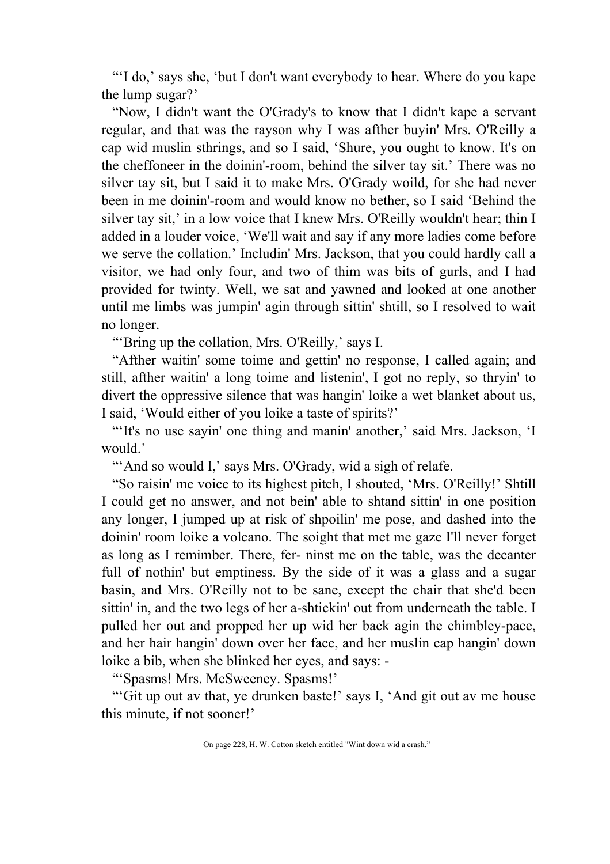"'I do,' says she, 'but I don't want everybody to hear. Where do you kape the lump sugar?'

 "Now, I didn't want the O'Grady's to know that I didn't kape a servant regular, and that was the rayson why I was afther buyin' Mrs. O'Reilly a cap wid muslin sthrings, and so I said, 'Shure, you ought to know. It's on the cheffoneer in the doinin'-room, behind the silver tay sit.' There was no silver tay sit, but I said it to make Mrs. O'Grady woild, for she had never been in me doinin'-room and would know no bether, so I said 'Behind the silver tay sit,' in a low voice that I knew Mrs. O'Reilly wouldn't hear; thin I added in a louder voice, 'We'll wait and say if any more ladies come before we serve the collation.' Includin' Mrs. Jackson, that you could hardly call a visitor, we had only four, and two of thim was bits of gurls, and I had provided for twinty. Well, we sat and yawned and looked at one another until me limbs was jumpin' agin through sittin' shtill, so I resolved to wait no longer.

"'Bring up the collation, Mrs. O'Reilly,' says I.

 "Afther waitin' some toime and gettin' no response, I called again; and still, afther waitin' a long toime and listenin', I got no reply, so thryin' to divert the oppressive silence that was hangin' loike a wet blanket about us, I said, 'Would either of you loike a taste of spirits?'

"It's no use sayin' one thing and manin' another,' said Mrs. Jackson, 'I would.'

"'And so would I,' says Mrs. O'Grady, wid a sigh of relafe.

 "So raisin' me voice to its highest pitch, I shouted, 'Mrs. O'Reilly!' Shtill I could get no answer, and not bein' able to shtand sittin' in one position any longer, I jumped up at risk of shpoilin' me pose, and dashed into the doinin' room loike a volcano. The soight that met me gaze I'll never forget as long as I remimber. There, fer- ninst me on the table, was the decanter full of nothin' but emptiness. By the side of it was a glass and a sugar basin, and Mrs. O'Reilly not to be sane, except the chair that she'd been sittin' in, and the two legs of her a-shtickin' out from underneath the table. I pulled her out and propped her up wid her back agin the chimbley-pace, and her hair hangin' down over her face, and her muslin cap hangin' down loike a bib, when she blinked her eyes, and says: -

"'Spasms! Mrs. McSweeney. Spasms!'

 "'Git up out av that, ye drunken baste!' says I, 'And git out av me house this minute, if not sooner!'

On page 228, H. W. Cotton sketch entitled "Wint down wid a crash."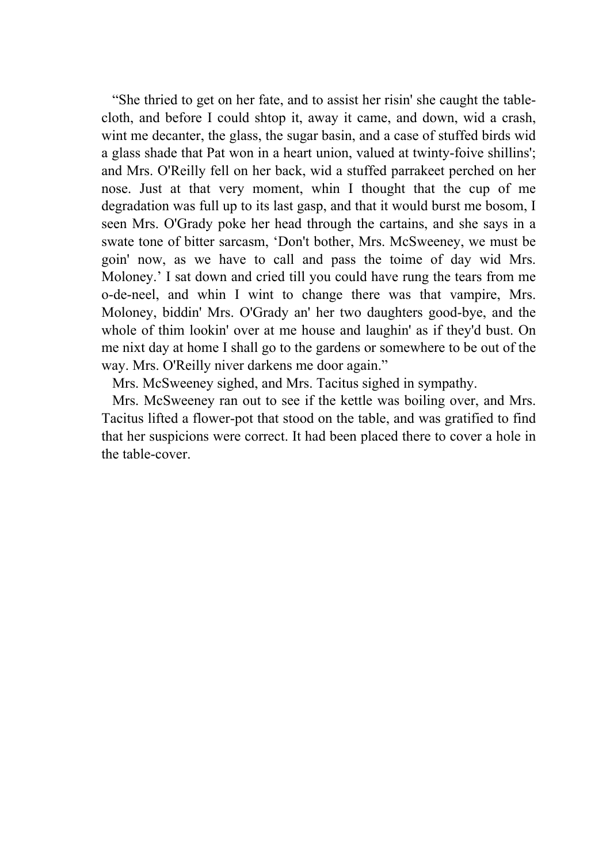"She thried to get on her fate, and to assist her risin' she caught the tablecloth, and before I could shtop it, away it came, and down, wid a crash, wint me decanter, the glass, the sugar basin, and a case of stuffed birds wid a glass shade that Pat won in a heart union, valued at twinty-foive shillins'; and Mrs. O'Reilly fell on her back, wid a stuffed parrakeet perched on her nose. Just at that very moment, whin I thought that the cup of me degradation was full up to its last gasp, and that it would burst me bosom, I seen Mrs. O'Grady poke her head through the cartains, and she says in a swate tone of bitter sarcasm, 'Don't bother, Mrs. McSweeney, we must be goin' now, as we have to call and pass the toime of day wid Mrs. Moloney.' I sat down and cried till you could have rung the tears from me o-de-neel, and whin I wint to change there was that vampire, Mrs. Moloney, biddin' Mrs. O'Grady an' her two daughters good-bye, and the whole of thim lookin' over at me house and laughin' as if they'd bust. On me nixt day at home I shall go to the gardens or somewhere to be out of the way. Mrs. O'Reilly niver darkens me door again."

Mrs. McSweeney sighed, and Mrs. Tacitus sighed in sympathy.

 Mrs. McSweeney ran out to see if the kettle was boiling over, and Mrs. Tacitus lifted a flower-pot that stood on the table, and was gratified to find that her suspicions were correct. It had been placed there to cover a hole in the table-cover.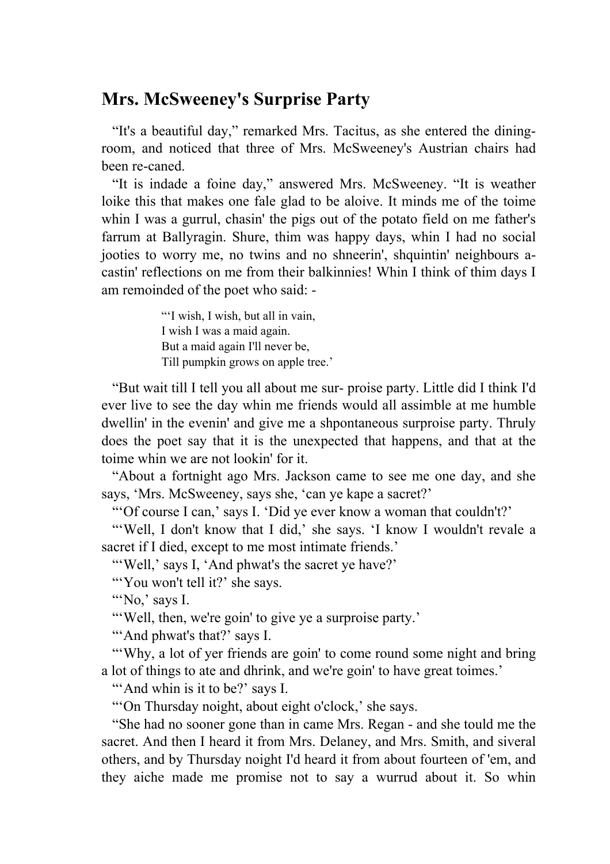### **Mrs. McSweeney's Surprise Party**

 "It's a beautiful day," remarked Mrs. Tacitus, as she entered the diningroom, and noticed that three of Mrs. McSweeney's Austrian chairs had been re-caned.

 "It is indade a foine day," answered Mrs. McSweeney. "It is weather loike this that makes one fale glad to be aloive. It minds me of the toime whin I was a gurrul, chasin' the pigs out of the potato field on me father's farrum at Ballyragin. Shure, thim was happy days, whin I had no social jooties to worry me, no twins and no shneerin', shquintin' neighbours acastin' reflections on me from their balkinnies! Whin I think of thim days I am remoinded of the poet who said: -

> "I wish, I wish, but all in vain, I wish I was a maid again. But a maid again I'll never be, Till pumpkin grows on apple tree.'

 "But wait till I tell you all about me sur- proise party. Little did I think I'd ever live to see the day whin me friends would all assimble at me humble dwellin' in the evenin' and give me a shpontaneous surproise party. Thruly does the poet say that it is the unexpected that happens, and that at the toime whin we are not lookin' for it.

 "About a fortnight ago Mrs. Jackson came to see me one day, and she says, 'Mrs. McSweeney, says she, 'can ye kape a sacret?'

"'Of course I can,' says I. 'Did ye ever know a woman that couldn't?'

"'Well, I don't know that I did,' she says. 'I know I wouldn't revale a sacret if I died, except to me most intimate friends.'

"'Well,' says I, 'And phwat's the sacret ye have?'

"You won't tell it?' she says.

"No,' says I.

"'Well, then, we're goin' to give ye a surproise party.'

""And phwat's that?' says I.

 "'Why, a lot of yer friends are goin' to come round some night and bring a lot of things to ate and dhrink, and we're goin' to have great toimes.'

""And whin is it to be?" says I.

"'On Thursday noight, about eight o'clock,' she says.

 "She had no sooner gone than in came Mrs. Regan - and she tould me the sacret. And then I heard it from Mrs. Delaney, and Mrs. Smith, and siveral others, and by Thursday noight I'd heard it from about fourteen of 'em, and they aiche made me promise not to say a wurrud about it. So whin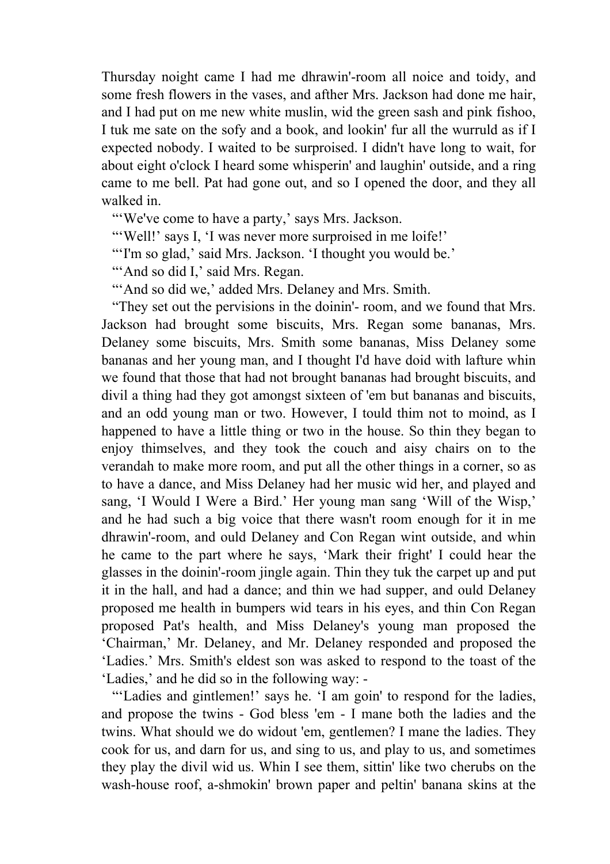Thursday noight came I had me dhrawin'-room all noice and toidy, and some fresh flowers in the vases, and afther Mrs. Jackson had done me hair, and I had put on me new white muslin, wid the green sash and pink fishoo, I tuk me sate on the sofy and a book, and lookin' fur all the wurruld as if I expected nobody. I waited to be surproised. I didn't have long to wait, for about eight o'clock I heard some whisperin' and laughin' outside, and a ring came to me bell. Pat had gone out, and so I opened the door, and they all walked in.

"'We've come to have a party,' says Mrs. Jackson.

"'Well!' says I, 'I was never more surproised in me loife!'

"'I'm so glad,' said Mrs. Jackson. 'I thought you would be.'

"'And so did I,' said Mrs. Regan.

"'And so did we,' added Mrs. Delaney and Mrs. Smith.

 "They set out the pervisions in the doinin'- room, and we found that Mrs. Jackson had brought some biscuits, Mrs. Regan some bananas, Mrs. Delaney some biscuits, Mrs. Smith some bananas, Miss Delaney some bananas and her young man, and I thought I'd have doid with lafture whin we found that those that had not brought bananas had brought biscuits, and divil a thing had they got amongst sixteen of 'em but bananas and biscuits, and an odd young man or two. However, I tould thim not to moind, as I happened to have a little thing or two in the house. So thin they began to enjoy thimselves, and they took the couch and aisy chairs on to the verandah to make more room, and put all the other things in a corner, so as to have a dance, and Miss Delaney had her music wid her, and played and sang, 'I Would I Were a Bird.' Her young man sang 'Will of the Wisp,' and he had such a big voice that there wasn't room enough for it in me dhrawin'-room, and ould Delaney and Con Regan wint outside, and whin he came to the part where he says, 'Mark their fright' I could hear the glasses in the doinin'-room jingle again. Thin they tuk the carpet up and put it in the hall, and had a dance; and thin we had supper, and ould Delaney proposed me health in bumpers wid tears in his eyes, and thin Con Regan proposed Pat's health, and Miss Delaney's young man proposed the 'Chairman,' Mr. Delaney, and Mr. Delaney responded and proposed the 'Ladies.' Mrs. Smith's eldest son was asked to respond to the toast of the 'Ladies,' and he did so in the following way: -

 "'Ladies and gintlemen!' says he. 'I am goin' to respond for the ladies, and propose the twins - God bless 'em - I mane both the ladies and the twins. What should we do widout 'em, gentlemen? I mane the ladies. They cook for us, and darn for us, and sing to us, and play to us, and sometimes they play the divil wid us. Whin I see them, sittin' like two cherubs on the wash-house roof, a-shmokin' brown paper and peltin' banana skins at the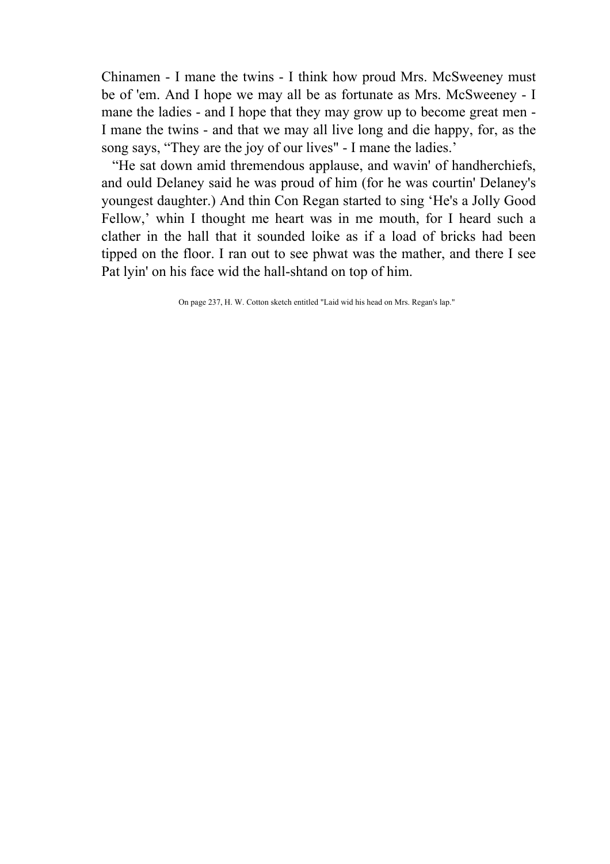Chinamen - I mane the twins - I think how proud Mrs. McSweeney must be of 'em. And I hope we may all be as fortunate as Mrs. McSweeney - I mane the ladies - and I hope that they may grow up to become great men - I mane the twins - and that we may all live long and die happy, for, as the song says, "They are the joy of our lives" - I mane the ladies.'

 "He sat down amid thremendous applause, and wavin' of handherchiefs, and ould Delaney said he was proud of him (for he was courtin' Delaney's youngest daughter.) And thin Con Regan started to sing 'He's a Jolly Good Fellow,' whin I thought me heart was in me mouth, for I heard such a clather in the hall that it sounded loike as if a load of bricks had been tipped on the floor. I ran out to see phwat was the mather, and there I see Pat lyin' on his face wid the hall-shtand on top of him.

On page 237, H. W. Cotton sketch entitled "Laid wid his head on Mrs. Regan's lap."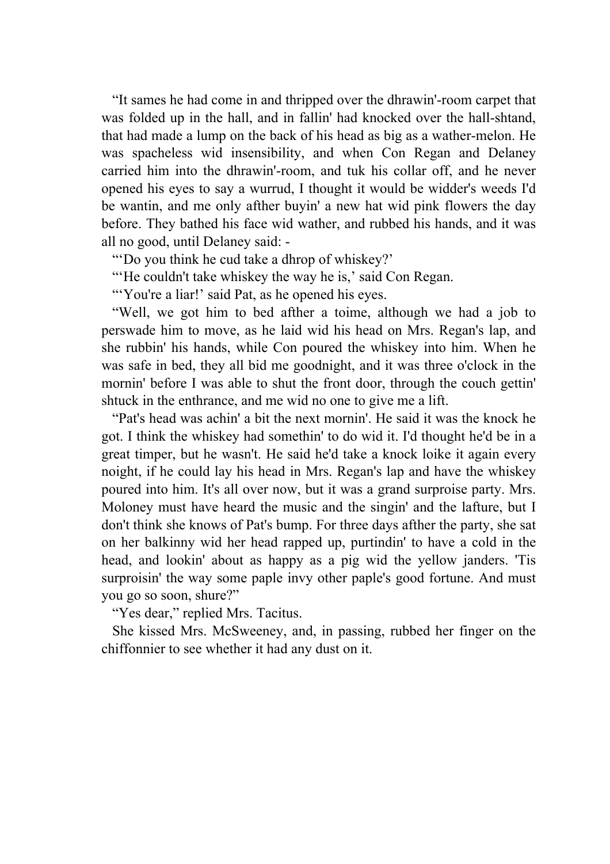"It sames he had come in and thripped over the dhrawin'-room carpet that was folded up in the hall, and in fallin' had knocked over the hall-shtand, that had made a lump on the back of his head as big as a wather-melon. He was spacheless wid insensibility, and when Con Regan and Delaney carried him into the dhrawin'-room, and tuk his collar off, and he never opened his eyes to say a wurrud, I thought it would be widder's weeds I'd be wantin, and me only afther buyin' a new hat wid pink flowers the day before. They bathed his face wid wather, and rubbed his hands, and it was all no good, until Delaney said: -

"'Do you think he cud take a dhrop of whiskey?'

"'He couldn't take whiskey the way he is,' said Con Regan.

"You're a liar!' said Pat, as he opened his eyes.

 "Well, we got him to bed afther a toime, although we had a job to perswade him to move, as he laid wid his head on Mrs. Regan's lap, and she rubbin' his hands, while Con poured the whiskey into him. When he was safe in bed, they all bid me goodnight, and it was three o'clock in the mornin' before I was able to shut the front door, through the couch gettin' shtuck in the enthrance, and me wid no one to give me a lift.

 "Pat's head was achin' a bit the next mornin'. He said it was the knock he got. I think the whiskey had somethin' to do wid it. I'd thought he'd be in a great timper, but he wasn't. He said he'd take a knock loike it again every noight, if he could lay his head in Mrs. Regan's lap and have the whiskey poured into him. It's all over now, but it was a grand surproise party. Mrs. Moloney must have heard the music and the singin' and the lafture, but I don't think she knows of Pat's bump. For three days afther the party, she sat on her balkinny wid her head rapped up, purtindin' to have a cold in the head, and lookin' about as happy as a pig wid the yellow janders. 'Tis surproisin' the way some paple invy other paple's good fortune. And must you go so soon, shure?"

"Yes dear," replied Mrs. Tacitus.

 She kissed Mrs. McSweeney, and, in passing, rubbed her finger on the chiffonnier to see whether it had any dust on it.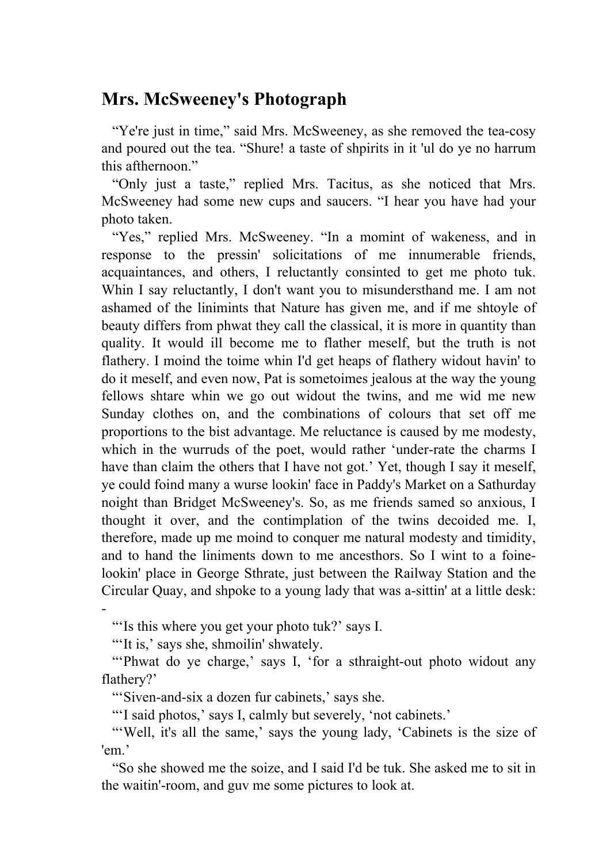# **Mrs. McSweeney's Photograph**

 "Ye're just in time," said Mrs. McSweeney, as she removed the tea-cosy and poured out the tea. "Shure! a taste of shpirits in it 'ul do ye no harrum this afthernoon."

 "Only just a taste," replied Mrs. Tacitus, as she noticed that Mrs. McSweeney had some new cups and saucers. "I hear you have had your photo taken.

"Yes," replied Mrs. McSweeney. "In a momint of wakeness, and in response to the pressin' solicitations of me innumerable friends, acquaintances, and others, I reluctantly consinted to get me photo tuk. Whin I say reluctantly, I don't want you to misundersthand me. I am not ashamed of the linimints that Nature has given me, and if me shtoyle of beauty differs from phwat they call the classical, it is more in quantity than quality. It would ill become me to flather meself, but the truth is not flathery. I moind the toime whin I'd get heaps of flathery widout havin' to do it meself, and even now, Pat is sometoimes jealous at the way the young fellows shtare whin we go out widout the twins, and me wid me new Sunday clothes on, and the combinations of colours that set off me proportions to the bist advantage. Me reluctance is caused by me modesty, which in the wurruds of the poet, would rather 'under-rate the charms I have than claim the others that I have not got.' Yet, though I say it meself, ye could foind many a wurse lookin' face in Paddy's Market on a Sathurday noight than Bridget McSweeney's. So, as me friends samed so anxious, I thought it over, and the contimplation of the twins decoided me. I, therefore, made up me moind to conquer me natural modesty and timidity, and to hand the liniments down to me ancesthors. So I wint to a foinelookin' place in George Sthrate, just between the Railway Station and the Circular Quay, and shpoke to a young lady that was a-sittin' at a little desk: -

"'Is this where you get your photo tuk?' says I.

""It is,' says she, shmoilin' shwately.

"'Phwat do ye charge,' says I, 'for a sthraight-out photo widout any flathery?'

"'Siven-and-six a dozen fur cabinets,' says she.

"'I said photos,' says I, calmly but severely, 'not cabinets.'

"'Well, it's all the same,' says the young lady, 'Cabinets is the size of 'em.'

 "So she showed me the soize, and I said I'd be tuk. She asked me to sit in the waitin'-room, and guv me some pictures to look at.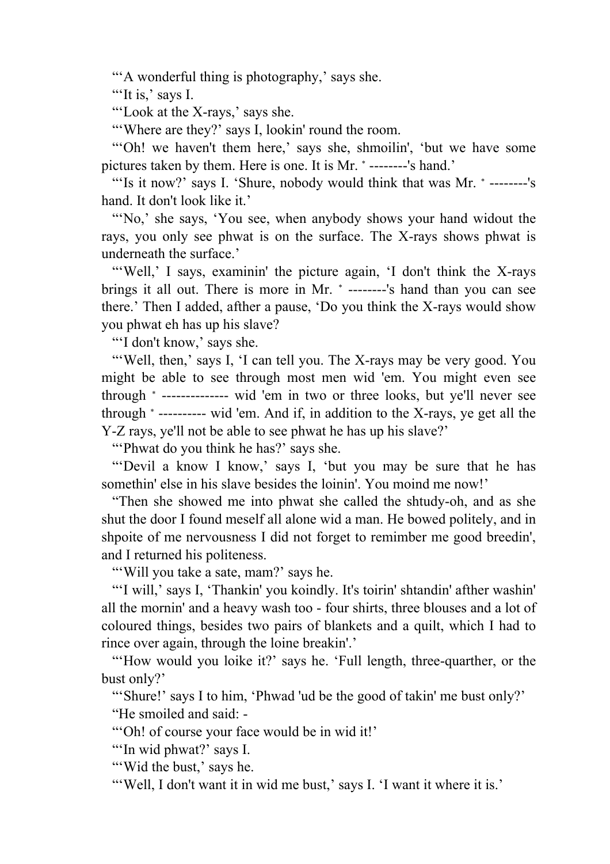"'A wonderful thing is photography,' says she.

""It is,' says I.

"'Look at the X-rays,' says she.

"'Where are they?' says I, lookin' round the room.

""Oh! we haven't them here,' says she, shmoilin', 'but we have some pictures taken by them. Here is one. It is Mr. \* --------'s hand.'

"Is it now?' says I. 'Shure, nobody would think that was Mr.  $*$  --------'s hand. It don't look like it.'

"No,' she says, 'You see, when anybody shows your hand widout the rays, you only see phwat is on the surface. The X-rays shows phwat is underneath the surface.'

"'Well,' I says, examinin' the picture again, 'I don't think the X-rays brings it all out. There is more in Mr. \* --------'s hand than you can see there.' Then I added, afther a pause, 'Do you think the X-rays would show you phwat eh has up his slave?

""I don't know,' says she.

""Well, then,' says I, 'I can tell you. The X-rays may be very good. You might be able to see through most men wid 'em. You might even see through \* -------------- wid 'em in two or three looks, but ye'll never see through \* ---------- wid 'em. And if, in addition to the X-rays, ye get all the Y-Z rays, ye'll not be able to see phwat he has up his slave?'

"Phwat do you think he has?" says she.

 "'Devil a know I know,' says I, 'but you may be sure that he has somethin' else in his slave besides the loinin'. You moind me now!'

 "Then she showed me into phwat she called the shtudy-oh, and as she shut the door I found meself all alone wid a man. He bowed politely, and in shpoite of me nervousness I did not forget to remimber me good breedin', and I returned his politeness.

""Will you take a sate, mam?' says he.

 "'I will,' says I, 'Thankin' you koindly. It's toirin' shtandin' afther washin' all the mornin' and a heavy wash too - four shirts, three blouses and a lot of coloured things, besides two pairs of blankets and a quilt, which I had to rince over again, through the loine breakin'.'

 "'How would you loike it?' says he. 'Full length, three-quarther, or the bust only?'

"'Shure!' says I to him, 'Phwad 'ud be the good of takin' me bust only?' "He smoiled and said: -

""Oh! of course your face would be in wid it!"

"In wid phwat?' says I.

"'Wid the bust,' says he.

""Well, I don't want it in wid me bust,' says I. 'I want it where it is.'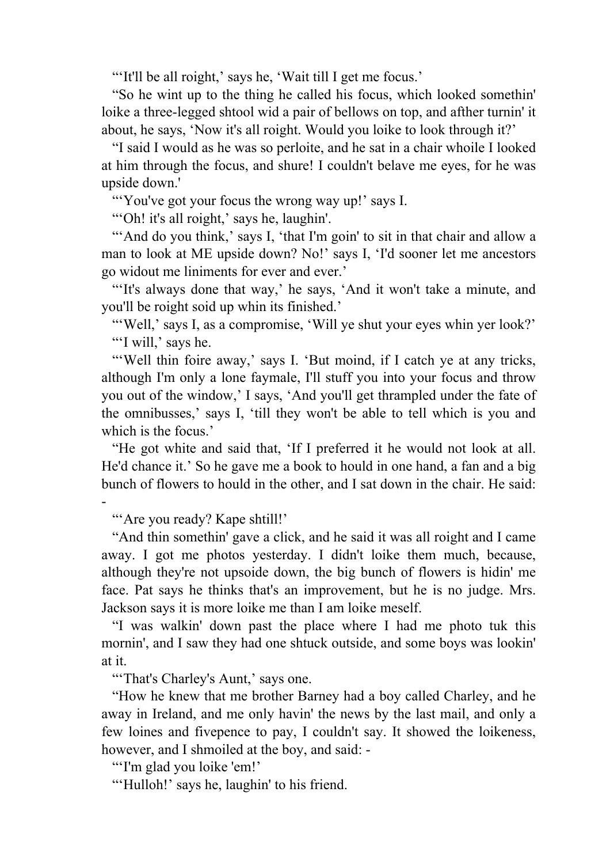"'It'll be all roight,' says he, 'Wait till I get me focus.'

 "So he wint up to the thing he called his focus, which looked somethin' loike a three-legged shtool wid a pair of bellows on top, and afther turnin' it about, he says, 'Now it's all roight. Would you loike to look through it?'

 "I said I would as he was so perloite, and he sat in a chair whoile I looked at him through the focus, and shure! I couldn't belave me eyes, for he was upside down.'

"'You've got your focus the wrong way up!' says I.

"'Oh! it's all roight,' says he, laughin'.

"'And do you think,' says I, 'that I'm goin' to sit in that chair and allow a man to look at ME upside down? No!' says I, 'I'd sooner let me ancestors go widout me liniments for ever and ever.'

 "'It's always done that way,' he says, 'And it won't take a minute, and you'll be roight soid up whin its finished.'

"'Well,' says I, as a compromise, 'Will ye shut your eyes whin yer look?' ""I will,' says he.

"'Well thin foire away,' says I. 'But moind, if I catch ye at any tricks, although I'm only a lone faymale, I'll stuff you into your focus and throw you out of the window,' I says, 'And you'll get thrampled under the fate of the omnibusses,' says I, 'till they won't be able to tell which is you and which is the focus.'

 "He got white and said that, 'If I preferred it he would not look at all. He'd chance it.' So he gave me a book to hould in one hand, a fan and a big bunch of flowers to hould in the other, and I sat down in the chair. He said:

"'Are you ready? Kape shtill!"

-

 "And thin somethin' gave a click, and he said it was all roight and I came away. I got me photos yesterday. I didn't loike them much, because, although they're not upsoide down, the big bunch of flowers is hidin' me face. Pat says he thinks that's an improvement, but he is no judge. Mrs. Jackson says it is more loike me than I am loike meself.

 "I was walkin' down past the place where I had me photo tuk this mornin', and I saw they had one shtuck outside, and some boys was lookin' at it.

"That's Charley's Aunt,' says one.

 "How he knew that me brother Barney had a boy called Charley, and he away in Ireland, and me only havin' the news by the last mail, and only a few loines and fivepence to pay, I couldn't say. It showed the loikeness, however, and I shmoiled at the boy, and said: -

"'I'm glad you loike 'em!'

"Hulloh!' says he, laughin' to his friend.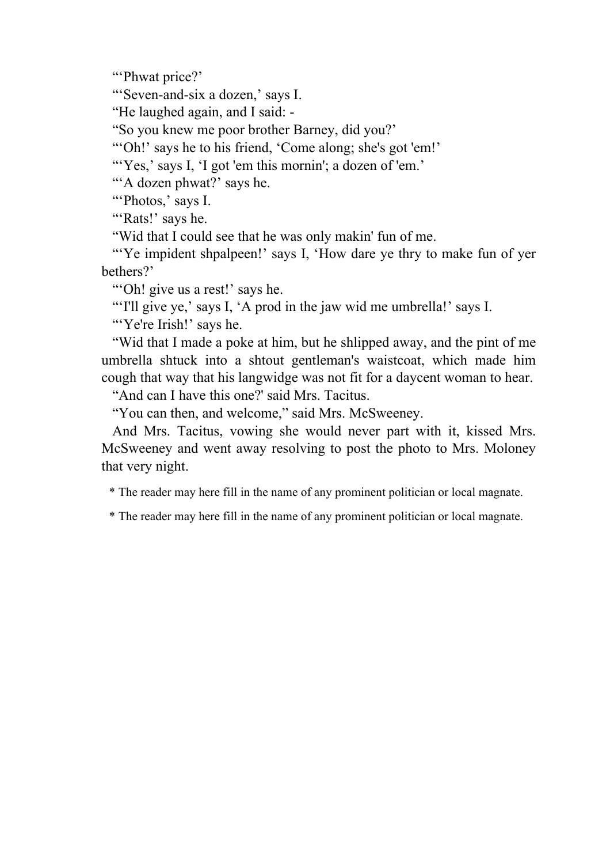"Phwat price?"

"'Seven-and-six a dozen,' says I.

"He laughed again, and I said: -

"So you knew me poor brother Barney, did you?'

"'Oh!' says he to his friend, 'Come along; she's got 'em!'

"Yes,' says I, 'I got 'em this mornin'; a dozen of 'em.'

""A dozen phwat?' says he.

"Photos,' says I.

"'Rats!' says he.

"Wid that I could see that he was only makin' fun of me.

"'Ye impident shpalpeen!' says I, 'How dare ye thry to make fun of yer bethers?'

""Oh! give us a rest!' says he.

"'I'll give ye,' says I, 'A prod in the jaw wid me umbrella!' says I.

"'Ye're Irish!' says he.

 "Wid that I made a poke at him, but he shlipped away, and the pint of me umbrella shtuck into a shtout gentleman's waistcoat, which made him cough that way that his langwidge was not fit for a daycent woman to hear.

"And can I have this one?' said Mrs. Tacitus.

"You can then, and welcome," said Mrs. McSweeney.

 And Mrs. Tacitus, vowing she would never part with it, kissed Mrs. McSweeney and went away resolving to post the photo to Mrs. Moloney that very night.

\* The reader may here fill in the name of any prominent politician or local magnate.

\* The reader may here fill in the name of any prominent politician or local magnate.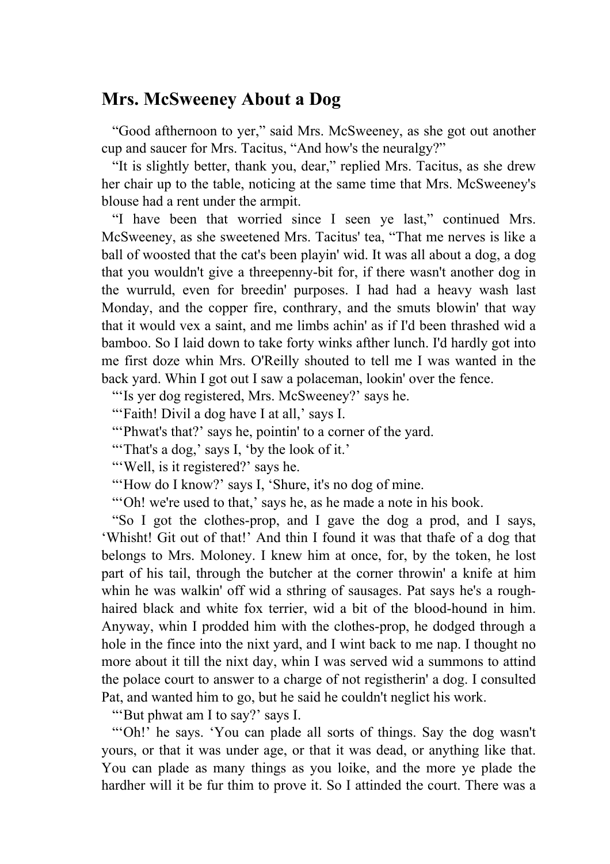### **Mrs. McSweeney About a Dog**

 "Good afthernoon to yer," said Mrs. McSweeney, as she got out another cup and saucer for Mrs. Tacitus, "And how's the neuralgy?"

 "It is slightly better, thank you, dear," replied Mrs. Tacitus, as she drew her chair up to the table, noticing at the same time that Mrs. McSweeney's blouse had a rent under the armpit.

 "I have been that worried since I seen ye last," continued Mrs. McSweeney, as she sweetened Mrs. Tacitus' tea, "That me nerves is like a ball of woosted that the cat's been playin' wid. It was all about a dog, a dog that you wouldn't give a threepenny-bit for, if there wasn't another dog in the wurruld, even for breedin' purposes. I had had a heavy wash last Monday, and the copper fire, conthrary, and the smuts blowin' that way that it would vex a saint, and me limbs achin' as if I'd been thrashed wid a bamboo. So I laid down to take forty winks afther lunch. I'd hardly got into me first doze whin Mrs. O'Reilly shouted to tell me I was wanted in the back yard. Whin I got out I saw a polaceman, lookin' over the fence.

"'Is yer dog registered, Mrs. McSweeney?' says he.

"'Faith! Divil a dog have I at all,' says I.

"'Phwat's that?' says he, pointin' to a corner of the yard.

"That's a dog,' says I, 'by the look of it.'

"'Well, is it registered?' says he.

"How do I know?' says I, 'Shure, it's no dog of mine.

""Oh! we're used to that,' says he, as he made a note in his book.

 "So I got the clothes-prop, and I gave the dog a prod, and I says, 'Whisht! Git out of that!' And thin I found it was that thafe of a dog that belongs to Mrs. Moloney. I knew him at once, for, by the token, he lost part of his tail, through the butcher at the corner throwin' a knife at him whin he was walkin' off wid a sthring of sausages. Pat says he's a roughhaired black and white fox terrier, wid a bit of the blood-hound in him. Anyway, whin I prodded him with the clothes-prop, he dodged through a hole in the fince into the nixt yard, and I wint back to me nap. I thought no more about it till the nixt day, whin I was served wid a summons to attind the polace court to answer to a charge of not registherin' a dog. I consulted Pat, and wanted him to go, but he said he couldn't neglict his work.

"'But phwat am I to say?' says I.

""Oh!" he says. 'You can plade all sorts of things. Say the dog wasn't yours, or that it was under age, or that it was dead, or anything like that. You can plade as many things as you loike, and the more ye plade the hardher will it be fur thim to prove it. So I attinded the court. There was a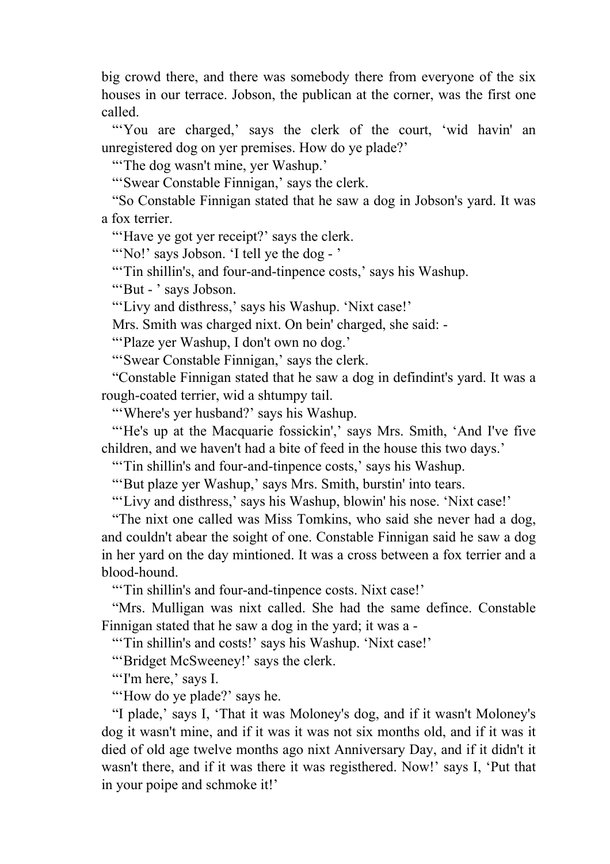big crowd there, and there was somebody there from everyone of the six houses in our terrace. Jobson, the publican at the corner, was the first one called.

 "'You are charged,' says the clerk of the court, 'wid havin' an unregistered dog on yer premises. How do ye plade?'

"The dog wasn't mine, yer Washup."

"'Swear Constable Finnigan,' says the clerk.

 "So Constable Finnigan stated that he saw a dog in Jobson's yard. It was a fox terrier.

"Have ye got yer receipt?' says the clerk.

"'No!' says Jobson. 'I tell ye the dog - '

"Tin shillin's, and four-and-tinpence costs,' says his Washup.

"'But - ' says Jobson.

"'Livy and disthress,' says his Washup. 'Nixt case!'

Mrs. Smith was charged nixt. On bein' charged, she said: -

"'Plaze yer Washup, I don't own no dog.'

"'Swear Constable Finnigan,' says the clerk.

 "Constable Finnigan stated that he saw a dog in defindint's yard. It was a rough-coated terrier, wid a shtumpy tail.

"'Where's yer husband?' says his Washup.

"'He's up at the Macquarie fossickin',' says Mrs. Smith, 'And I've five children, and we haven't had a bite of feed in the house this two days.'

"Tin shillin's and four-and-tinpence costs,' says his Washup.

"'But plaze yer Washup,' says Mrs. Smith, burstin' into tears.

"'Livy and disthress,' says his Washup, blowin' his nose. 'Nixt case!'

 "The nixt one called was Miss Tomkins, who said she never had a dog, and couldn't abear the soight of one. Constable Finnigan said he saw a dog in her yard on the day mintioned. It was a cross between a fox terrier and a blood-hound.

"Tin shillin's and four-and-tinpence costs. Nixt case!"

 "Mrs. Mulligan was nixt called. She had the same defince. Constable Finnigan stated that he saw a dog in the yard; it was a -

"Tin shillin's and costs!' says his Washup. 'Nixt case!'

"'Bridget McSweeney!' says the clerk.

""I'm here,' says I.

"How do ye plade?' says he.

 "I plade,' says I, 'That it was Moloney's dog, and if it wasn't Moloney's dog it wasn't mine, and if it was it was not six months old, and if it was it died of old age twelve months ago nixt Anniversary Day, and if it didn't it wasn't there, and if it was there it was registhered. Now!' says I, 'Put that in your poipe and schmoke it!'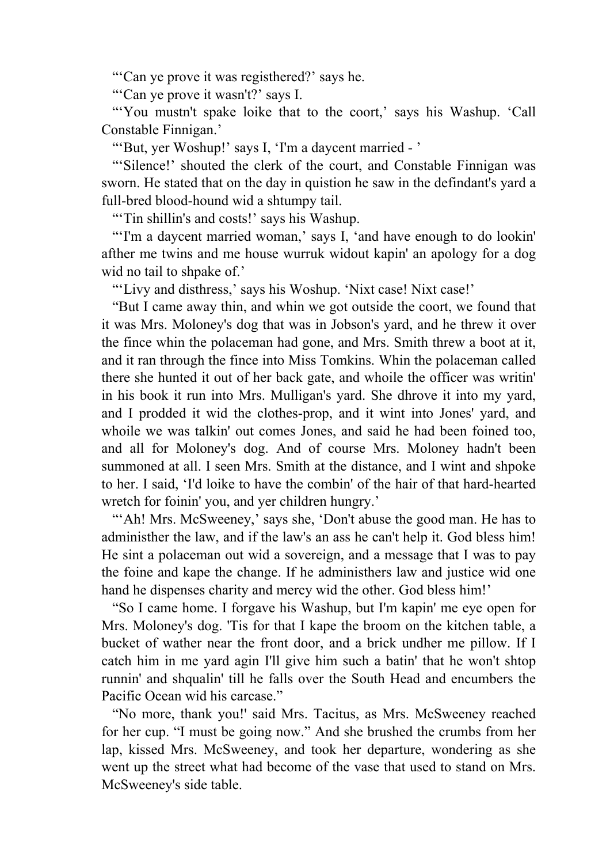"'Can ye prove it was registhered?' says he.

"Can ye prove it wasn't?' says I.

"'You mustn't spake loike that to the coort,' says his Washup. 'Call Constable Finnigan.'

"'But, yer Woshup!' says I, 'I'm a daycent married - '

 "'Silence!' shouted the clerk of the court, and Constable Finnigan was sworn. He stated that on the day in quistion he saw in the defindant's yard a full-bred blood-hound wid a shtumpy tail.

"Tin shillin's and costs!' says his Washup.

 "'I'm a daycent married woman,' says I, 'and have enough to do lookin' afther me twins and me house wurruk widout kapin' an apology for a dog wid no tail to shpake of.'

"'Livy and disthress,' says his Woshup. 'Nixt case! Nixt case!'

 "But I came away thin, and whin we got outside the coort, we found that it was Mrs. Moloney's dog that was in Jobson's yard, and he threw it over the fince whin the polaceman had gone, and Mrs. Smith threw a boot at it, and it ran through the fince into Miss Tomkins. Whin the polaceman called there she hunted it out of her back gate, and whoile the officer was writin' in his book it run into Mrs. Mulligan's yard. She dhrove it into my yard, and I prodded it wid the clothes-prop, and it wint into Jones' yard, and whoile we was talkin' out comes Jones, and said he had been foined too, and all for Moloney's dog. And of course Mrs. Moloney hadn't been summoned at all. I seen Mrs. Smith at the distance, and I wint and shpoke to her. I said, 'I'd loike to have the combin' of the hair of that hard-hearted wretch for foinin' you, and yer children hungry.'

""Ah! Mrs. McSweeney,' says she, 'Don't abuse the good man. He has to administher the law, and if the law's an ass he can't help it. God bless him! He sint a polaceman out wid a sovereign, and a message that I was to pay the foine and kape the change. If he administhers law and justice wid one hand he dispenses charity and mercy wid the other. God bless him!'

 "So I came home. I forgave his Washup, but I'm kapin' me eye open for Mrs. Moloney's dog. 'Tis for that I kape the broom on the kitchen table, a bucket of wather near the front door, and a brick undher me pillow. If I catch him in me yard agin I'll give him such a batin' that he won't shtop runnin' and shqualin' till he falls over the South Head and encumbers the Pacific Ocean wid his carcase."

 "No more, thank you!' said Mrs. Tacitus, as Mrs. McSweeney reached for her cup. "I must be going now." And she brushed the crumbs from her lap, kissed Mrs. McSweeney, and took her departure, wondering as she went up the street what had become of the vase that used to stand on Mrs. McSweeney's side table.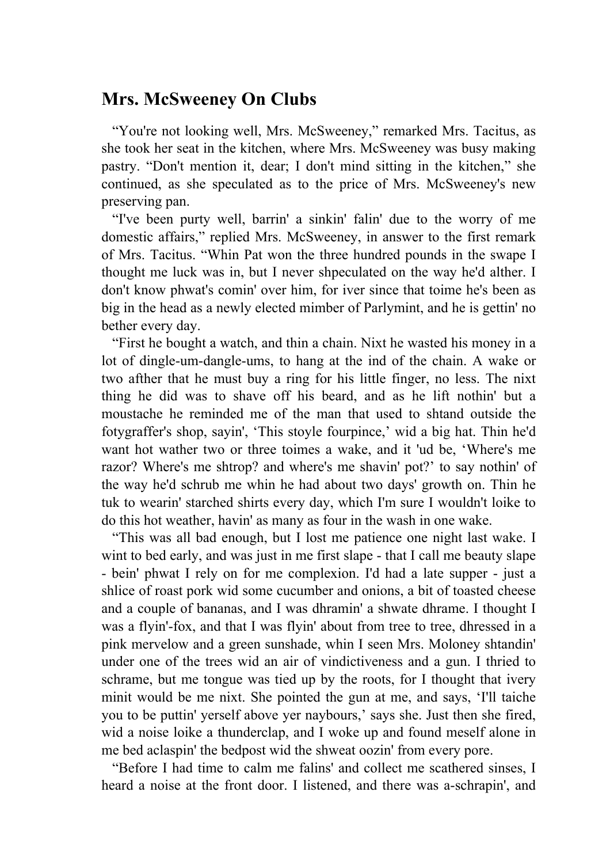## **Mrs. McSweeney On Clubs**

 "You're not looking well, Mrs. McSweeney," remarked Mrs. Tacitus, as she took her seat in the kitchen, where Mrs. McSweeney was busy making pastry. "Don't mention it, dear; I don't mind sitting in the kitchen," she continued, as she speculated as to the price of Mrs. McSweeney's new preserving pan.

 "I've been purty well, barrin' a sinkin' falin' due to the worry of me domestic affairs," replied Mrs. McSweeney, in answer to the first remark of Mrs. Tacitus. "Whin Pat won the three hundred pounds in the swape I thought me luck was in, but I never shpeculated on the way he'd alther. I don't know phwat's comin' over him, for iver since that toime he's been as big in the head as a newly elected mimber of Parlymint, and he is gettin' no bether every day.

 "First he bought a watch, and thin a chain. Nixt he wasted his money in a lot of dingle-um-dangle-ums, to hang at the ind of the chain. A wake or two afther that he must buy a ring for his little finger, no less. The nixt thing he did was to shave off his beard, and as he lift nothin' but a moustache he reminded me of the man that used to shtand outside the fotygraffer's shop, sayin', 'This stoyle fourpince,' wid a big hat. Thin he'd want hot wather two or three toimes a wake, and it 'ud be, 'Where's me razor? Where's me shtrop? and where's me shavin' pot?' to say nothin' of the way he'd schrub me whin he had about two days' growth on. Thin he tuk to wearin' starched shirts every day, which I'm sure I wouldn't loike to do this hot weather, havin' as many as four in the wash in one wake.

 "This was all bad enough, but I lost me patience one night last wake. I wint to bed early, and was just in me first slape - that I call me beauty slape - bein' phwat I rely on for me complexion. I'd had a late supper - just a shlice of roast pork wid some cucumber and onions, a bit of toasted cheese and a couple of bananas, and I was dhramin' a shwate dhrame. I thought I was a flyin'-fox, and that I was flyin' about from tree to tree, dhressed in a pink mervelow and a green sunshade, whin I seen Mrs. Moloney shtandin' under one of the trees wid an air of vindictiveness and a gun. I thried to schrame, but me tongue was tied up by the roots, for I thought that ivery minit would be me nixt. She pointed the gun at me, and says, 'I'll taiche you to be puttin' yerself above yer naybours,' says she. Just then she fired, wid a noise loike a thunderclap, and I woke up and found meself alone in me bed aclaspin' the bedpost wid the shweat oozin' from every pore.

 "Before I had time to calm me falins' and collect me scathered sinses, I heard a noise at the front door. I listened, and there was a-schrapin', and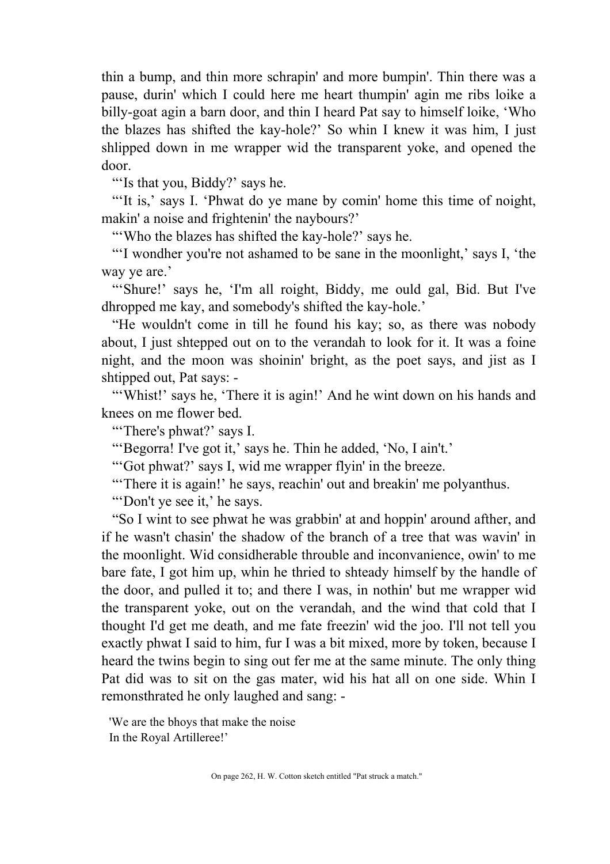thin a bump, and thin more schrapin' and more bumpin'. Thin there was a pause, durin' which I could here me heart thumpin' agin me ribs loike a billy-goat agin a barn door, and thin I heard Pat say to himself loike, 'Who the blazes has shifted the kay-hole?' So whin I knew it was him, I just shlipped down in me wrapper wid the transparent yoke, and opened the door.

"'Is that you, Biddy?' says he.

""It is,' says I. 'Phwat do ye mane by comin' home this time of noight, makin' a noise and frightenin' the naybours?'

"'Who the blazes has shifted the kay-hole?' says he.

 "'I wondher you're not ashamed to be sane in the moonlight,' says I, 'the way ye are.'

"'Shure!' says he, 'I'm all roight, Biddy, me ould gal, Bid. But I've dhropped me kay, and somebody's shifted the kay-hole.'

 "He wouldn't come in till he found his kay; so, as there was nobody about, I just shtepped out on to the verandah to look for it. It was a foine night, and the moon was shoinin' bright, as the poet says, and jist as I shtipped out, Pat says: -

"'Whist!' says he, 'There it is agin!' And he wint down on his hands and knees on me flower bed.

"There's phwat?' says I.

"'Begorra! I've got it,' says he. Thin he added, 'No, I ain't.'

"'Got phwat?' says I, wid me wrapper flyin' in the breeze.

"There it is again!' he says, reachin' out and breakin' me polyanthus.

"'Don't ye see it,' he says.

 "So I wint to see phwat he was grabbin' at and hoppin' around afther, and if he wasn't chasin' the shadow of the branch of a tree that was wavin' in the moonlight. Wid considherable throuble and inconvanience, owin' to me bare fate, I got him up, whin he thried to shteady himself by the handle of the door, and pulled it to; and there I was, in nothin' but me wrapper wid the transparent yoke, out on the verandah, and the wind that cold that I thought I'd get me death, and me fate freezin' wid the joo. I'll not tell you exactly phwat I said to him, fur I was a bit mixed, more by token, because I heard the twins begin to sing out fer me at the same minute. The only thing Pat did was to sit on the gas mater, wid his hat all on one side. Whin I remonsthrated he only laughed and sang: -

'We are the bhoys that make the noise In the Royal Artilleree!'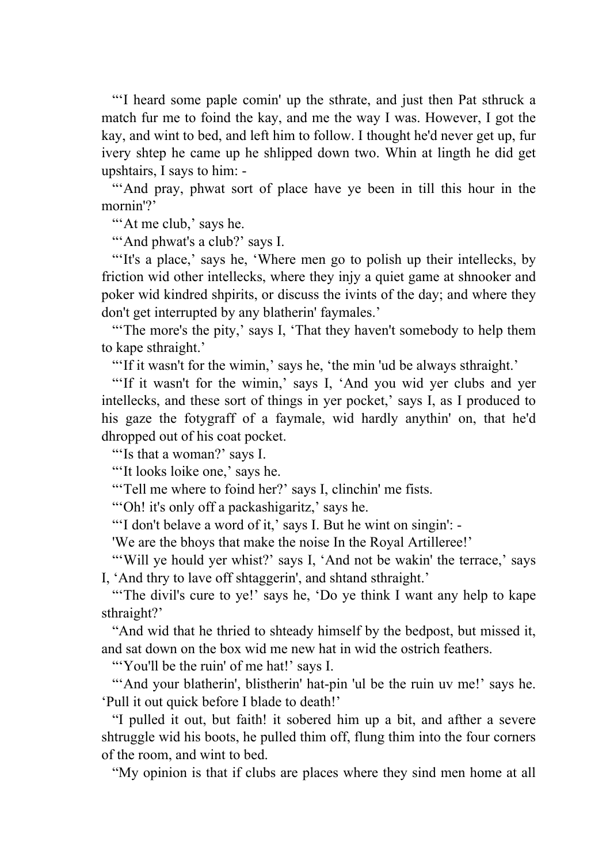"'I heard some paple comin' up the sthrate, and just then Pat sthruck a match fur me to foind the kay, and me the way I was. However, I got the kay, and wint to bed, and left him to follow. I thought he'd never get up, fur ivery shtep he came up he shlipped down two. Whin at lingth he did get upshtairs, I says to him: -

"And pray, phwat sort of place have ye been in till this hour in the mornin'?'

""At me club,' says he.

"'And phwat's a club?' says I.

 "'It's a place,' says he, 'Where men go to polish up their intellecks, by friction wid other intellecks, where they injy a quiet game at shnooker and poker wid kindred shpirits, or discuss the ivints of the day; and where they don't get interrupted by any blatherin' faymales.'

"The more's the pity,' says I, 'That they haven't somebody to help them to kape sthraight.'

"If it wasn't for the wimin,' says he, 'the min 'ud be always sthraight.'

"If it wasn't for the wimin,' says I, 'And you wid yer clubs and yer intellecks, and these sort of things in yer pocket,' says I, as I produced to his gaze the fotygraff of a faymale, wid hardly anythin' on, that he'd dhropped out of his coat pocket.

"'Is that a woman?' says I.

"It looks loike one,' says he.

"'Tell me where to foind her?' says I, clinchin' me fists.

"'Oh! it's only off a packashigaritz,' says he.

"'I don't belave a word of it,' says I. But he wint on singin': -

'We are the bhoys that make the noise In the Royal Artilleree!'

"'Will ye hould yer whist?' says I, 'And not be wakin' the terrace,' says I, 'And thry to lave off shtaggerin', and shtand sthraight.'

"The divil's cure to ye!' says he, 'Do ye think I want any help to kape sthraight?'

 "And wid that he thried to shteady himself by the bedpost, but missed it, and sat down on the box wid me new hat in wid the ostrich feathers.

"You'll be the ruin' of me hat!' says I.

"'And your blatherin', blistherin' hat-pin 'ul be the ruin uv me!' says he. 'Pull it out quick before I blade to death!'

 "I pulled it out, but faith! it sobered him up a bit, and afther a severe shtruggle wid his boots, he pulled thim off, flung thim into the four corners of the room, and wint to bed.

"My opinion is that if clubs are places where they sind men home at all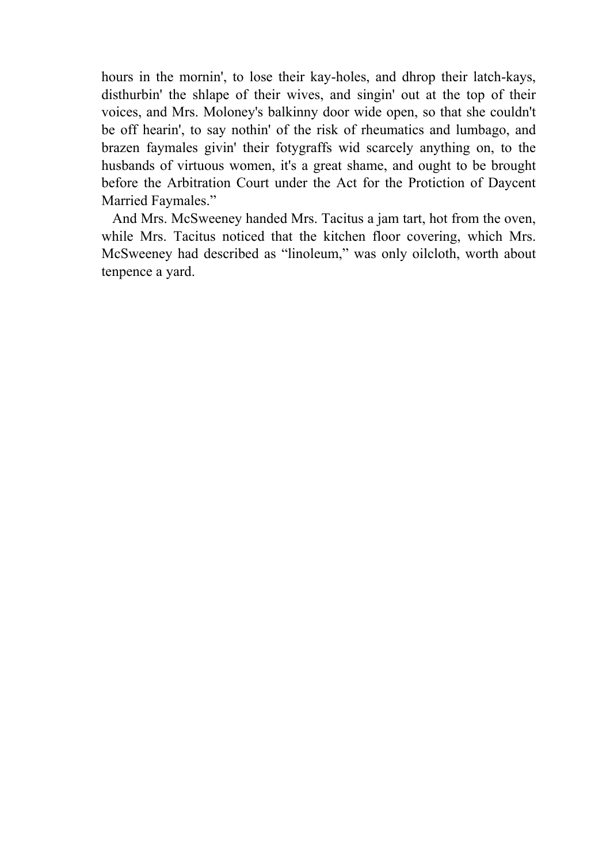hours in the mornin', to lose their kay-holes, and dhrop their latch-kays, disthurbin' the shlape of their wives, and singin' out at the top of their voices, and Mrs. Moloney's balkinny door wide open, so that she couldn't be off hearin', to say nothin' of the risk of rheumatics and lumbago, and brazen faymales givin' their fotygraffs wid scarcely anything on, to the husbands of virtuous women, it's a great shame, and ought to be brought before the Arbitration Court under the Act for the Protiction of Daycent Married Faymales."

 And Mrs. McSweeney handed Mrs. Tacitus a jam tart, hot from the oven, while Mrs. Tacitus noticed that the kitchen floor covering, which Mrs. McSweeney had described as "linoleum," was only oilcloth, worth about tenpence a yard.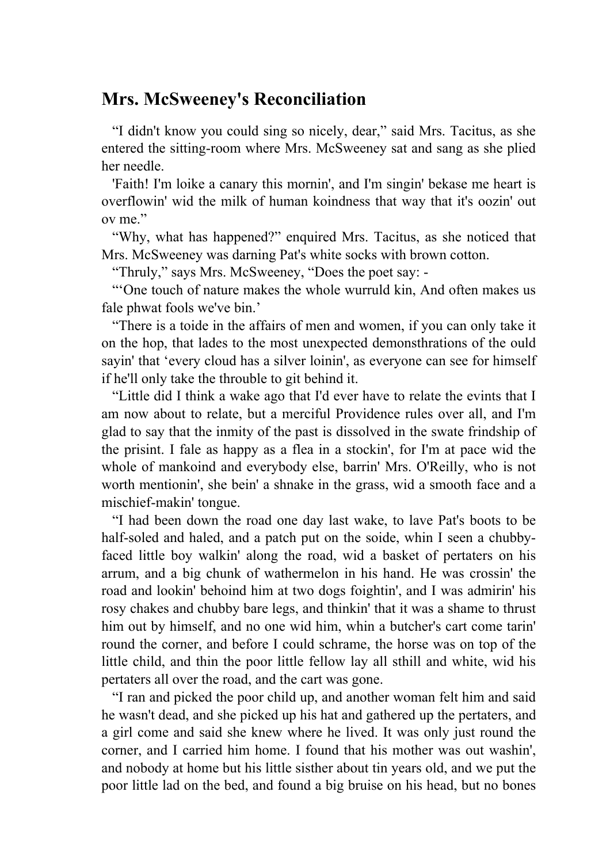# **Mrs. McSweeney's Reconciliation**

 "I didn't know you could sing so nicely, dear," said Mrs. Tacitus, as she entered the sitting-room where Mrs. McSweeney sat and sang as she plied her needle.

 'Faith! I'm loike a canary this mornin', and I'm singin' bekase me heart is overflowin' wid the milk of human koindness that way that it's oozin' out ov me."

 "Why, what has happened?" enquired Mrs. Tacitus, as she noticed that Mrs. McSweeney was darning Pat's white socks with brown cotton.

"Thruly," says Mrs. McSweeney, "Does the poet say: -

 "'One touch of nature makes the whole wurruld kin, And often makes us fale phwat fools we've bin.'

 "There is a toide in the affairs of men and women, if you can only take it on the hop, that lades to the most unexpected demonsthrations of the ould sayin' that 'every cloud has a silver loinin', as everyone can see for himself if he'll only take the throuble to git behind it.

 "Little did I think a wake ago that I'd ever have to relate the evints that I am now about to relate, but a merciful Providence rules over all, and I'm glad to say that the inmity of the past is dissolved in the swate frindship of the prisint. I fale as happy as a flea in a stockin', for I'm at pace wid the whole of mankoind and everybody else, barrin' Mrs. O'Reilly, who is not worth mentionin', she bein' a shnake in the grass, wid a smooth face and a mischief-makin' tongue.

 "I had been down the road one day last wake, to lave Pat's boots to be half-soled and haled, and a patch put on the soide, whin I seen a chubbyfaced little boy walkin' along the road, wid a basket of pertaters on his arrum, and a big chunk of wathermelon in his hand. He was crossin' the road and lookin' behoind him at two dogs foightin', and I was admirin' his rosy chakes and chubby bare legs, and thinkin' that it was a shame to thrust him out by himself, and no one wid him, whin a butcher's cart come tarin' round the corner, and before I could schrame, the horse was on top of the little child, and thin the poor little fellow lay all sthill and white, wid his pertaters all over the road, and the cart was gone.

 "I ran and picked the poor child up, and another woman felt him and said he wasn't dead, and she picked up his hat and gathered up the pertaters, and a girl come and said she knew where he lived. It was only just round the corner, and I carried him home. I found that his mother was out washin', and nobody at home but his little sisther about tin years old, and we put the poor little lad on the bed, and found a big bruise on his head, but no bones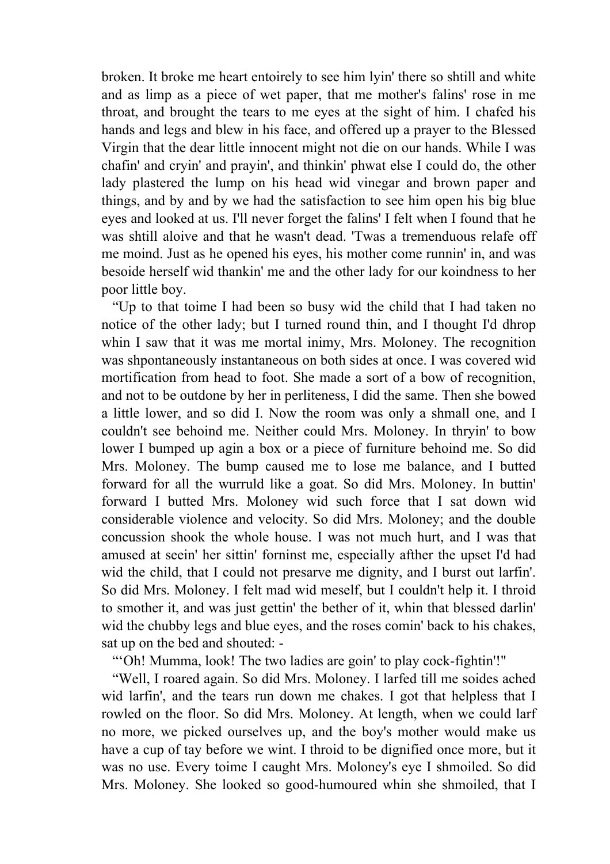broken. It broke me heart entoirely to see him lyin' there so shtill and white and as limp as a piece of wet paper, that me mother's falins' rose in me throat, and brought the tears to me eyes at the sight of him. I chafed his hands and legs and blew in his face, and offered up a prayer to the Blessed Virgin that the dear little innocent might not die on our hands. While I was chafin' and cryin' and prayin', and thinkin' phwat else I could do, the other lady plastered the lump on his head wid vinegar and brown paper and things, and by and by we had the satisfaction to see him open his big blue eyes and looked at us. I'll never forget the falins' I felt when I found that he was shtill aloive and that he wasn't dead. 'Twas a tremenduous relafe off me moind. Just as he opened his eyes, his mother come runnin' in, and was besoide herself wid thankin' me and the other lady for our koindness to her poor little boy.

 "Up to that toime I had been so busy wid the child that I had taken no notice of the other lady; but I turned round thin, and I thought I'd dhrop whin I saw that it was me mortal inimy, Mrs. Moloney. The recognition was shpontaneously instantaneous on both sides at once. I was covered wid mortification from head to foot. She made a sort of a bow of recognition, and not to be outdone by her in perliteness, I did the same. Then she bowed a little lower, and so did I. Now the room was only a shmall one, and I couldn't see behoind me. Neither could Mrs. Moloney. In thryin' to bow lower I bumped up agin a box or a piece of furniture behoind me. So did Mrs. Moloney. The bump caused me to lose me balance, and I butted forward for all the wurruld like a goat. So did Mrs. Moloney. In buttin' forward I butted Mrs. Moloney wid such force that I sat down wid considerable violence and velocity. So did Mrs. Moloney; and the double concussion shook the whole house. I was not much hurt, and I was that amused at seein' her sittin' forninst me, especially afther the upset I'd had wid the child, that I could not presarve me dignity, and I burst out larfin'. So did Mrs. Moloney. I felt mad wid meself, but I couldn't help it. I throid to smother it, and was just gettin' the bether of it, whin that blessed darlin' wid the chubby legs and blue eyes, and the roses comin' back to his chakes, sat up on the bed and shouted: -

""Oh! Mumma, look! The two ladies are goin' to play cock-fightin'!"

 "Well, I roared again. So did Mrs. Moloney. I larfed till me soides ached wid larfin', and the tears run down me chakes. I got that helpless that I rowled on the floor. So did Mrs. Moloney. At length, when we could larf no more, we picked ourselves up, and the boy's mother would make us have a cup of tay before we wint. I throid to be dignified once more, but it was no use. Every toime I caught Mrs. Moloney's eye I shmoiled. So did Mrs. Moloney. She looked so good-humoured whin she shmoiled, that I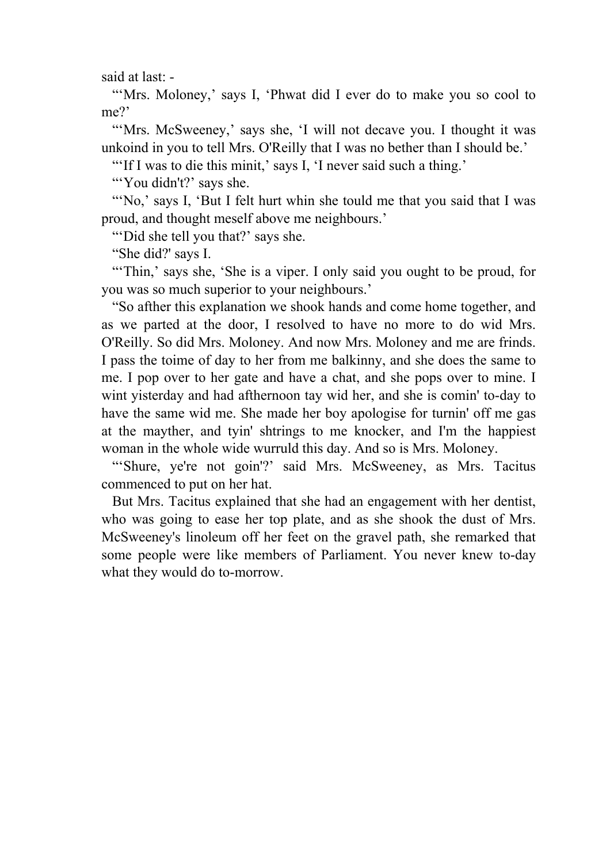said at last: -

"'Mrs. Moloney,' says I, 'Phwat did I ever do to make you so cool to me?'

"'Mrs. McSweeney,' says she, 'I will not decave you. I thought it was unkoind in you to tell Mrs. O'Reilly that I was no bether than I should be.'

"If I was to die this minit,' says I, 'I never said such a thing.'

"You didn't?' says she.

"'No,' says I, 'But I felt hurt whin she tould me that you said that I was proud, and thought meself above me neighbours.'

""Did she tell you that?' says she.

"She did?' says I.

"Thin,' says she, 'She is a viper. I only said you ought to be proud, for you was so much superior to your neighbours.'

 "So afther this explanation we shook hands and come home together, and as we parted at the door, I resolved to have no more to do wid Mrs. O'Reilly. So did Mrs. Moloney. And now Mrs. Moloney and me are frinds. I pass the toime of day to her from me balkinny, and she does the same to me. I pop over to her gate and have a chat, and she pops over to mine. I wint yisterday and had afthernoon tay wid her, and she is comin' to-day to have the same wid me. She made her boy apologise for turnin' off me gas at the mayther, and tyin' shtrings to me knocker, and I'm the happiest woman in the whole wide wurruld this day. And so is Mrs. Moloney.

"Shure, ye're not goin'?' said Mrs. McSweeney, as Mrs. Tacitus commenced to put on her hat.

 But Mrs. Tacitus explained that she had an engagement with her dentist, who was going to ease her top plate, and as she shook the dust of Mrs. McSweeney's linoleum off her feet on the gravel path, she remarked that some people were like members of Parliament. You never knew to-day what they would do to-morrow.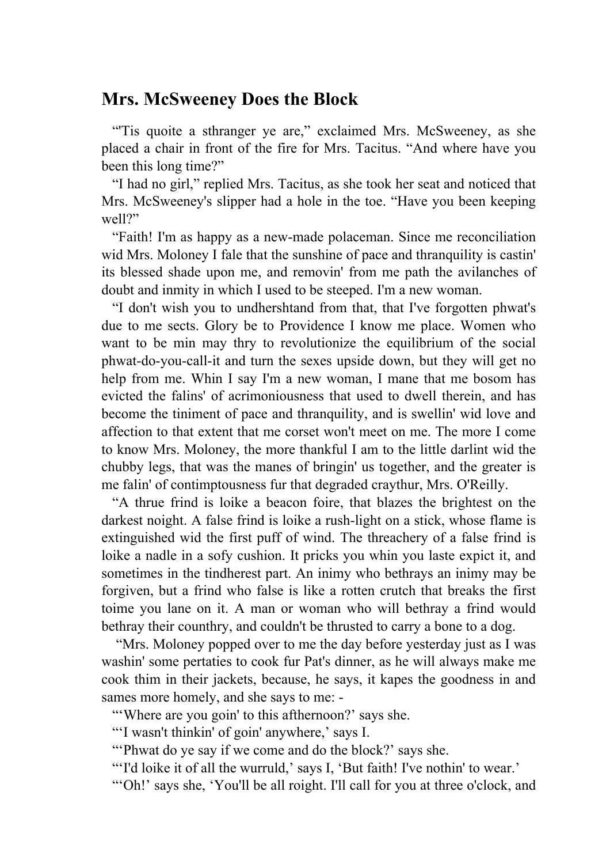### **Mrs. McSweeney Does the Block**

"Tis quoite a sthranger ye are," exclaimed Mrs. McSweeney, as she placed a chair in front of the fire for Mrs. Tacitus. "And where have you been this long time?"

 "I had no girl," replied Mrs. Tacitus, as she took her seat and noticed that Mrs. McSweeney's slipper had a hole in the toe. "Have you been keeping well?"

 "Faith! I'm as happy as a new-made polaceman. Since me reconciliation wid Mrs. Moloney I fale that the sunshine of pace and thranquility is castin' its blessed shade upon me, and removin' from me path the avilanches of doubt and inmity in which I used to be steeped. I'm a new woman.

 "I don't wish you to undhershtand from that, that I've forgotten phwat's due to me sects. Glory be to Providence I know me place. Women who want to be min may thry to revolutionize the equilibrium of the social phwat-do-you-call-it and turn the sexes upside down, but they will get no help from me. Whin I say I'm a new woman, I mane that me bosom has evicted the falins' of acrimoniousness that used to dwell therein, and has become the tiniment of pace and thranquility, and is swellin' wid love and affection to that extent that me corset won't meet on me. The more I come to know Mrs. Moloney, the more thankful I am to the little darlint wid the chubby legs, that was the manes of bringin' us together, and the greater is me falin' of contimptousness fur that degraded craythur, Mrs. O'Reilly.

 "A thrue frind is loike a beacon foire, that blazes the brightest on the darkest noight. A false frind is loike a rush-light on a stick, whose flame is extinguished wid the first puff of wind. The threachery of a false frind is loike a nadle in a sofy cushion. It pricks you whin you laste expict it, and sometimes in the tindherest part. An inimy who bethrays an inimy may be forgiven, but a frind who false is like a rotten crutch that breaks the first toime you lane on it. A man or woman who will bethray a frind would bethray their counthry, and couldn't be thrusted to carry a bone to a dog.

 "Mrs. Moloney popped over to me the day before yesterday just as I was washin' some pertaties to cook fur Pat's dinner, as he will always make me cook thim in their jackets, because, he says, it kapes the goodness in and sames more homely, and she says to me: -

"'Where are you goin' to this afthernoon?' says she.

"'I wasn't thinkin' of goin' anywhere,' says I.

"'Phwat do ye say if we come and do the block?' says she.

"'I'd loike it of all the wurruld,' says I, 'But faith! I've nothin' to wear.'

""Oh!' says she, 'You'll be all roight. I'll call for you at three o'clock, and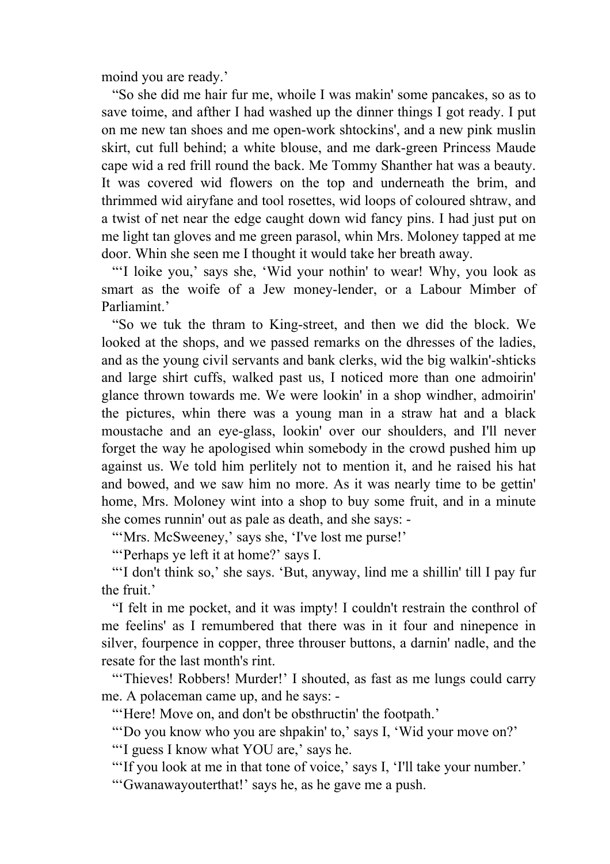moind you are ready.'

 "So she did me hair fur me, whoile I was makin' some pancakes, so as to save toime, and afther I had washed up the dinner things I got ready. I put on me new tan shoes and me open-work shtockins', and a new pink muslin skirt, cut full behind; a white blouse, and me dark-green Princess Maude cape wid a red frill round the back. Me Tommy Shanther hat was a beauty. It was covered wid flowers on the top and underneath the brim, and thrimmed wid airyfane and tool rosettes, wid loops of coloured shtraw, and a twist of net near the edge caught down wid fancy pins. I had just put on me light tan gloves and me green parasol, whin Mrs. Moloney tapped at me door. Whin she seen me I thought it would take her breath away.

 "'I loike you,' says she, 'Wid your nothin' to wear! Why, you look as smart as the woife of a Jew money-lender, or a Labour Mimber of Parliamint.'

 "So we tuk the thram to King-street, and then we did the block. We looked at the shops, and we passed remarks on the dhresses of the ladies, and as the young civil servants and bank clerks, wid the big walkin'-shticks and large shirt cuffs, walked past us, I noticed more than one admoirin' glance thrown towards me. We were lookin' in a shop windher, admoirin' the pictures, whin there was a young man in a straw hat and a black moustache and an eye-glass, lookin' over our shoulders, and I'll never forget the way he apologised whin somebody in the crowd pushed him up against us. We told him perlitely not to mention it, and he raised his hat and bowed, and we saw him no more. As it was nearly time to be gettin' home, Mrs. Moloney wint into a shop to buy some fruit, and in a minute she comes runnin' out as pale as death, and she says: -

"'Mrs. McSweeney,' says she, 'I've lost me purse!'

"'Perhaps ye left it at home?' says I.

 "'I don't think so,' she says. 'But, anyway, lind me a shillin' till I pay fur the fruit.'

 "I felt in me pocket, and it was impty! I couldn't restrain the conthrol of me feelins' as I remumbered that there was in it four and ninepence in silver, fourpence in copper, three throuser buttons, a darnin' nadle, and the resate for the last month's rint.

 "'Thieves! Robbers! Murder!' I shouted, as fast as me lungs could carry me. A polaceman came up, and he says: -

"'Here! Move on, and don't be obsthructin' the footpath.'

"'Do you know who you are shpakin' to,' says I, 'Wid your move on?'

"'I guess I know what YOU are,' says he.

"'If you look at me in that tone of voice,' says I, 'I'll take your number.'

"'Gwanawayouterthat!' says he, as he gave me a push.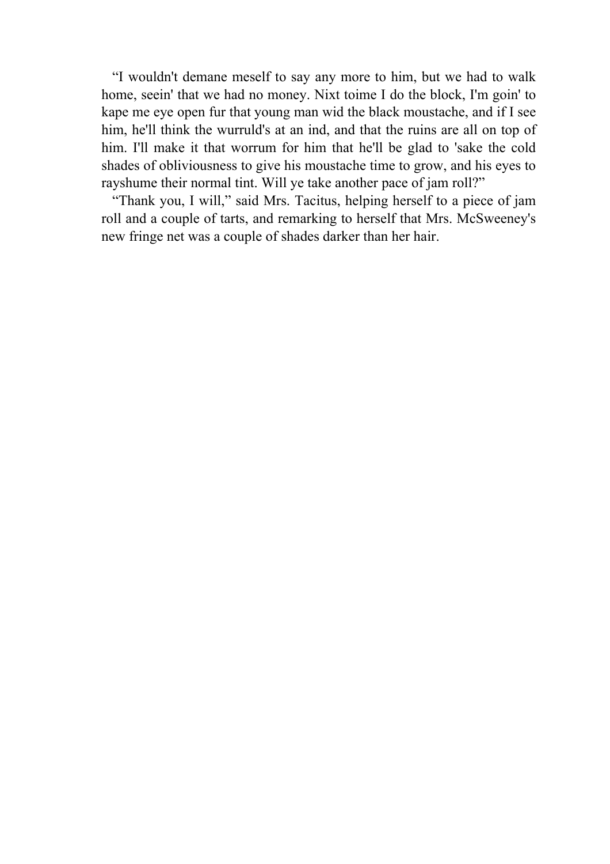"I wouldn't demane meself to say any more to him, but we had to walk home, seein' that we had no money. Nixt toime I do the block, I'm goin' to kape me eye open fur that young man wid the black moustache, and if I see him, he'll think the wurruld's at an ind, and that the ruins are all on top of him. I'll make it that worrum for him that he'll be glad to 'sake the cold shades of obliviousness to give his moustache time to grow, and his eyes to rayshume their normal tint. Will ye take another pace of jam roll?"

 "Thank you, I will," said Mrs. Tacitus, helping herself to a piece of jam roll and a couple of tarts, and remarking to herself that Mrs. McSweeney's new fringe net was a couple of shades darker than her hair.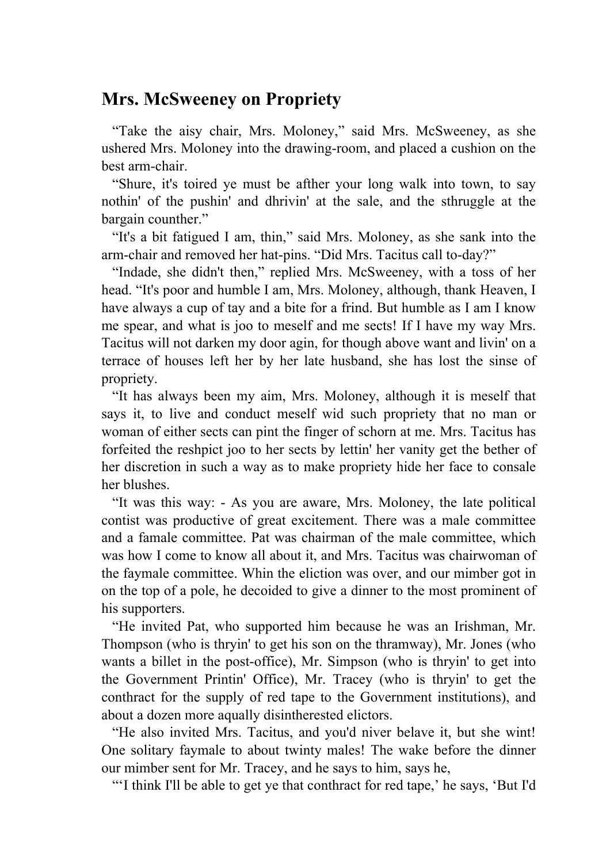## **Mrs. McSweeney on Propriety**

 "Take the aisy chair, Mrs. Moloney," said Mrs. McSweeney, as she ushered Mrs. Moloney into the drawing-room, and placed a cushion on the best arm-chair.

 "Shure, it's toired ye must be afther your long walk into town, to say nothin' of the pushin' and dhrivin' at the sale, and the sthruggle at the bargain counther."

 "It's a bit fatigued I am, thin," said Mrs. Moloney, as she sank into the arm-chair and removed her hat-pins. "Did Mrs. Tacitus call to-day?"

 "Indade, she didn't then," replied Mrs. McSweeney, with a toss of her head. "It's poor and humble I am, Mrs. Moloney, although, thank Heaven, I have always a cup of tay and a bite for a frind. But humble as I am I know me spear, and what is joo to meself and me sects! If I have my way Mrs. Tacitus will not darken my door agin, for though above want and livin' on a terrace of houses left her by her late husband, she has lost the sinse of propriety.

 "It has always been my aim, Mrs. Moloney, although it is meself that says it, to live and conduct meself wid such propriety that no man or woman of either sects can pint the finger of schorn at me. Mrs. Tacitus has forfeited the reshpict joo to her sects by lettin' her vanity get the bether of her discretion in such a way as to make propriety hide her face to consale her blushes.

 "It was this way: - As you are aware, Mrs. Moloney, the late political contist was productive of great excitement. There was a male committee and a famale committee. Pat was chairman of the male committee, which was how I come to know all about it, and Mrs. Tacitus was chairwoman of the faymale committee. Whin the eliction was over, and our mimber got in on the top of a pole, he decoided to give a dinner to the most prominent of his supporters.

 "He invited Pat, who supported him because he was an Irishman, Mr. Thompson (who is thryin' to get his son on the thramway), Mr. Jones (who wants a billet in the post-office), Mr. Simpson (who is thryin' to get into the Government Printin' Office), Mr. Tracey (who is thryin' to get the conthract for the supply of red tape to the Government institutions), and about a dozen more aqually disintherested elictors.

 "He also invited Mrs. Tacitus, and you'd niver belave it, but she wint! One solitary faymale to about twinty males! The wake before the dinner our mimber sent for Mr. Tracey, and he says to him, says he,

"'I think I'll be able to get ye that conthract for red tape,' he says, 'But I'd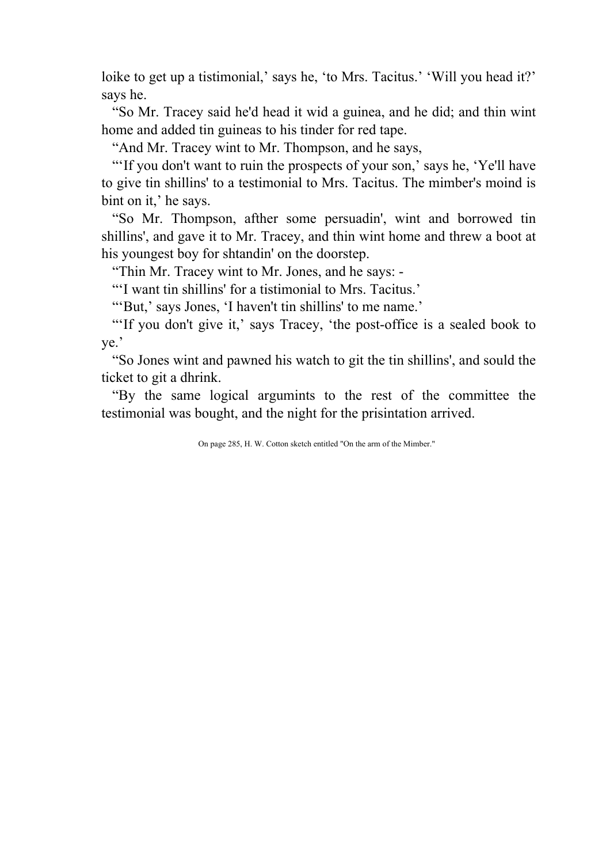loike to get up a tistimonial,' says he, 'to Mrs. Tacitus.' 'Will you head it?' says he.

 "So Mr. Tracey said he'd head it wid a guinea, and he did; and thin wint home and added tin guineas to his tinder for red tape.

"And Mr. Tracey wint to Mr. Thompson, and he says,

 "'If you don't want to ruin the prospects of your son,' says he, 'Ye'll have to give tin shillins' to a testimonial to Mrs. Tacitus. The mimber's moind is bint on it,' he says.

 "So Mr. Thompson, afther some persuadin', wint and borrowed tin shillins', and gave it to Mr. Tracey, and thin wint home and threw a boot at his youngest boy for shtandin' on the doorstep.

"Thin Mr. Tracey wint to Mr. Jones, and he says: -

"'I want tin shillins' for a tistimonial to Mrs. Tacitus.'

""But,' says Jones, 'I haven't tin shillins' to me name.'

 "'If you don't give it,' says Tracey, 'the post-office is a sealed book to ye.'

 "So Jones wint and pawned his watch to git the tin shillins', and sould the ticket to git a dhrink.

 "By the same logical argumints to the rest of the committee the testimonial was bought, and the night for the prisintation arrived.

On page 285, H. W. Cotton sketch entitled "On the arm of the Mimber."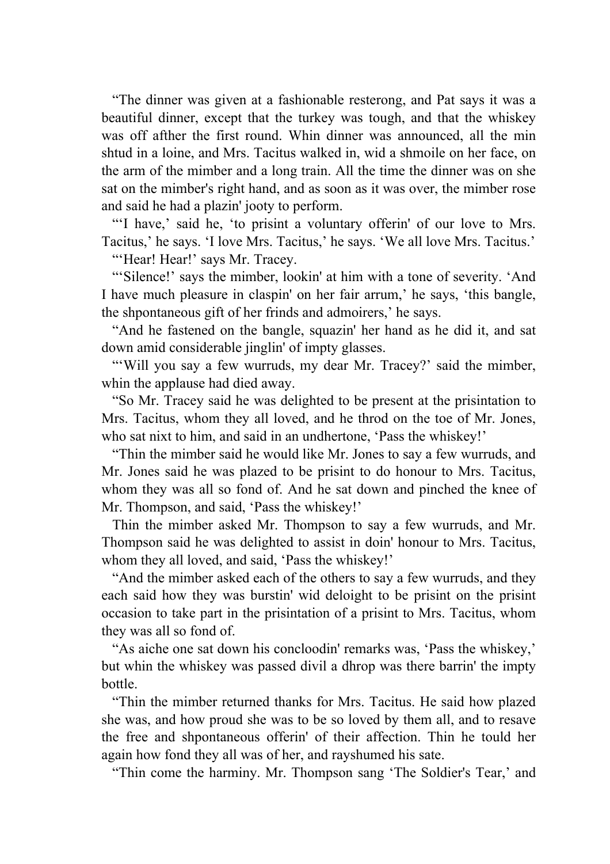"The dinner was given at a fashionable resterong, and Pat says it was a beautiful dinner, except that the turkey was tough, and that the whiskey was off afther the first round. Whin dinner was announced, all the min shtud in a loine, and Mrs. Tacitus walked in, wid a shmoile on her face, on the arm of the mimber and a long train. All the time the dinner was on she sat on the mimber's right hand, and as soon as it was over, the mimber rose and said he had a plazin' jooty to perform.

"'I have,' said he, 'to prisint a voluntary offerin' of our love to Mrs. Tacitus,' he says. 'I love Mrs. Tacitus,' he says. 'We all love Mrs. Tacitus.'

"'Hear! Hear!' says Mr. Tracey.

"'Silence!' says the mimber, lookin' at him with a tone of severity. 'And I have much pleasure in claspin' on her fair arrum,' he says, 'this bangle, the shpontaneous gift of her frinds and admoirers,' he says.

 "And he fastened on the bangle, squazin' her hand as he did it, and sat down amid considerable jinglin' of impty glasses.

"Will you say a few wurruds, my dear Mr. Tracey?' said the mimber, whin the applause had died away.

 "So Mr. Tracey said he was delighted to be present at the prisintation to Mrs. Tacitus, whom they all loved, and he throd on the toe of Mr. Jones, who sat nixt to him, and said in an undhertone, 'Pass the whiskey!'

 "Thin the mimber said he would like Mr. Jones to say a few wurruds, and Mr. Jones said he was plazed to be prisint to do honour to Mrs. Tacitus, whom they was all so fond of. And he sat down and pinched the knee of Mr. Thompson, and said, 'Pass the whiskey!'

 Thin the mimber asked Mr. Thompson to say a few wurruds, and Mr. Thompson said he was delighted to assist in doin' honour to Mrs. Tacitus, whom they all loved, and said, 'Pass the whiskey!'

 "And the mimber asked each of the others to say a few wurruds, and they each said how they was burstin' wid deloight to be prisint on the prisint occasion to take part in the prisintation of a prisint to Mrs. Tacitus, whom they was all so fond of.

 "As aiche one sat down his concloodin' remarks was, 'Pass the whiskey,' but whin the whiskey was passed divil a dhrop was there barrin' the impty bottle.

 "Thin the mimber returned thanks for Mrs. Tacitus. He said how plazed she was, and how proud she was to be so loved by them all, and to resave the free and shpontaneous offerin' of their affection. Thin he tould her again how fond they all was of her, and rayshumed his sate.

"Thin come the harminy. Mr. Thompson sang 'The Soldier's Tear,' and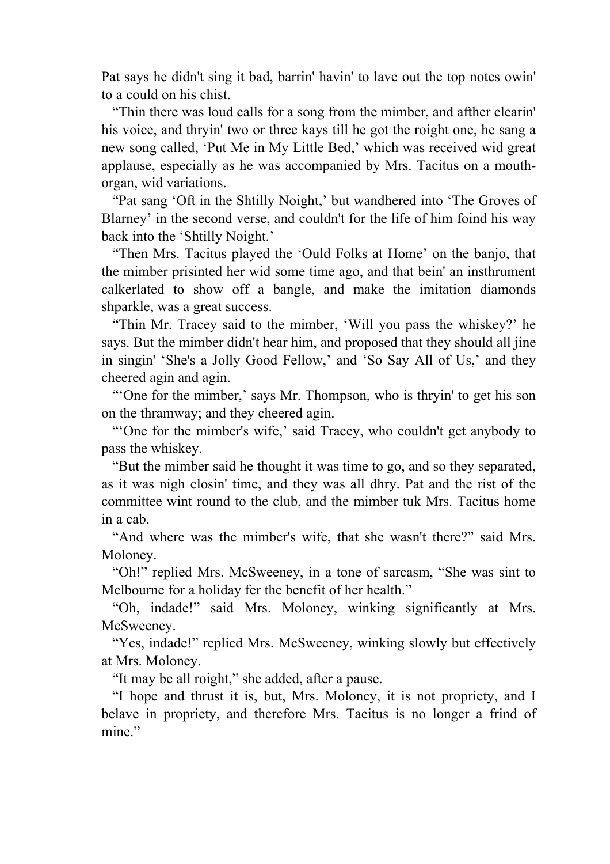Pat says he didn't sing it bad, barrin' havin' to lave out the top notes owin' to a could on his chist.

 "Thin there was loud calls for a song from the mimber, and afther clearin' his voice, and thryin' two or three kays till he got the roight one, he sang a new song called, 'Put Me in My Little Bed,' which was received wid great applause, especially as he was accompanied by Mrs. Tacitus on a mouthorgan, wid variations.

 "Pat sang 'Oft in the Shtilly Noight,' but wandhered into 'The Groves of Blarney' in the second verse, and couldn't for the life of him foind his way back into the 'Shtilly Noight.'

 "Then Mrs. Tacitus played the 'Ould Folks at Home' on the banjo, that the mimber prisinted her wid some time ago, and that bein' an insthrument calkerlated to show off a bangle, and make the imitation diamonds shparkle, was a great success.

 "Thin Mr. Tracey said to the mimber, 'Will you pass the whiskey?' he says. But the mimber didn't hear him, and proposed that they should all jine in singin' 'She's a Jolly Good Fellow,' and 'So Say All of Us,' and they cheered agin and agin.

"One for the mimber,' says Mr. Thompson, who is thryin' to get his son on the thramway; and they cheered agin.

"One for the mimber's wife,' said Tracey, who couldn't get anybody to pass the whiskey.

 "But the mimber said he thought it was time to go, and so they separated, as it was nigh closin' time, and they was all dhry. Pat and the rist of the committee wint round to the club, and the mimber tuk Mrs. Tacitus home in a cab.

 "And where was the mimber's wife, that she wasn't there?" said Mrs. Moloney.

 "Oh!" replied Mrs. McSweeney, in a tone of sarcasm, "She was sint to Melbourne for a holiday fer the benefit of her health."

 "Oh, indade!" said Mrs. Moloney, winking significantly at Mrs. McSweeney.

 "Yes, indade!" replied Mrs. McSweeney, winking slowly but effectively at Mrs. Moloney.

"It may be all roight," she added, after a pause.

 "I hope and thrust it is, but, Mrs. Moloney, it is not propriety, and I belave in propriety, and therefore Mrs. Tacitus is no longer a frind of mine."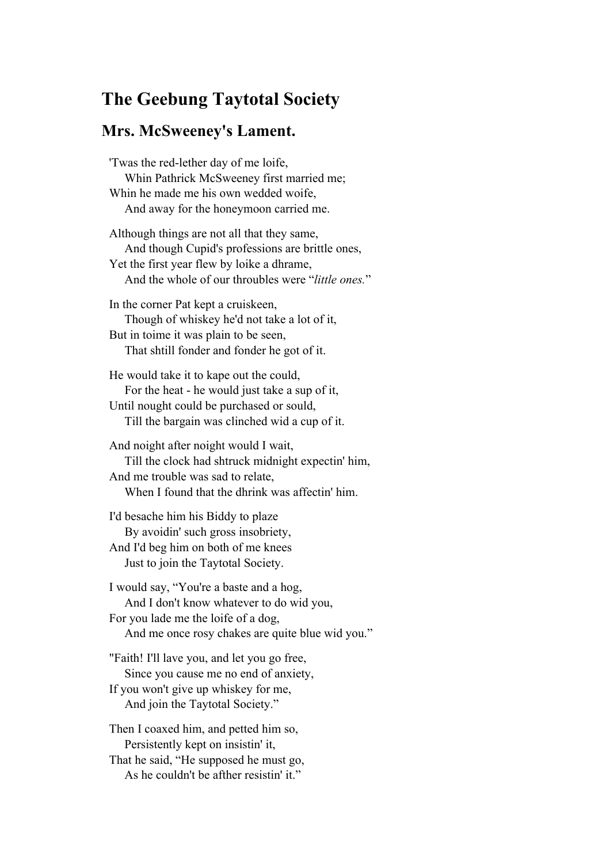# **The Geebung Taytotal Society**

#### **Mrs. McSweeney's Lament.**

'Twas the red-lether day of me loife, Whin Pathrick McSweeney first married me; Whin he made me his own wedded woife, And away for the honeymoon carried me.

Although things are not all that they same, And though Cupid's professions are brittle ones, Yet the first year flew by loike a dhrame, And the whole of our throubles were "*little ones.*"

In the corner Pat kept a cruiskeen, Though of whiskey he'd not take a lot of it, But in toime it was plain to be seen, That shtill fonder and fonder he got of it.

He would take it to kape out the could, For the heat - he would just take a sup of it, Until nought could be purchased or sould, Till the bargain was clinched wid a cup of it.

And noight after noight would I wait, Till the clock had shtruck midnight expectin' him, And me trouble was sad to relate, When I found that the dhrink was affectin' him.

I'd besache him his Biddy to plaze By avoidin' such gross insobriety, And I'd beg him on both of me knees Just to join the Taytotal Society.

I would say, "You're a baste and a hog, And I don't know whatever to do wid you, For you lade me the loife of a dog, And me once rosy chakes are quite blue wid you."

"Faith! I'll lave you, and let you go free, Since you cause me no end of anxiety, If you won't give up whiskey for me, And join the Taytotal Society."

Then I coaxed him, and petted him so, Persistently kept on insistin' it, That he said, "He supposed he must go, As he couldn't be afther resistin' it."